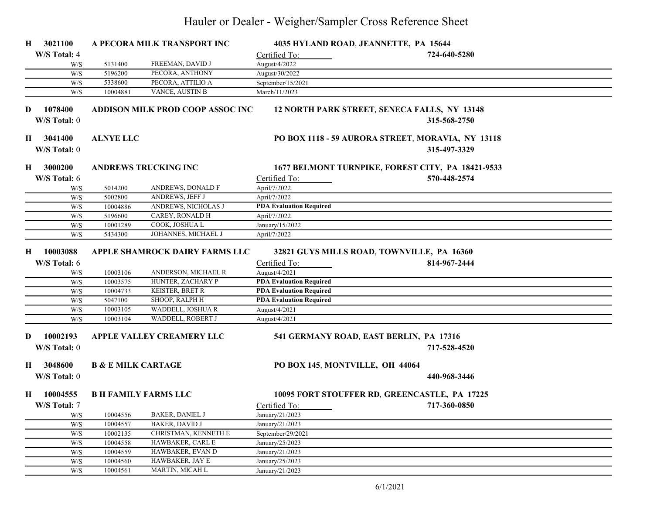## Hauler or Dealer - Weigher/Sampler Cross Reference Sheet

| H       | 3021100                                              |                               | A PECORA MILK TRANSPORT INC             |                                 | 4035 HYLAND ROAD, JEANNETTE, PA 15644                             |  |
|---------|------------------------------------------------------|-------------------------------|-----------------------------------------|---------------------------------|-------------------------------------------------------------------|--|
|         | W/S Total: 4                                         |                               |                                         | Certified To:                   | 724-640-5280                                                      |  |
|         | W/S                                                  | 5131400                       | FREEMAN, DAVID J                        | August/4/2022                   |                                                                   |  |
|         | W/S                                                  | 5196200                       | PECORA, ANTHONY                         | August/30/2022                  |                                                                   |  |
|         | W/S                                                  | 5338600                       | PECORA, ATTILIO A                       | September/15/2021               |                                                                   |  |
|         | W/S                                                  | 10004881                      | VANCE, AUSTIN B                         | March/11/2023                   |                                                                   |  |
| D       | 1078400<br>W/S Total: 0                              |                               | <b>ADDISON MILK PROD COOP ASSOC INC</b> |                                 | 12 NORTH PARK STREET, SENECA FALLS, NY 13148<br>315-568-2750      |  |
|         | H 3041400<br>W/S Total: 0                            | <b>ALNYE LLC</b>              |                                         |                                 | PO BOX 1118 - 59 AURORA STREET, MORAVIA, NY 13118<br>315-497-3329 |  |
| H       | 3000200                                              |                               | <b>ANDREWS TRUCKING INC</b>             |                                 | 1677 BELMONT TURNPIKE, FOREST CITY, PA 18421-9533                 |  |
|         | W/S Total: 6                                         |                               |                                         | Certified To:                   | 570-448-2574                                                      |  |
|         | W/S                                                  | 5014200                       | ANDREWS, DONALD F                       | April/7/2022                    |                                                                   |  |
|         | W/S                                                  | 5002800                       | ANDREWS, JEFF J                         | April/7/2022                    |                                                                   |  |
|         | W/S                                                  | 10004886                      | ANDREWS, NICHOLAS J                     | <b>PDA Evaluation Required</b>  |                                                                   |  |
|         | W/S                                                  | 5196600                       | CAREY, RONALD H                         | April/7/2022                    |                                                                   |  |
|         | W/S                                                  | 10001289                      | COOK, JOSHUA L                          | January/15/2022                 |                                                                   |  |
|         | W/S                                                  | 5434300                       | JOHANNES, MICHAEL J                     | April/7/2022                    |                                                                   |  |
| $\bf H$ | 10003088                                             |                               | APPLE SHAMROCK DAIRY FARMS LLC          |                                 | 32821 GUYS MILLS ROAD, TOWNVILLE, PA 16360                        |  |
|         | W/S Total: 6                                         |                               |                                         | Certified To:                   | 814-967-2444                                                      |  |
|         | W/S                                                  | 10003106                      | ANDERSON, MICHAEL R                     | August/4/2021                   |                                                                   |  |
|         | W/S                                                  | 10003575                      | HUNTER, ZACHARY P                       | <b>PDA Evaluation Required</b>  |                                                                   |  |
|         | W/S                                                  | 10004733                      | <b>KEISTER, BRET R</b>                  | <b>PDA Evaluation Required</b>  |                                                                   |  |
|         | W/S                                                  | 5047100                       | SHOOP, RALPH H                          | <b>PDA Evaluation Required</b>  |                                                                   |  |
|         | W/S                                                  | 10003105                      | WADDELL, JOSHUA R                       | August/4/2021                   |                                                                   |  |
|         | W/S                                                  | 10003104                      | WADDELL, ROBERT J                       | August/4/2021                   |                                                                   |  |
| D       | 10002193<br>W/S Total: 0                             |                               | APPLE VALLEY CREAMERY LLC               |                                 | 541 GERMANY ROAD, EAST BERLIN, PA 17316<br>717-528-4520           |  |
| H       | 3048600                                              | <b>B &amp; E MILK CARTAGE</b> |                                         | PO BOX 145, MONTVILLE, OH 44064 |                                                                   |  |
|         | W/S Total: 0                                         |                               |                                         |                                 | 440-968-3446                                                      |  |
|         |                                                      |                               |                                         |                                 |                                                                   |  |
| H       | 10004555                                             |                               | <b>B H FAMILY FARMS LLC</b>             |                                 | 10095 FORT STOUFFER RD, GREENCASTLE, PA 17225                     |  |
|         | W/S Total: 7                                         |                               |                                         | Certified To:                   | 717-360-0850                                                      |  |
|         | W/S                                                  | 10004556                      | <b>BAKER, DANIEL J</b>                  | January/21/2023                 |                                                                   |  |
|         | W/S                                                  | 10004557                      | <b>BAKER, DAVID J</b>                   | January/21/2023                 |                                                                   |  |
|         | W/S                                                  | 10002135                      | CHRISTMAN, KENNETH E                    | September/29/2021               |                                                                   |  |
|         | W/S                                                  | 10004558                      | HAWBAKER, CARL E                        | January/25/2023                 |                                                                   |  |
|         | W/S                                                  | 10004559                      | HAWBAKER, EVAN D                        | January/21/2023                 |                                                                   |  |
|         | W/S                                                  | 10004560                      | HAWBAKER, JAY E                         | January/25/2023                 |                                                                   |  |
|         | $\ensuremath{\text{W}}\xspace/\ensuremath{\text{S}}$ | 10004561                      | MARTIN, MICAH L                         | January/21/2023                 |                                                                   |  |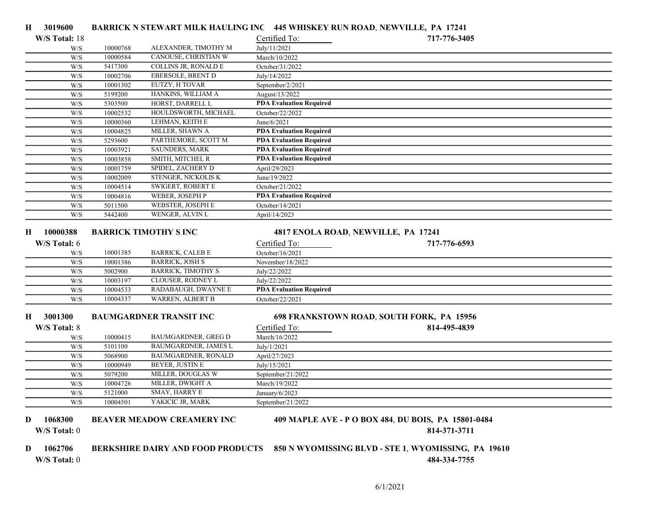| 3019600<br>Н.                |          |                                          |                                | BARRICK N STEWART MILK HAULING INC 445 WHISKEY RUN ROAD, NEWVILLE, PA 17241 |
|------------------------------|----------|------------------------------------------|--------------------------------|-----------------------------------------------------------------------------|
| W/S Total: 18                |          |                                          | Certified To:                  | 717-776-3405                                                                |
| W/S                          | 10000768 | ALEXANDER, TIMOTHY M                     | July/11/2021                   |                                                                             |
| W/S                          | 10000584 | CANOUSE, CHRISTIAN W                     | March/10/2022                  |                                                                             |
| W/S                          | 5417300  | COLLINS JR, RONALD E                     | October/31/2022                |                                                                             |
| W/S                          | 10002706 | EBERSOLE, BRENT D                        | July/14/2022                   |                                                                             |
| W/S                          | 10001302 | EUTZY, H TOVAR                           | September/2/2021               |                                                                             |
| W/S                          | 5199200  | HANKINS, WILLIAM A                       | August/13/2022                 |                                                                             |
| W/S                          | 5303500  | HORST, DARRELL L                         | <b>PDA Evaluation Required</b> |                                                                             |
| W/S                          | 10002532 | HOULDSWORTH, MICHAEL                     | October/22/2022                |                                                                             |
| W/S                          | 10000360 | LEHMAN, KEITH E                          | June/6/2021                    |                                                                             |
| W/S                          | 10004825 | MILLER, SHAWN A                          | <b>PDA Evaluation Required</b> |                                                                             |
| W/S                          | 5293600  | PARTHEMORE, SCOTT M                      | <b>PDA Evaluation Required</b> |                                                                             |
| W/S                          | 10003921 | SAUNDERS, MARK                           | <b>PDA Evaluation Required</b> |                                                                             |
| W/S                          | 10003858 | SMITH, MITCHEL R                         | <b>PDA Evaluation Required</b> |                                                                             |
| W/S                          | 10001759 | SPIDEL, ZACHERY D                        | April/29/2023                  |                                                                             |
| W/S                          | 10002009 | STENGER, NICKOLIS K                      | June/19/2022                   |                                                                             |
| W/S                          | 10004514 | SWIGERT, ROBERT E                        | October/21/2022                |                                                                             |
| W/S                          | 10004816 | WEBER, JOSEPH P                          | <b>PDA Evaluation Required</b> |                                                                             |
| W/S                          | 5011500  | WEBSTER, JOSEPH E                        | October/14/2021                |                                                                             |
| W/S                          | 5442400  | WENGER, ALVIN L                          | April/14/2023                  |                                                                             |
| 10000388<br>н                |          | <b>BARRICK TIMOTHY S INC</b>             |                                | 4817 ENOLA ROAD, NEWVILLE, PA 17241                                         |
| W/S Total: 6                 |          |                                          | Certified To:                  | 717-776-6593                                                                |
| W/S                          | 10001385 | <b>BARRICK, CALEB E</b>                  | October/16/2021                |                                                                             |
| W/S                          | 10001386 | <b>BARRICK, JOSH S</b>                   | November/18/2022               |                                                                             |
| W/S                          | 5002900  | <b>BARRICK, TIMOTHY S</b>                | July/22/2022                   |                                                                             |
| W/S                          | 10003197 | CLOUSER, RODNEY L                        | July/22/2022                   |                                                                             |
| W/S                          | 10004533 | RADABAUGH, DWAYNE E                      | <b>PDA Evaluation Required</b> |                                                                             |
| W/S                          | 10004337 | WARREN, ALBERT B                         | October/22/2021                |                                                                             |
| 3001300<br>Н                 |          | <b>BAUMGARDNER TRANSIT INC</b>           |                                | 698 FRANKSTOWN ROAD, SOUTH FORK, PA 15956                                   |
| W/S Total: 8                 |          |                                          | Certified To:                  | 814-495-4839                                                                |
| W/S                          | 10000415 | <b>BAUMGARDNER, GREG D</b>               | March/16/2022                  |                                                                             |
| W/S                          | 5101100  | BAUMGARDNER, JAMES L                     | July/1/2021                    |                                                                             |
| W/S                          | 5068900  | BAUMGARDNER, RONALD                      | April/27/2023                  |                                                                             |
| W/S                          | 10000949 | <b>BEYER, JUSTIN E</b>                   | July/15/2021                   |                                                                             |
| W/S                          | 5079200  | MILLER, DOUGLAS W                        | September/21/2022              |                                                                             |
| W/S                          | 10004726 | MILLER, DWIGHT A                         | March/19/2022                  |                                                                             |
| W/S                          | 5121000  | SMAY, HARRY E                            | January/6/2023                 |                                                                             |
| W/S                          | 10004501 | YAKICIC JR, MARK                         | September/21/2022              |                                                                             |
| 1068300<br>D<br>W/S Total: 0 |          | <b>BEAVER MEADOW CREAMERY INC</b>        |                                | 409 MAPLE AVE - P O BOX 484, DU BOIS, PA 15801-0484<br>814-371-3711         |
| 1062706<br>D<br>W/S Total: 0 |          | <b>BERKSHIRE DAIRY AND FOOD PRODUCTS</b> |                                | 850 N WYOMISSING BLVD - STE 1, WYOMISSING, PA 19610<br>484-334-7755         |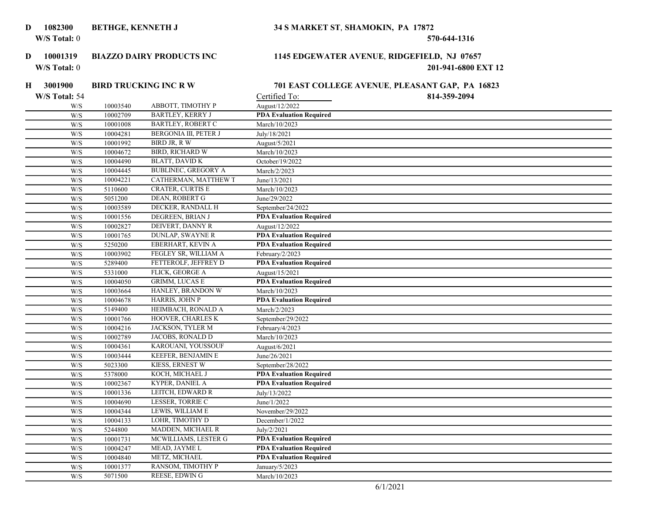### 1082300

### BETHGE, KENNETH J 34 S MARKET ST, SHAMOKIN, PA 17872

W/S Total: 0 570-644-1316

# D 10001319

#### W/S Total: 0 201-941-6800 EXT 12 BIAZZO DAIRY PRODUCTS INC 1145 EDGEWATER AVENUE, RIDGEFIELD, NJ 07657

| 3001900<br>H            |          | <b>BIRD TRUCKING INC RW</b> |                                | 701 EAST COLLEGE AVENUE, PLEASANT GAP, PA 16823 |  |
|-------------------------|----------|-----------------------------|--------------------------------|-------------------------------------------------|--|
| W/S Total: 54           |          |                             | Certified To:                  | 814-359-2094                                    |  |
| W/S                     | 10003540 | ABBOTT, TIMOTHY P           | August/12/2022                 |                                                 |  |
| W/S                     | 10002709 | <b>BARTLEY, KERRY J</b>     | <b>PDA Evaluation Required</b> |                                                 |  |
| W/S                     | 10001008 | <b>BARTLEY, ROBERT C</b>    | March/10/2023                  |                                                 |  |
| W/S                     | 10004281 | BERGONIA III, PETER J       | July/18/2021                   |                                                 |  |
| W/S                     | 10001992 | BIRD JR, R W                | August/5/2021                  |                                                 |  |
| W/S                     | 10004672 | <b>BIRD, RICHARD W</b>      | March/10/2023                  |                                                 |  |
| W/S                     | 10004490 | <b>BLATT, DAVID K</b>       | October/19/2022                |                                                 |  |
| W/S                     | 10004445 | <b>BUBLINEC, GREGORY A</b>  | March/2/2023                   |                                                 |  |
| W/S                     | 10004221 | CATHERMAN, MATTHEW T        | June/13/2021                   |                                                 |  |
| W/S                     | 5110600  | <b>CRATER, CURTIS E</b>     | March/10/2023                  |                                                 |  |
| W/S                     | 5051200  | DEAN, ROBERT G              | June/29/2022                   |                                                 |  |
| $\mathrm{W}/\mathrm{S}$ | 10003589 | DECKER, RANDALL H           | September/24/2022              |                                                 |  |
| W/S                     | 10001556 | DEGREEN, BRIAN J            | <b>PDA Evaluation Required</b> |                                                 |  |
| W/S                     | 10002827 | DEIVERT, DANNY R            | August/12/2022                 |                                                 |  |
| W/S                     | 10001765 | <b>DUNLAP, SWAYNE R</b>     | <b>PDA Evaluation Required</b> |                                                 |  |
| W/S                     | 5250200  | EBERHART, KEVIN A           | <b>PDA Evaluation Required</b> |                                                 |  |
| W/S                     | 10003902 | FEGLEY SR, WILLIAM A        | February/2/2023                |                                                 |  |
| W/S                     | 5289400  | FETTEROLF, JEFFREY D        | <b>PDA Evaluation Required</b> |                                                 |  |
| W/S                     | 5331000  | FLICK, GEORGE A             | August/15/2021                 |                                                 |  |
| W/S                     | 10004050 | <b>GRIMM, LUCAS E</b>       | <b>PDA Evaluation Required</b> |                                                 |  |
| W/S                     | 10003664 | HANLEY, BRANDON W           | March/10/2023                  |                                                 |  |
| W/S                     | 10004678 | HARRIS, JOHN P              | <b>PDA Evaluation Required</b> |                                                 |  |
| W/S                     | 5149400  | HEIMBACH, RONALD A          | March/2/2023                   |                                                 |  |
| W/S                     | 10001766 | HOOVER, CHARLES K           | September/29/2022              |                                                 |  |
| W/S                     | 10004216 | JACKSON, TYLER M            | February/4/2023                |                                                 |  |
| $\mathrm{W}/\mathrm{S}$ | 10002789 | JACOBS, RONALD D            | March/10/2023                  |                                                 |  |
| W/S                     | 10004361 | KAROUANI, YOUSSOUF          | August/6/2021                  |                                                 |  |
| W/S                     | 10003444 | KEEFER, BENJAMIN E          | June/26/2021                   |                                                 |  |
| W/S                     | 5023300  | KIESS, ERNEST W             | September/28/2022              |                                                 |  |
| W/S                     | 5378000  | KOCH, MICHAEL J             | <b>PDA Evaluation Required</b> |                                                 |  |
| W/S                     | 10002367 | <b>KYPER, DANIEL A</b>      | <b>PDA Evaluation Required</b> |                                                 |  |
| W/S                     | 10001336 | LEITCH, EDWARD R            | July/13/2022                   |                                                 |  |
| W/S                     | 10004690 | LESSER, TORRIE C            | June/1/2022                    |                                                 |  |
| W/S                     | 10004344 | LEWIS, WILLIAM E            | November/29/2022               |                                                 |  |
| W/S                     | 10004133 | LOHR, TIMOTHY D             | December/1/2022                |                                                 |  |
| W/S                     | 5244800  | MADDEN, MICHAEL R           | July/2/2021                    |                                                 |  |
| W/S                     | 10001731 | MCWILLIAMS, LESTER G        | <b>PDA Evaluation Required</b> |                                                 |  |
| W/S                     | 10004247 | MEAD, JAYME L               | <b>PDA Evaluation Required</b> |                                                 |  |
| W/S                     | 10004840 | METZ, MICHAEL               | <b>PDA Evaluation Required</b> |                                                 |  |
| W/S                     | 10001377 | RANSOM, TIMOTHY P           | January/5/2023                 |                                                 |  |
| W/S                     | 5071500  | <b>REESE, EDWING</b>        | March/10/2023                  |                                                 |  |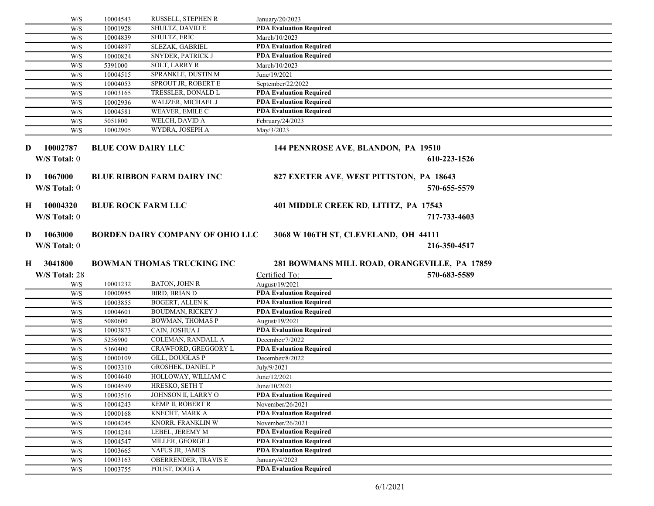|          | W/S                            | 10004543                  | RUSSELL, STEPHEN R                           | January/20/2023                                  |  |
|----------|--------------------------------|---------------------------|----------------------------------------------|--------------------------------------------------|--|
|          | W/S                            | 10001928                  | SHULTZ, DAVID E                              | <b>PDA Evaluation Required</b>                   |  |
|          | W/S                            | 10004839                  | SHULTZ, ERIC                                 | March/10/2023                                    |  |
|          | W/S                            | 10004897                  | <b>SLEZAK, GABRIEL</b>                       | <b>PDA Evaluation Required</b>                   |  |
|          | W/S                            | 10000824                  | SNYDER, PATRICK J                            | <b>PDA Evaluation Required</b>                   |  |
|          | W/S                            | 5391000                   | <b>SOLT, LARRY R</b>                         | March/10/2023                                    |  |
|          | W/S                            | 10004515                  | SPRANKLE, DUSTIN M                           | June/19/2021                                     |  |
|          | W/S                            | 10004053                  | SPROUT JR, ROBERT E                          | September/22/2022                                |  |
|          | W/S                            | 10003165                  | TRESSLER, DONALD L                           | <b>PDA Evaluation Required</b>                   |  |
|          | W/S                            | 10002936                  | WALIZER, MICHAEL J                           | <b>PDA Evaluation Required</b>                   |  |
|          | W/S                            | 10004581                  | WEAVER, EMILE C                              | <b>PDA Evaluation Required</b>                   |  |
|          | W/S                            | 5051800                   | WELCH, DAVID A                               | February/24/2023                                 |  |
|          | W/S                            | 10002905                  | WYDRA, JOSEPH A                              | May/3/2023                                       |  |
|          |                                |                           |                                              |                                                  |  |
| D        | 10002787                       | <b>BLUE COW DAIRY LLC</b> |                                              | 144 PENNROSE AVE, BLANDON, PA 19510              |  |
|          | W/S Total: 0                   |                           |                                              | 610-223-1526                                     |  |
|          |                                |                           |                                              |                                                  |  |
| D        | 1067000                        |                           | <b>BLUE RIBBON FARM DAIRY INC</b>            | 827 EXETER AVE, WEST PITTSTON, PA 18643          |  |
|          |                                |                           |                                              |                                                  |  |
|          | W/S Total: 0                   |                           |                                              | 570-655-5579                                     |  |
|          |                                |                           |                                              |                                                  |  |
| $\bf{H}$ | 10004320                       | <b>BLUE ROCK FARM LLC</b> |                                              | 401 MIDDLE CREEK RD, LITITZ, PA 17543            |  |
|          | W/S Total: 0                   |                           |                                              | 717-733-4603                                     |  |
|          |                                |                           |                                              |                                                  |  |
| D        | 1063000                        |                           | <b>BORDEN DAIRY COMPANY OF OHIO LLC</b>      | 3068 W 106TH ST, CLEVELAND, OH 44111             |  |
|          | W/S Total: 0                   |                           |                                              | 216-350-4517                                     |  |
|          |                                |                           |                                              |                                                  |  |
| H        | 3041800                        |                           | <b>BOWMAN THOMAS TRUCKING INC</b>            | 281 BOWMANS MILL ROAD, ORANGEVILLE, PA 17859     |  |
|          | W/S Total: 28                  |                           |                                              | Certified To:<br>570-683-5589                    |  |
|          | W/S                            | 10001232                  | <b>BATON, JOHN R</b>                         | August/19/2021                                   |  |
|          | W/S                            | 10000985                  | <b>BIRD, BRIAN D</b>                         | <b>PDA Evaluation Required</b>                   |  |
|          | W/S                            | 10003855                  | <b>BOGERT, ALLEN K</b>                       | <b>PDA Evaluation Required</b>                   |  |
|          | W/S                            | 10004601                  | <b>BOUDMAN, RICKEY J</b>                     | <b>PDA Evaluation Required</b>                   |  |
|          | W/S                            | 5080600                   | <b>BOWMAN, THOMAS P</b>                      | August/19/2021                                   |  |
|          | W/S                            | 10003873                  | CAIN, JOSHUA J                               | <b>PDA Evaluation Required</b>                   |  |
|          | W/S                            | 5256900                   | COLEMAN, RANDALL A                           | December/7/2022                                  |  |
|          | W/S                            | 5360400                   | CRAWFORD, GREGGORY L                         | <b>PDA Evaluation Required</b>                   |  |
|          | W/S                            | 10000109                  | GILL, DOUGLAS P                              | December/8/2022                                  |  |
|          | W/S                            | 10003310                  | <b>GROSHEK, DANIEL P</b>                     | July/9/2021                                      |  |
|          | W/S                            | 10004640                  | HOLLOWAY, WILLIAM C                          | June/12/2021                                     |  |
|          | W/S                            | 10004599                  | HRESKO, SETH T                               | June/10/2021                                     |  |
|          | W/S                            | 10003516                  | JOHNSON II, LARRY O                          | <b>PDA Evaluation Required</b>                   |  |
|          | W/S                            | 10004243                  | KEMP II, ROBERT R                            | November/26/2021                                 |  |
|          | W/S                            | 10000168                  | KNECHT, MARK A                               | <b>PDA Evaluation Required</b>                   |  |
|          | W/S                            | 10004245                  | KNORR, FRANKLIN W                            | November/26/2021                                 |  |
|          | W/S                            | 10004244                  | LEBEL, JEREMY M                              | <b>PDA Evaluation Required</b>                   |  |
|          | W/S                            | 10004547                  | MILLER, GEORGE J                             | <b>PDA Evaluation Required</b>                   |  |
|          | W/S                            | 10003665                  | NAFUS JR, JAMES                              | <b>PDA Evaluation Required</b>                   |  |
|          |                                |                           |                                              |                                                  |  |
|          |                                |                           |                                              |                                                  |  |
|          | $\mathrm{W}/\mathrm{S}$<br>W/S | 10003163<br>10003755      | <b>OBERRENDER, TRAVIS E</b><br>POUST, DOUG A | January/4/2023<br><b>PDA Evaluation Required</b> |  |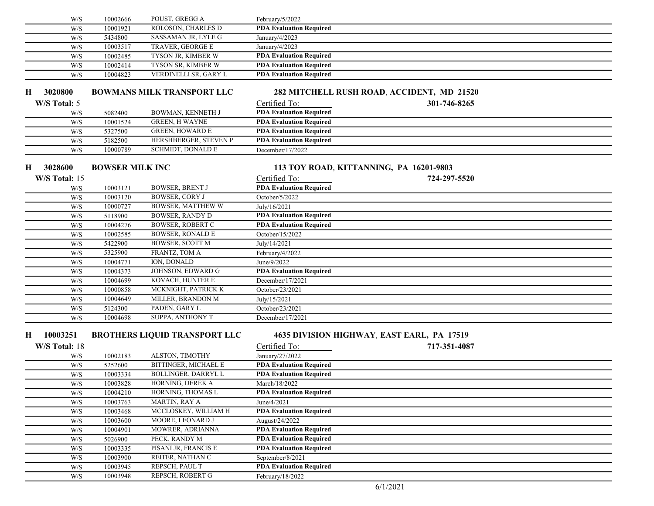| W/S           | 10002666               | POUST, GREGG A                       | February/5/2022                |                                            |  |
|---------------|------------------------|--------------------------------------|--------------------------------|--------------------------------------------|--|
| W/S           | 10001921               | ROLOSON, CHARLES D                   | <b>PDA Evaluation Required</b> |                                            |  |
| W/S           | 5434800                | SASSAMAN JR, LYLE G                  | January/4/2023                 |                                            |  |
| W/S           | 10003517               | TRAVER, GEORGE E                     | January/4/2023                 |                                            |  |
| W/S           | 10002485               | TYSON JR, KIMBER W                   | <b>PDA Evaluation Required</b> |                                            |  |
| W/S           | 10002414               | TYSON SR, KIMBER W                   | <b>PDA Evaluation Required</b> |                                            |  |
| W/S           | 10004823               | VERDINELLI SR, GARY L                | <b>PDA Evaluation Required</b> |                                            |  |
|               |                        |                                      |                                |                                            |  |
| 3020800<br>н  |                        | <b>BOWMANS MILK TRANSPORT LLC</b>    |                                | 282 MITCHELL RUSH ROAD, ACCIDENT, MD 21520 |  |
| W/S Total: 5  |                        |                                      | Certified To:                  | 301-746-8265                               |  |
| W/S           | 5082400                | BOWMAN, KENNETH J                    | <b>PDA Evaluation Required</b> |                                            |  |
| W/S           | 10001524               | <b>GREEN, H WAYNE</b>                | <b>PDA Evaluation Required</b> |                                            |  |
| W/S           | 5327500                | <b>GREEN, HOWARD E</b>               | <b>PDA Evaluation Required</b> |                                            |  |
| W/S           | 5182500                | HERSHBERGER, STEVEN P                | <b>PDA Evaluation Required</b> |                                            |  |
| W/S           | 10000789               | SCHMIDT, DONALD E                    | December/17/2022               |                                            |  |
| 3028600<br>Н. | <b>BOWSER MILK INC</b> |                                      |                                | 113 TOY ROAD, KITTANNING, PA 16201-9803    |  |
|               |                        |                                      |                                |                                            |  |
| W/S Total: 15 |                        |                                      | Certified To:                  | 724-297-5520                               |  |
| W/S           | 10003121               | <b>BOWSER, BRENT J</b>               | <b>PDA Evaluation Required</b> |                                            |  |
| W/S           | 10003120               | <b>BOWSER, CORY J</b>                | October/5/2022                 |                                            |  |
| W/S           | 10000727               | <b>BOWSER, MATTHEW W</b>             | July/16/2021                   |                                            |  |
| W/S           | 5118900                | <b>BOWSER, RANDY D</b>               | <b>PDA Evaluation Required</b> |                                            |  |
| W/S           | 10004276               | <b>BOWSER, ROBERT C</b>              | <b>PDA Evaluation Required</b> |                                            |  |
| W/S           | 10002585               | <b>BOWSER, RONALD E</b>              | October/15/2022                |                                            |  |
| W/S           | 5422900                | <b>BOWSER, SCOTT M</b>               | July/14/2021                   |                                            |  |
| W/S           | 5325900                | FRANTZ, TOM A                        | February/4/2022                |                                            |  |
| W/S           | 10004771               | ION, DONALD                          | June/9/2022                    |                                            |  |
| W/S           | 10004373               | JOHNSON, EDWARD G                    | <b>PDA Evaluation Required</b> |                                            |  |
| W/S           | 10004699               | KOVACH, HUNTER E                     | December/17/2021               |                                            |  |
| W/S           | 10000858               | MCKNIGHT, PATRICK K                  | October/23/2021                |                                            |  |
| W/S           | 10004649               | MILLER, BRANDON M                    | July/15/2021                   |                                            |  |
| W/S           | 5124300                | PADEN, GARY L<br>SUPPA, ANTHONY T    | October/23/2021                |                                            |  |
| W/S           | 10004698               |                                      | December/17/2021               |                                            |  |
| 10003251<br>Н |                        | <b>BROTHERS LIQUID TRANSPORT LLC</b> |                                | 4635 DIVISION HIGHWAY, EAST EARL, PA 17519 |  |
| W/S Total: 18 |                        |                                      | Certified To:                  | 717-351-4087                               |  |
| W/S           | 10002183               | ALSTON, TIMOTHY                      | January/27/2022                |                                            |  |
| W/S           | 5252600                | <b>BITTINGER, MICHAEL E</b>          | <b>PDA Evaluation Required</b> |                                            |  |
| W/S           | 10003334               | <b>BOLLINGER, DARRYL L</b>           | <b>PDA Evaluation Required</b> |                                            |  |
| W/S           | 10003828               | HORNING, DEREK A                     | March/18/2022                  |                                            |  |
| W/S           | 10004210               | HORNING, THOMAS L                    | <b>PDA Evaluation Required</b> |                                            |  |
| W/S           | 10003763               | MARTIN, RAY A                        | June/4/2021                    |                                            |  |
| W/S           | 10003468               | MCCLOSKEY, WILLIAM H                 | <b>PDA Evaluation Required</b> |                                            |  |
| W/S           | 10003600               | MOORE, LEONARD J                     | August/24/2022                 |                                            |  |
| W/S           | 10004901               | MOWRER, ADRIANNA                     | <b>PDA Evaluation Required</b> |                                            |  |
| W/S           | 5026900                | PECK, RANDY M                        | <b>PDA Evaluation Required</b> |                                            |  |
| W/S           | 10003335               | PISANI JR, FRANCIS E                 | <b>PDA Evaluation Required</b> |                                            |  |
| W/S           | 10003900               | REITER, NATHAN C                     | September/8/2021               |                                            |  |
| W/S           | 10003945               | REPSCH, PAUL T                       | <b>PDA Evaluation Required</b> |                                            |  |
| W/S           | 10003948               | REPSCH, ROBERT G                     | February/18/2022               |                                            |  |
|               |                        |                                      |                                |                                            |  |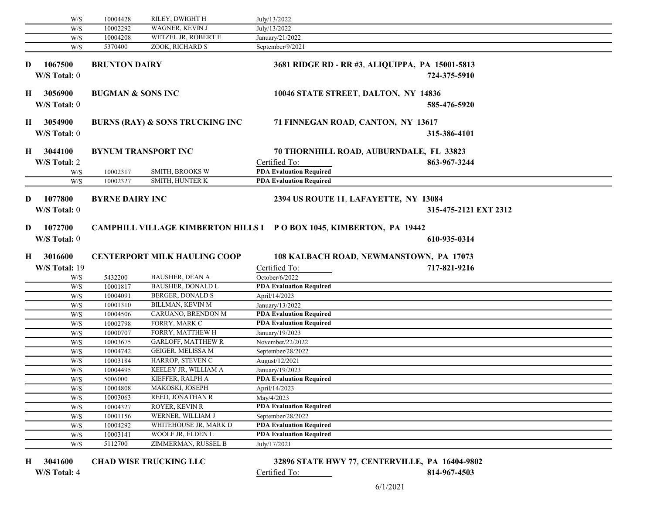| <b>WAGNER, KEVIN J</b><br>10002292<br>July/13/2022<br>W/S<br>WETZEL JR, ROBERT E<br>10004208<br>January/21/2022<br>W/S<br>ZOOK, RICHARD S<br>September/9/2021<br>5370400<br>W/S<br>1067500<br><b>BRUNTON DAIRY</b><br>3681 RIDGE RD - RR #3, ALIQUIPPA, PA 15001-5813<br>W/S Total: 0<br>724-375-5910<br>3056900<br><b>BUGMAN &amp; SONS INC</b><br>10046 STATE STREET, DALTON, NY 14836<br>H.<br>W/S Total: 0<br>585-476-5920<br>3054900<br><b>BURNS (RAY) &amp; SONS TRUCKING INC</b><br>71 FINNEGAN ROAD, CANTON, NY 13617<br>W/S Total: 0<br>315-386-4101<br>H 3044100<br><b>BYNUM TRANSPORT INC</b><br>70 THORNHILL ROAD, AUBURNDALE, FL 33823<br>W/S Total: 2<br>863-967-3244<br>Certified To:<br><b>PDA</b> Evaluation Required<br>SMITH, BROOKS W<br>10002317<br>W/S<br><b>SMITH, HUNTER K</b><br>10002327<br><b>PDA Evaluation Required</b><br>W/S<br>1077800<br>D<br><b>BYRNE DAIRY INC</b><br>2394 US ROUTE 11, LAFAYETTE, NY 13084<br>W/S Total: 0<br>315-475-2121 EXT 2312<br>1072700<br>D<br><b>CAMPHILL VILLAGE KIMBERTON HILLS I PO BOX 1045, KIMBERTON, PA 19442</b><br>W/S Total: 0<br>610-935-0314<br>3016600<br><b>CENTERPORT MILK HAULING COOP</b><br>108 KALBACH ROAD, NEWMANSTOWN, PA 17073<br>W/S Total: 19<br>Certified To:<br>717-821-9216<br><b>BAUSHER, DEAN A</b><br>October/6/2022<br>5432200<br>W/S<br>10001817<br><b>BAUSHER, DONALD L</b><br><b>PDA Evaluation Required</b><br>W/S<br><b>BERGER, DONALD S</b><br>W/S<br>10004091<br>April/14/2023<br><b>BILLMAN, KEVIN M</b><br>January/13/2022<br>W/S<br>10001310<br><b>PDA Evaluation Required</b><br>CARUANO, BRENDON M<br>10004506<br>W/S<br>10002798<br>FORRY, MARK C<br><b>PDA Evaluation Required</b><br>W/S<br>FORRY, MATTHEW H<br>January/19/2023<br>10000707<br>W/S<br><b>GARLOFF, MATTHEW R</b><br>November/22/2022<br>10003675<br>W/S<br>GEIGER, MELISSA M<br>$\mathrm{W}/\mathrm{S}$<br>10004742<br>September/28/2022<br>HARROP, STEVEN C<br>W/S<br>10003184<br>August/12/2021<br>KEELEY JR, WILLIAM A<br>10004495<br>W/S<br>January/19/2023<br><b>PDA Evaluation Required</b><br>KIEFFER, RALPH A<br>5006000<br>W/S<br>$\ensuremath{\text{W}}\xspace/\ensuremath{\text{S}}$<br>10004808<br>MAKOSKI, JOSEPH<br>April/14/2023<br>REED, JONATHAN R<br>10003063<br>May/4/2023<br>W/S<br>ROYER, KEVIN R<br><b>PDA Evaluation Required</b><br>10004327<br>W/S<br>WERNER, WILLIAM J<br>10001156<br>W/S<br>September/28/2022<br>WHITEHOUSE JR, MARK D<br>10004292<br><b>PDA Evaluation Required</b><br>W/S<br>WOOLF JR, ELDEN L<br><b>PDA Evaluation Required</b><br>W/S<br>10003141<br>ZIMMERMAN, RUSSEL B<br>W/S<br>5112700<br>July/17/2021 |    | W/S | 10004428 | RILEY, DWIGHT H | July/13/2022 |  |
|--------------------------------------------------------------------------------------------------------------------------------------------------------------------------------------------------------------------------------------------------------------------------------------------------------------------------------------------------------------------------------------------------------------------------------------------------------------------------------------------------------------------------------------------------------------------------------------------------------------------------------------------------------------------------------------------------------------------------------------------------------------------------------------------------------------------------------------------------------------------------------------------------------------------------------------------------------------------------------------------------------------------------------------------------------------------------------------------------------------------------------------------------------------------------------------------------------------------------------------------------------------------------------------------------------------------------------------------------------------------------------------------------------------------------------------------------------------------------------------------------------------------------------------------------------------------------------------------------------------------------------------------------------------------------------------------------------------------------------------------------------------------------------------------------------------------------------------------------------------------------------------------------------------------------------------------------------------------------------------------------------------------------------------------------------------------------------------------------------------------------------------------------------------------------------------------------------------------------------------------------------------------------------------------------------------------------------------------------------------------------------------------------------------------------------------------------------------------------------------------------------------------------------------------------------------------------------------------------------------------------------------|----|-----|----------|-----------------|--------------|--|
|                                                                                                                                                                                                                                                                                                                                                                                                                                                                                                                                                                                                                                                                                                                                                                                                                                                                                                                                                                                                                                                                                                                                                                                                                                                                                                                                                                                                                                                                                                                                                                                                                                                                                                                                                                                                                                                                                                                                                                                                                                                                                                                                                                                                                                                                                                                                                                                                                                                                                                                                                                                                                                      |    |     |          |                 |              |  |
|                                                                                                                                                                                                                                                                                                                                                                                                                                                                                                                                                                                                                                                                                                                                                                                                                                                                                                                                                                                                                                                                                                                                                                                                                                                                                                                                                                                                                                                                                                                                                                                                                                                                                                                                                                                                                                                                                                                                                                                                                                                                                                                                                                                                                                                                                                                                                                                                                                                                                                                                                                                                                                      |    |     |          |                 |              |  |
|                                                                                                                                                                                                                                                                                                                                                                                                                                                                                                                                                                                                                                                                                                                                                                                                                                                                                                                                                                                                                                                                                                                                                                                                                                                                                                                                                                                                                                                                                                                                                                                                                                                                                                                                                                                                                                                                                                                                                                                                                                                                                                                                                                                                                                                                                                                                                                                                                                                                                                                                                                                                                                      |    |     |          |                 |              |  |
|                                                                                                                                                                                                                                                                                                                                                                                                                                                                                                                                                                                                                                                                                                                                                                                                                                                                                                                                                                                                                                                                                                                                                                                                                                                                                                                                                                                                                                                                                                                                                                                                                                                                                                                                                                                                                                                                                                                                                                                                                                                                                                                                                                                                                                                                                                                                                                                                                                                                                                                                                                                                                                      | D  |     |          |                 |              |  |
|                                                                                                                                                                                                                                                                                                                                                                                                                                                                                                                                                                                                                                                                                                                                                                                                                                                                                                                                                                                                                                                                                                                                                                                                                                                                                                                                                                                                                                                                                                                                                                                                                                                                                                                                                                                                                                                                                                                                                                                                                                                                                                                                                                                                                                                                                                                                                                                                                                                                                                                                                                                                                                      |    |     |          |                 |              |  |
|                                                                                                                                                                                                                                                                                                                                                                                                                                                                                                                                                                                                                                                                                                                                                                                                                                                                                                                                                                                                                                                                                                                                                                                                                                                                                                                                                                                                                                                                                                                                                                                                                                                                                                                                                                                                                                                                                                                                                                                                                                                                                                                                                                                                                                                                                                                                                                                                                                                                                                                                                                                                                                      |    |     |          |                 |              |  |
|                                                                                                                                                                                                                                                                                                                                                                                                                                                                                                                                                                                                                                                                                                                                                                                                                                                                                                                                                                                                                                                                                                                                                                                                                                                                                                                                                                                                                                                                                                                                                                                                                                                                                                                                                                                                                                                                                                                                                                                                                                                                                                                                                                                                                                                                                                                                                                                                                                                                                                                                                                                                                                      |    |     |          |                 |              |  |
|                                                                                                                                                                                                                                                                                                                                                                                                                                                                                                                                                                                                                                                                                                                                                                                                                                                                                                                                                                                                                                                                                                                                                                                                                                                                                                                                                                                                                                                                                                                                                                                                                                                                                                                                                                                                                                                                                                                                                                                                                                                                                                                                                                                                                                                                                                                                                                                                                                                                                                                                                                                                                                      |    |     |          |                 |              |  |
|                                                                                                                                                                                                                                                                                                                                                                                                                                                                                                                                                                                                                                                                                                                                                                                                                                                                                                                                                                                                                                                                                                                                                                                                                                                                                                                                                                                                                                                                                                                                                                                                                                                                                                                                                                                                                                                                                                                                                                                                                                                                                                                                                                                                                                                                                                                                                                                                                                                                                                                                                                                                                                      | Н. |     |          |                 |              |  |
|                                                                                                                                                                                                                                                                                                                                                                                                                                                                                                                                                                                                                                                                                                                                                                                                                                                                                                                                                                                                                                                                                                                                                                                                                                                                                                                                                                                                                                                                                                                                                                                                                                                                                                                                                                                                                                                                                                                                                                                                                                                                                                                                                                                                                                                                                                                                                                                                                                                                                                                                                                                                                                      |    |     |          |                 |              |  |
|                                                                                                                                                                                                                                                                                                                                                                                                                                                                                                                                                                                                                                                                                                                                                                                                                                                                                                                                                                                                                                                                                                                                                                                                                                                                                                                                                                                                                                                                                                                                                                                                                                                                                                                                                                                                                                                                                                                                                                                                                                                                                                                                                                                                                                                                                                                                                                                                                                                                                                                                                                                                                                      |    |     |          |                 |              |  |
|                                                                                                                                                                                                                                                                                                                                                                                                                                                                                                                                                                                                                                                                                                                                                                                                                                                                                                                                                                                                                                                                                                                                                                                                                                                                                                                                                                                                                                                                                                                                                                                                                                                                                                                                                                                                                                                                                                                                                                                                                                                                                                                                                                                                                                                                                                                                                                                                                                                                                                                                                                                                                                      |    |     |          |                 |              |  |
|                                                                                                                                                                                                                                                                                                                                                                                                                                                                                                                                                                                                                                                                                                                                                                                                                                                                                                                                                                                                                                                                                                                                                                                                                                                                                                                                                                                                                                                                                                                                                                                                                                                                                                                                                                                                                                                                                                                                                                                                                                                                                                                                                                                                                                                                                                                                                                                                                                                                                                                                                                                                                                      |    |     |          |                 |              |  |
|                                                                                                                                                                                                                                                                                                                                                                                                                                                                                                                                                                                                                                                                                                                                                                                                                                                                                                                                                                                                                                                                                                                                                                                                                                                                                                                                                                                                                                                                                                                                                                                                                                                                                                                                                                                                                                                                                                                                                                                                                                                                                                                                                                                                                                                                                                                                                                                                                                                                                                                                                                                                                                      |    |     |          |                 |              |  |
|                                                                                                                                                                                                                                                                                                                                                                                                                                                                                                                                                                                                                                                                                                                                                                                                                                                                                                                                                                                                                                                                                                                                                                                                                                                                                                                                                                                                                                                                                                                                                                                                                                                                                                                                                                                                                                                                                                                                                                                                                                                                                                                                                                                                                                                                                                                                                                                                                                                                                                                                                                                                                                      |    |     |          |                 |              |  |
|                                                                                                                                                                                                                                                                                                                                                                                                                                                                                                                                                                                                                                                                                                                                                                                                                                                                                                                                                                                                                                                                                                                                                                                                                                                                                                                                                                                                                                                                                                                                                                                                                                                                                                                                                                                                                                                                                                                                                                                                                                                                                                                                                                                                                                                                                                                                                                                                                                                                                                                                                                                                                                      |    |     |          |                 |              |  |
|                                                                                                                                                                                                                                                                                                                                                                                                                                                                                                                                                                                                                                                                                                                                                                                                                                                                                                                                                                                                                                                                                                                                                                                                                                                                                                                                                                                                                                                                                                                                                                                                                                                                                                                                                                                                                                                                                                                                                                                                                                                                                                                                                                                                                                                                                                                                                                                                                                                                                                                                                                                                                                      |    |     |          |                 |              |  |
|                                                                                                                                                                                                                                                                                                                                                                                                                                                                                                                                                                                                                                                                                                                                                                                                                                                                                                                                                                                                                                                                                                                                                                                                                                                                                                                                                                                                                                                                                                                                                                                                                                                                                                                                                                                                                                                                                                                                                                                                                                                                                                                                                                                                                                                                                                                                                                                                                                                                                                                                                                                                                                      |    |     |          |                 |              |  |
|                                                                                                                                                                                                                                                                                                                                                                                                                                                                                                                                                                                                                                                                                                                                                                                                                                                                                                                                                                                                                                                                                                                                                                                                                                                                                                                                                                                                                                                                                                                                                                                                                                                                                                                                                                                                                                                                                                                                                                                                                                                                                                                                                                                                                                                                                                                                                                                                                                                                                                                                                                                                                                      |    |     |          |                 |              |  |
|                                                                                                                                                                                                                                                                                                                                                                                                                                                                                                                                                                                                                                                                                                                                                                                                                                                                                                                                                                                                                                                                                                                                                                                                                                                                                                                                                                                                                                                                                                                                                                                                                                                                                                                                                                                                                                                                                                                                                                                                                                                                                                                                                                                                                                                                                                                                                                                                                                                                                                                                                                                                                                      |    |     |          |                 |              |  |
|                                                                                                                                                                                                                                                                                                                                                                                                                                                                                                                                                                                                                                                                                                                                                                                                                                                                                                                                                                                                                                                                                                                                                                                                                                                                                                                                                                                                                                                                                                                                                                                                                                                                                                                                                                                                                                                                                                                                                                                                                                                                                                                                                                                                                                                                                                                                                                                                                                                                                                                                                                                                                                      |    |     |          |                 |              |  |
|                                                                                                                                                                                                                                                                                                                                                                                                                                                                                                                                                                                                                                                                                                                                                                                                                                                                                                                                                                                                                                                                                                                                                                                                                                                                                                                                                                                                                                                                                                                                                                                                                                                                                                                                                                                                                                                                                                                                                                                                                                                                                                                                                                                                                                                                                                                                                                                                                                                                                                                                                                                                                                      | H  |     |          |                 |              |  |
|                                                                                                                                                                                                                                                                                                                                                                                                                                                                                                                                                                                                                                                                                                                                                                                                                                                                                                                                                                                                                                                                                                                                                                                                                                                                                                                                                                                                                                                                                                                                                                                                                                                                                                                                                                                                                                                                                                                                                                                                                                                                                                                                                                                                                                                                                                                                                                                                                                                                                                                                                                                                                                      |    |     |          |                 |              |  |
|                                                                                                                                                                                                                                                                                                                                                                                                                                                                                                                                                                                                                                                                                                                                                                                                                                                                                                                                                                                                                                                                                                                                                                                                                                                                                                                                                                                                                                                                                                                                                                                                                                                                                                                                                                                                                                                                                                                                                                                                                                                                                                                                                                                                                                                                                                                                                                                                                                                                                                                                                                                                                                      |    |     |          |                 |              |  |
|                                                                                                                                                                                                                                                                                                                                                                                                                                                                                                                                                                                                                                                                                                                                                                                                                                                                                                                                                                                                                                                                                                                                                                                                                                                                                                                                                                                                                                                                                                                                                                                                                                                                                                                                                                                                                                                                                                                                                                                                                                                                                                                                                                                                                                                                                                                                                                                                                                                                                                                                                                                                                                      |    |     |          |                 |              |  |
|                                                                                                                                                                                                                                                                                                                                                                                                                                                                                                                                                                                                                                                                                                                                                                                                                                                                                                                                                                                                                                                                                                                                                                                                                                                                                                                                                                                                                                                                                                                                                                                                                                                                                                                                                                                                                                                                                                                                                                                                                                                                                                                                                                                                                                                                                                                                                                                                                                                                                                                                                                                                                                      |    |     |          |                 |              |  |
|                                                                                                                                                                                                                                                                                                                                                                                                                                                                                                                                                                                                                                                                                                                                                                                                                                                                                                                                                                                                                                                                                                                                                                                                                                                                                                                                                                                                                                                                                                                                                                                                                                                                                                                                                                                                                                                                                                                                                                                                                                                                                                                                                                                                                                                                                                                                                                                                                                                                                                                                                                                                                                      |    |     |          |                 |              |  |
|                                                                                                                                                                                                                                                                                                                                                                                                                                                                                                                                                                                                                                                                                                                                                                                                                                                                                                                                                                                                                                                                                                                                                                                                                                                                                                                                                                                                                                                                                                                                                                                                                                                                                                                                                                                                                                                                                                                                                                                                                                                                                                                                                                                                                                                                                                                                                                                                                                                                                                                                                                                                                                      |    |     |          |                 |              |  |
|                                                                                                                                                                                                                                                                                                                                                                                                                                                                                                                                                                                                                                                                                                                                                                                                                                                                                                                                                                                                                                                                                                                                                                                                                                                                                                                                                                                                                                                                                                                                                                                                                                                                                                                                                                                                                                                                                                                                                                                                                                                                                                                                                                                                                                                                                                                                                                                                                                                                                                                                                                                                                                      |    |     |          |                 |              |  |
|                                                                                                                                                                                                                                                                                                                                                                                                                                                                                                                                                                                                                                                                                                                                                                                                                                                                                                                                                                                                                                                                                                                                                                                                                                                                                                                                                                                                                                                                                                                                                                                                                                                                                                                                                                                                                                                                                                                                                                                                                                                                                                                                                                                                                                                                                                                                                                                                                                                                                                                                                                                                                                      |    |     |          |                 |              |  |
|                                                                                                                                                                                                                                                                                                                                                                                                                                                                                                                                                                                                                                                                                                                                                                                                                                                                                                                                                                                                                                                                                                                                                                                                                                                                                                                                                                                                                                                                                                                                                                                                                                                                                                                                                                                                                                                                                                                                                                                                                                                                                                                                                                                                                                                                                                                                                                                                                                                                                                                                                                                                                                      |    |     |          |                 |              |  |
|                                                                                                                                                                                                                                                                                                                                                                                                                                                                                                                                                                                                                                                                                                                                                                                                                                                                                                                                                                                                                                                                                                                                                                                                                                                                                                                                                                                                                                                                                                                                                                                                                                                                                                                                                                                                                                                                                                                                                                                                                                                                                                                                                                                                                                                                                                                                                                                                                                                                                                                                                                                                                                      |    |     |          |                 |              |  |
|                                                                                                                                                                                                                                                                                                                                                                                                                                                                                                                                                                                                                                                                                                                                                                                                                                                                                                                                                                                                                                                                                                                                                                                                                                                                                                                                                                                                                                                                                                                                                                                                                                                                                                                                                                                                                                                                                                                                                                                                                                                                                                                                                                                                                                                                                                                                                                                                                                                                                                                                                                                                                                      |    |     |          |                 |              |  |
|                                                                                                                                                                                                                                                                                                                                                                                                                                                                                                                                                                                                                                                                                                                                                                                                                                                                                                                                                                                                                                                                                                                                                                                                                                                                                                                                                                                                                                                                                                                                                                                                                                                                                                                                                                                                                                                                                                                                                                                                                                                                                                                                                                                                                                                                                                                                                                                                                                                                                                                                                                                                                                      |    |     |          |                 |              |  |
|                                                                                                                                                                                                                                                                                                                                                                                                                                                                                                                                                                                                                                                                                                                                                                                                                                                                                                                                                                                                                                                                                                                                                                                                                                                                                                                                                                                                                                                                                                                                                                                                                                                                                                                                                                                                                                                                                                                                                                                                                                                                                                                                                                                                                                                                                                                                                                                                                                                                                                                                                                                                                                      |    |     |          |                 |              |  |
|                                                                                                                                                                                                                                                                                                                                                                                                                                                                                                                                                                                                                                                                                                                                                                                                                                                                                                                                                                                                                                                                                                                                                                                                                                                                                                                                                                                                                                                                                                                                                                                                                                                                                                                                                                                                                                                                                                                                                                                                                                                                                                                                                                                                                                                                                                                                                                                                                                                                                                                                                                                                                                      |    |     |          |                 |              |  |
|                                                                                                                                                                                                                                                                                                                                                                                                                                                                                                                                                                                                                                                                                                                                                                                                                                                                                                                                                                                                                                                                                                                                                                                                                                                                                                                                                                                                                                                                                                                                                                                                                                                                                                                                                                                                                                                                                                                                                                                                                                                                                                                                                                                                                                                                                                                                                                                                                                                                                                                                                                                                                                      |    |     |          |                 |              |  |
|                                                                                                                                                                                                                                                                                                                                                                                                                                                                                                                                                                                                                                                                                                                                                                                                                                                                                                                                                                                                                                                                                                                                                                                                                                                                                                                                                                                                                                                                                                                                                                                                                                                                                                                                                                                                                                                                                                                                                                                                                                                                                                                                                                                                                                                                                                                                                                                                                                                                                                                                                                                                                                      |    |     |          |                 |              |  |
|                                                                                                                                                                                                                                                                                                                                                                                                                                                                                                                                                                                                                                                                                                                                                                                                                                                                                                                                                                                                                                                                                                                                                                                                                                                                                                                                                                                                                                                                                                                                                                                                                                                                                                                                                                                                                                                                                                                                                                                                                                                                                                                                                                                                                                                                                                                                                                                                                                                                                                                                                                                                                                      |    |     |          |                 |              |  |
|                                                                                                                                                                                                                                                                                                                                                                                                                                                                                                                                                                                                                                                                                                                                                                                                                                                                                                                                                                                                                                                                                                                                                                                                                                                                                                                                                                                                                                                                                                                                                                                                                                                                                                                                                                                                                                                                                                                                                                                                                                                                                                                                                                                                                                                                                                                                                                                                                                                                                                                                                                                                                                      |    |     |          |                 |              |  |
|                                                                                                                                                                                                                                                                                                                                                                                                                                                                                                                                                                                                                                                                                                                                                                                                                                                                                                                                                                                                                                                                                                                                                                                                                                                                                                                                                                                                                                                                                                                                                                                                                                                                                                                                                                                                                                                                                                                                                                                                                                                                                                                                                                                                                                                                                                                                                                                                                                                                                                                                                                                                                                      |    |     |          |                 |              |  |
|                                                                                                                                                                                                                                                                                                                                                                                                                                                                                                                                                                                                                                                                                                                                                                                                                                                                                                                                                                                                                                                                                                                                                                                                                                                                                                                                                                                                                                                                                                                                                                                                                                                                                                                                                                                                                                                                                                                                                                                                                                                                                                                                                                                                                                                                                                                                                                                                                                                                                                                                                                                                                                      |    |     |          |                 |              |  |

3041600

CHAD WISE TRUCKING LLC 32896 STATE HWY 77, CENTERVILLE, PA 16404-9802

W/S Total: 4 Certified To: 2 2 2 2 314-967-4503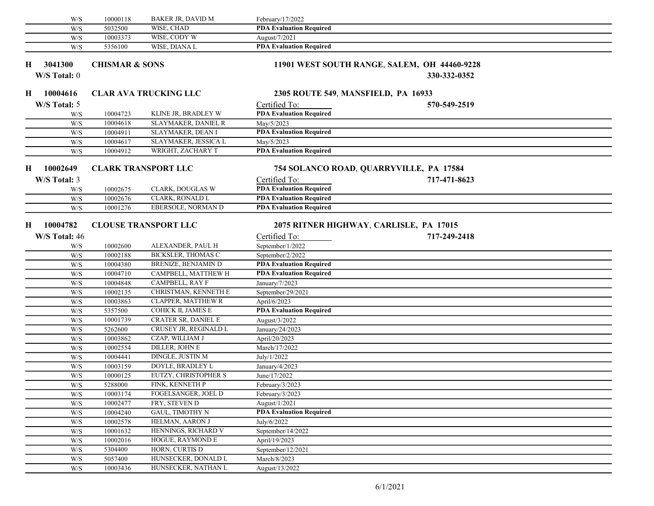|    | W/S           | 10000118                  | BAKER JR, DAVID M            | February/17/2022               |                                              |  |
|----|---------------|---------------------------|------------------------------|--------------------------------|----------------------------------------------|--|
|    | W/S           | 5032500                   | WISE, CHAD                   | <b>PDA Evaluation Required</b> |                                              |  |
|    | W/S           | 10003373                  | WISE, CODY W                 | August/7/2021                  |                                              |  |
|    | W/S           | 5356100                   | WISE, DIANA L                | <b>PDA Evaluation Required</b> |                                              |  |
| Н. | 3041300       | <b>CHISMAR &amp; SONS</b> |                              |                                | 11901 WEST SOUTH RANGE, SALEM, OH 44460-9228 |  |
|    | W/S Total: 0  |                           |                              |                                | 330-332-0352                                 |  |
|    |               |                           |                              |                                |                                              |  |
| H  | 10004616      |                           | <b>CLAR AVA TRUCKING LLC</b> |                                | 2305 ROUTE 549, MANSFIELD, PA 16933          |  |
|    | W/S Total: 5  |                           |                              | Certified To:                  | 570-549-2519                                 |  |
|    | W/S           | 10004723                  | KLINE JR, BRADLEY W          | <b>PDA Evaluation Required</b> |                                              |  |
|    | W/S           | 10004618                  | SLAYMAKER, DANIEL R          | May/5/2023                     |                                              |  |
|    | W/S           | 10004911                  | SLAYMAKER, DEAN I            | <b>PDA Evaluation Required</b> |                                              |  |
|    | W/S           | 10004617                  | SLAYMAKER, JESSICA L         | May/5/2023                     |                                              |  |
|    | W/S           | 10004912                  | WRIGHT, ZACHARY T            | <b>PDA Evaluation Required</b> |                                              |  |
| Н  | 10002649      |                           | <b>CLARK TRANSPORT LLC</b>   |                                | 754 SOLANCO ROAD, QUARRYVILLE, PA 17584      |  |
|    | W/S Total: 3  |                           |                              | Certified To:                  | 717-471-8623                                 |  |
|    | W/S           | 10002675                  | CLARK, DOUGLAS W             | <b>PDA Evaluation Required</b> |                                              |  |
|    | W/S           | 10002676                  | CLARK, RONALD L              | <b>PDA Evaluation Required</b> |                                              |  |
|    | W/S           | 10001276                  | EBERSOLE, NORMAN D           | <b>PDA Evaluation Required</b> |                                              |  |
|    |               |                           |                              |                                |                                              |  |
| H  | 10004782      |                           | <b>CLOUSE TRANSPORT LLC</b>  |                                | 2075 RITNER HIGHWAY, CARLISLE, PA 17015      |  |
|    | W/S Total: 46 |                           |                              | Certified To:                  | 717-249-2418                                 |  |
|    | W/S           | 10002600                  | ALEXANDER, PAUL H            | September/1/2022               |                                              |  |
|    | W/S           | 10002188                  | <b>BICKSLER, THOMAS C</b>    | September/2/2022               |                                              |  |
|    | W/S           | 10004380                  | BRENIZE, BENJAMIN D          | <b>PDA Evaluation Required</b> |                                              |  |
|    | W/S           | 10004710                  | CAMPBELL, MATTHEW H          | <b>PDA Evaluation Required</b> |                                              |  |
|    | W/S           | 10004848                  | CAMPBELL, RAY F              | January/7/2023                 |                                              |  |
|    | W/S           | 10002135                  | CHRISTMAN, KENNETH E         | September/29/2021              |                                              |  |
|    | W/S           | 10003863                  | CLAPPER, MATTHEW R           | April/6/2023                   |                                              |  |
|    | W/S           | 5357500                   | COHICK II, JAMES E           | <b>PDA Evaluation Required</b> |                                              |  |
|    | W/S           | 10001739                  | <b>CRATER SR, DANIEL E</b>   | August/3/2022                  |                                              |  |
|    | W/S           | 5262600                   | CRUSEY JR, REGINALD L        | January/24/2023                |                                              |  |
|    | W/S           | 10003862                  | CZAP, WILLIAM J              | April/20/2023                  |                                              |  |
|    | W/S           | 10002554                  | DILLER, JOHN E               | March/17/2022                  |                                              |  |
|    | W/S           | 10004441                  | <b>DINGLE, JUSTIN M</b>      | July/1/2022                    |                                              |  |
|    | W/S           | 10003159                  | DOYLE, BRADLEY L             | January/4/2023                 |                                              |  |
|    | W/S           | 10000125                  | EUTZY, CHRISTOPHER S         | June/17/2022                   |                                              |  |
|    | W/S           | 5288000                   | FINK, KENNETH P              | February/3/2023                |                                              |  |
|    | W/S           | 10003174                  | FOGELSANGER, JOEL D          | February/3/2023                |                                              |  |
|    | W/S           | 10002477                  | FRY, STEVEN D                | August/1/2021                  |                                              |  |
|    | W/S           | 10004240                  | GAUL, TIMOTHY N              | <b>PDA Evaluation Required</b> |                                              |  |
|    | W/S           | 10002578                  | HELMAN, AARON J              | July/6/2022                    |                                              |  |
|    | W/S           | 10001632                  | HENNINGS, RICHARD V          | September/14/2022              |                                              |  |
|    | W/S           | 10002016                  | HOGUE, RAYMOND E             | April/19/2023                  |                                              |  |
|    | W/S           | 5304400                   | HORN, CURTIS D               | September/12/2021              |                                              |  |
|    | W/S           | 5057400                   | HUNSECKER, DONALD L          | March/8/2023                   |                                              |  |
|    | W/S           | 10003436                  | HUNSECKER, NATHAN L          | August/13/2022                 |                                              |  |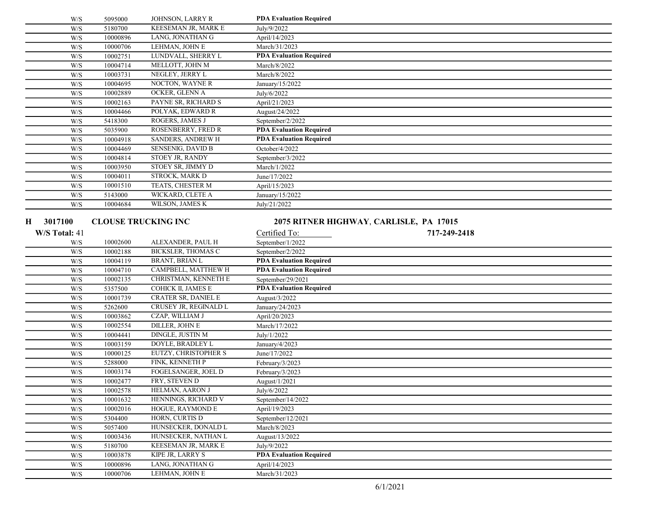|    | W/S           | 5095000                    | JOHNSON, LARRY R                          | <b>PDA Evaluation Required</b>                      |              |  |
|----|---------------|----------------------------|-------------------------------------------|-----------------------------------------------------|--------------|--|
|    | W/S           | 5180700                    | <b>KEESEMAN JR, MARK E</b>                | July/9/2022                                         |              |  |
|    | W/S           | 10000896                   | LANG, JONATHAN G                          | April/14/2023                                       |              |  |
|    | W/S           | 10000706                   | LEHMAN, JOHN E                            | March/31/2023                                       |              |  |
|    | W/S           | 10002751                   | LUNDVALL, SHERRY L                        | <b>PDA Evaluation Required</b>                      |              |  |
|    | W/S           | 10004714                   | MELLOTT, JOHN M                           | March/8/2022                                        |              |  |
|    | W/S           | 10003731                   | NEGLEY, JERRY L                           | March/8/2022                                        |              |  |
|    | W/S           | 10004695                   | NOCTON, WAYNE R                           | January/15/2022                                     |              |  |
|    | W/S           | 10002889                   | OCKER, GLENN A                            | July/6/2022                                         |              |  |
|    | W/S           | 10002163                   | PAYNE SR, RICHARD S                       | April/21/2023                                       |              |  |
|    | W/S           | 10004466                   | POLYAK, EDWARD R                          | August/24/2022                                      |              |  |
|    | W/S           | 5418300                    | ROGERS, JAMES J                           | September/2/2022                                    |              |  |
|    | W/S           | 5035900                    | ROSENBERRY, FRED R                        | <b>PDA Evaluation Required</b>                      |              |  |
|    | W/S           | 10004918                   | SANDERS, ANDREW H                         | <b>PDA</b> Evaluation Required                      |              |  |
|    | W/S           | 10004469                   | SENSENIG, DAVID B                         | October/4/2022                                      |              |  |
|    | W/S           | 10004814                   | STOEY JR, RANDY                           | September/3/2022                                    |              |  |
|    | W/S           | 10003950                   | STOEY SR, JIMMY D                         | March/1/2022                                        |              |  |
|    | W/S           | 10004011                   | STROCK, MARK D                            | June/17/2022                                        |              |  |
|    | W/S           | 10001510                   | TEATS, CHESTER M                          | April/15/2023                                       |              |  |
|    | W/S           | 5143000                    | WICKARD, CLETE A                          | January/15/2022                                     |              |  |
|    | W/S           | 10004684                   | WILSON, JAMES K                           | July/21/2022                                        |              |  |
|    |               |                            |                                           |                                                     |              |  |
| Н. | 3017100       | <b>CLOUSE TRUCKING INC</b> |                                           | 2075 RITNER HIGHWAY, CARLISLE, PA 17015             |              |  |
|    | W/S Total: 41 |                            |                                           | Certified To:                                       | 717-249-2418 |  |
|    |               |                            |                                           |                                                     |              |  |
|    |               |                            |                                           |                                                     |              |  |
|    | W/S           | 10002600                   | ALEXANDER, PAUL H                         | September/1/2022                                    |              |  |
|    | W/S           | 10002188                   | <b>BICKSLER, THOMAS C</b>                 | September/2/2022                                    |              |  |
|    | W/S           | 10004119                   | BRANT, BRIAN L                            | <b>PDA Evaluation Required</b>                      |              |  |
|    | W/S           | 10004710                   | CAMPBELL, MATTHEW H                       | <b>PDA Evaluation Required</b>                      |              |  |
|    | W/S           | 10002135<br>5357500        | CHRISTMAN, KENNETH E                      | September/29/2021<br><b>PDA Evaluation Required</b> |              |  |
|    | W/S           |                            | COHICK II, JAMES E                        |                                                     |              |  |
|    | W/S           | 10001739                   | CRATER SR, DANIEL E                       | August/3/2022                                       |              |  |
|    | W/S           | 5262600                    | CRUSEY JR, REGINALD L                     | January/24/2023                                     |              |  |
|    | W/S           | 10003862                   | CZAP, WILLIAM J                           | April/20/2023                                       |              |  |
|    | W/S           | 10002554                   | <b>DILLER, JOHN E</b><br>DINGLE, JUSTIN M | March/17/2022                                       |              |  |
|    | W/S<br>W/S    | 10004441                   | DOYLE, BRADLEY L                          | July/1/2022                                         |              |  |
|    | W/S           | 10003159<br>10000125       | EUTZY, CHRISTOPHER S                      | January/4/2023<br>June/17/2022                      |              |  |
|    |               |                            | FINK, KENNETH P                           |                                                     |              |  |
|    | W/S           | 5288000<br>10003174        | FOGELSANGER, JOEL D                       | February/3/2023                                     |              |  |
|    | W/S<br>W/S    | 10002477                   | FRY, STEVEN D                             | February/3/2023                                     |              |  |
|    |               |                            |                                           | August/1/2021                                       |              |  |
|    | W/S<br>W/S    | 10002578                   | HELMAN, AARON J<br>HENNINGS, RICHARD V    | July/6/2022                                         |              |  |
|    |               | 10001632<br>10002016       | HOGUE, RAYMOND E                          | September/14/2022<br>April/19/2023                  |              |  |
|    | W/S           | 5304400                    | HORN, CURTIS D                            | September/12/2021                                   |              |  |
|    | W/S<br>W/S    | 5057400                    | HUNSECKER, DONALD L                       | March/8/2023                                        |              |  |
|    | W/S           | 10003436                   | HUNSECKER, NATHAN L                       |                                                     |              |  |
|    | W/S           |                            | KEESEMAN JR, MARK E                       | August/13/2022<br>July/9/2022                       |              |  |
|    |               | 5180700                    | KIPE JR, LARRY S                          | <b>PDA Evaluation Required</b>                      |              |  |
|    | W/S<br>W/S    | 10003878<br>10000896       | LANG, JONATHAN G                          | April/14/2023                                       |              |  |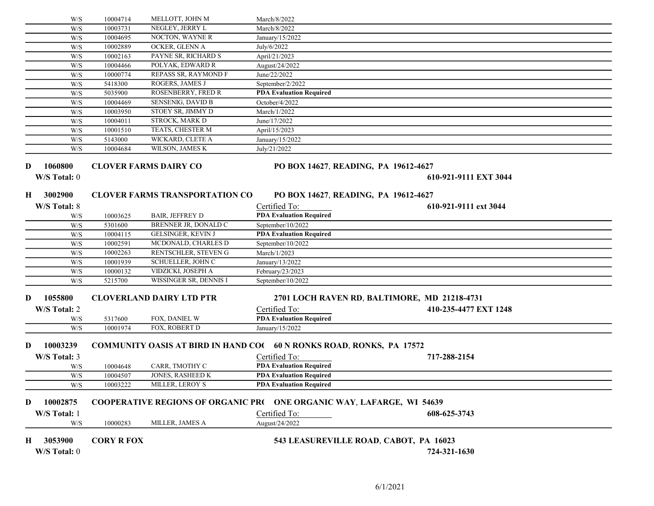|   | W/S                                                  | 10004714          | MELLOTT, JOHN M                       | March/8/2022                                                                |                                              |  |
|---|------------------------------------------------------|-------------------|---------------------------------------|-----------------------------------------------------------------------------|----------------------------------------------|--|
|   | W/S                                                  | 10003731          | NEGLEY, JERRY L                       | March/8/2022                                                                |                                              |  |
|   | W/S                                                  | 10004695          | NOCTON, WAYNE R                       | January/15/2022                                                             |                                              |  |
|   | W/S                                                  | 10002889          | OCKER, GLENN A                        | July/6/2022                                                                 |                                              |  |
|   | W/S                                                  | 10002163          | PAYNE SR, RICHARD S                   | April/21/2023                                                               |                                              |  |
|   | W/S                                                  | 10004466          | POLYAK, EDWARD R                      | August/24/2022                                                              |                                              |  |
|   | W/S                                                  | 10000774          | REPASS SR, RAYMOND F                  | June/22/2022                                                                |                                              |  |
|   | W/S                                                  | 5418300           | ROGERS, JAMES J                       | September/2/2022                                                            |                                              |  |
|   | W/S                                                  | 5035900           | ROSENBERRY, FRED R                    | <b>PDA Evaluation Required</b>                                              |                                              |  |
|   | W/S                                                  | 10004469          | <b>SENSENIG, DAVID B</b>              | October/4/2022                                                              |                                              |  |
|   | W/S                                                  | 10003950          | STOEY SR, JIMMY D                     | March/1/2022                                                                |                                              |  |
|   | W/S                                                  | 10004011          | <b>STROCK, MARK D</b>                 | June/17/2022                                                                |                                              |  |
|   | W/S                                                  | 10001510          | TEATS, CHESTER M                      | April/15/2023                                                               |                                              |  |
|   | W/S                                                  | 5143000           | WICKARD, CLETE A                      | January/15/2022                                                             |                                              |  |
|   | W/S                                                  | 10004684          | WILSON, JAMES K                       | July/21/2022                                                                |                                              |  |
|   |                                                      |                   |                                       |                                                                             |                                              |  |
| D | 1060800                                              |                   | <b>CLOVER FARMS DAIRY CO</b>          | PO BOX 14627, READING, PA 19612-4627                                        |                                              |  |
|   | W/S Total: 0                                         |                   |                                       |                                                                             | 610-921-9111 EXT 3044                        |  |
|   |                                                      |                   |                                       |                                                                             |                                              |  |
| H | 3002900                                              |                   | <b>CLOVER FARMS TRANSPORTATION CO</b> | PO BOX 14627, READING, PA 19612-4627                                        |                                              |  |
|   | W/S Total: 8                                         |                   |                                       | Certified To:                                                               | 610-921-9111 ext 3044                        |  |
|   | W/S                                                  | 10003625          | <b>BAIR, JEFFREY D</b>                | <b>PDA Evaluation Required</b>                                              |                                              |  |
|   | W/S                                                  | 5301600           | BRENNER JR, DONALD C                  | September/10/2022                                                           |                                              |  |
|   | W/S                                                  | 10004115          | <b>GELSINGER, KEVIN J</b>             | <b>PDA Evaluation Required</b>                                              |                                              |  |
|   | W/S                                                  | 10002591          | MCDONALD, CHARLES D                   | September/10/2022                                                           |                                              |  |
|   | W/S                                                  | 10002263          | RENTSCHLER, STEVEN G                  | March/1/2023                                                                |                                              |  |
|   | W/S                                                  | 10001939          | SCHUELLER, JOHN C                     | January/13/2022                                                             |                                              |  |
|   | W/S                                                  | 10000132          | VIDZICKI, JOSEPH A                    | February/23/2023                                                            |                                              |  |
|   | W/S                                                  | 5215700           | WISSINGER SR, DENNIS I                | September/10/2022                                                           |                                              |  |
|   |                                                      |                   |                                       |                                                                             |                                              |  |
| D | 1055800                                              |                   | <b>CLOVERLAND DAIRY LTD PTR</b>       |                                                                             | 2701 LOCH RAVEN RD, BALTIMORE, MD 21218-4731 |  |
|   | W/S Total: 2                                         |                   |                                       | Certified To:                                                               | 410-235-4477 EXT 1248                        |  |
|   | W/S                                                  | 5317600           | FOX, DANIEL W                         | <b>PDA Evaluation Required</b>                                              |                                              |  |
|   | W/S                                                  | 10001974          | FOX, ROBERT D                         | January/15/2022                                                             |                                              |  |
|   |                                                      |                   |                                       |                                                                             |                                              |  |
| D | 10003239                                             |                   |                                       | <b>COMMUNITY OASIS AT BIRD IN HAND CO( 60 N RONKS ROAD, RONKS, PA 17572</b> |                                              |  |
|   | W/S Total: 3                                         |                   |                                       | Certified To:                                                               | 717-288-2154                                 |  |
|   | W/S                                                  | 10004648          | CARR, TMOTHY C                        | <b>PDA Evaluation Required</b>                                              |                                              |  |
|   | W/S                                                  | 10004507          | JONES, RASHEED K                      | <b>PDA Evaluation Required</b>                                              |                                              |  |
|   | $\ensuremath{\text{W}}\xspace/\ensuremath{\text{S}}$ | 10003222          | <b>MILLER, LEROY S</b>                | <b>PDA Evaluation Required</b>                                              |                                              |  |
|   |                                                      |                   |                                       |                                                                             |                                              |  |
| D | 10002875                                             |                   |                                       | COOPERATIVE REGIONS OF ORGANIC PR( ONE ORGANIC WAY, LAFARGE, WI 54639       |                                              |  |
|   | W/S Total: 1                                         |                   |                                       | Certified To:                                                               | 608-625-3743                                 |  |
|   | W/S                                                  | 10000283          | MILLER, JAMES A                       | August/24/2022                                                              |                                              |  |
|   |                                                      |                   |                                       |                                                                             |                                              |  |
| H | 3053900                                              | <b>CORY R FOX</b> |                                       | 543 LEASUREVILLE ROAD, CABOT, PA 16023                                      |                                              |  |
|   | W/S Total: 0                                         |                   |                                       |                                                                             | 724-321-1630                                 |  |
|   |                                                      |                   |                                       |                                                                             |                                              |  |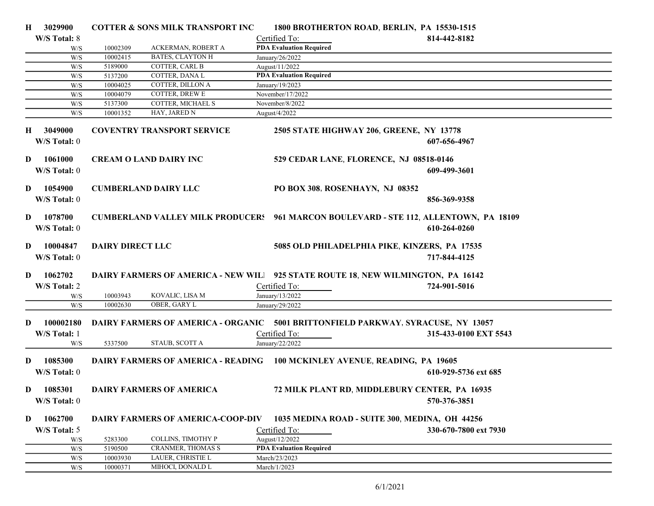| $\bf H$  | 3029900                          |                         | <b>COTTER &amp; SONS MILK TRANSPORT INC</b> |                                                                                                  | 1800 BROTHERTON ROAD, BERLIN, PA 15530-1515                                                                 |  |
|----------|----------------------------------|-------------------------|---------------------------------------------|--------------------------------------------------------------------------------------------------|-------------------------------------------------------------------------------------------------------------|--|
|          | W/S Total: 8                     |                         |                                             | Certified To:                                                                                    | 814-442-8182                                                                                                |  |
|          | W/S                              | 10002309                | ACKERMAN, ROBERT A                          | <b>PDA Evaluation Required</b>                                                                   |                                                                                                             |  |
|          | W/S                              | 10002415                | <b>BATES, CLAYTON H</b>                     | January/26/2022                                                                                  |                                                                                                             |  |
|          | W/S                              | 5189000                 | COTTER, CARL B                              | August/11/2022                                                                                   |                                                                                                             |  |
|          | W/S                              | 5137200                 | COTTER, DANA L                              | <b>PDA Evaluation Required</b>                                                                   |                                                                                                             |  |
|          | W/S                              | 10004025                | COTTER, DILLON A                            | January/19/2023                                                                                  |                                                                                                             |  |
|          | W/S                              | 10004079                | COTTER, DREW E                              | November/17/2022                                                                                 |                                                                                                             |  |
|          | W/S                              | 5137300                 | COTTER, MICHAEL S                           | November/8/2022                                                                                  |                                                                                                             |  |
|          | W/S                              | 10001352                | HAY, JARED N                                | August/4/2022                                                                                    |                                                                                                             |  |
|          | H 3049000<br>W/S Total: 0        |                         | <b>COVENTRY TRANSPORT SERVICE</b>           |                                                                                                  | 2505 STATE HIGHWAY 206, GREENE, NY 13778<br>607-656-4967                                                    |  |
| D        | 1061000<br>W/S Total: 0          |                         | <b>CREAM O LAND DAIRY INC</b>               | 529 CEDAR LANE, FLORENCE, NJ 08518-0146                                                          | 609-499-3601                                                                                                |  |
| D        | 1054900<br>W/S Total: 0          |                         | <b>CUMBERLAND DAIRY LLC</b>                 | PO BOX 308, ROSENHAYN, NJ 08352                                                                  | 856-369-9358                                                                                                |  |
| D        | 1078700<br>W/S Total: 0          |                         |                                             |                                                                                                  | <b>CUMBERLAND VALLEY MILK PRODUCER: 961 MARCON BOULEVARD - STE 112, ALLENTOWN, PA 18109</b><br>610-264-0260 |  |
| D        | 10004847<br>W/S Total: 0         | <b>DAIRY DIRECT LLC</b> |                                             |                                                                                                  | 5085 OLD PHILADELPHIA PIKE, KINZERS, PA 17535<br>717-844-4125                                               |  |
| D        | 1062702<br>W/S Total: 2          |                         |                                             | DAIRY FARMERS OF AMERICA - NEW WIL 925 STATE ROUTE 18, NEW WILMINGTON, PA 16142<br>Certified To: | 724-901-5016                                                                                                |  |
|          | W/S                              | 10003943                | KOVALIC, LISA M                             | January/13/2022                                                                                  |                                                                                                             |  |
|          | W/S                              | 10002630                | OBER, GARY L                                | January/29/2022                                                                                  |                                                                                                             |  |
| D        | 100002180<br>W/S Total: 1<br>W/S | 5337500                 | STAUB, SCOTT A                              | Certified To:<br>January/22/2022                                                                 | DAIRY FARMERS OF AMERICA - ORGANIC 5001 BRITTONFIELD PARKWAY, SYRACUSE, NY 13057<br>315-433-0100 EXT 5543   |  |
| D        | 1085300                          |                         |                                             | DAIRY FARMERS OF AMERICA - READING 100 MCKINLEY AVENUE, READING, PA 19605                        |                                                                                                             |  |
|          | W/S Total: 0                     |                         |                                             |                                                                                                  | 610-929-5736 ext 685                                                                                        |  |
| $\bf{D}$ | 1085301<br>W/S Total: 0          |                         | DAIRY FARMERS OF AMERICA                    |                                                                                                  | 72 MILK PLANT RD, MIDDLEBURY CENTER, PA 16935<br>570-376-3851                                               |  |
| D        | 1062700                          |                         | <b>DAIRY FARMERS OF AMERICA-COOP-DIV</b>    |                                                                                                  | 1035 MEDINA ROAD - SUITE 300, MEDINA, OH 44256                                                              |  |
|          | W/S Total: 5                     |                         |                                             | Certified To:                                                                                    | 330-670-7800 ext 7930                                                                                       |  |
|          | W/S                              | 5283300                 | COLLINS, TIMOTHY P                          | August/12/2022                                                                                   |                                                                                                             |  |
|          | W/S                              | 5190500                 | <b>CRANMER, THOMAS S</b>                    | <b>PDA Evaluation Required</b>                                                                   |                                                                                                             |  |
|          | W/S                              | 10003930                | LAUER, CHRISTIE L                           | March/23/2023                                                                                    |                                                                                                             |  |
|          | W/S                              | 10000371                | MIHOCI, DONALD L                            | March/1/2023                                                                                     |                                                                                                             |  |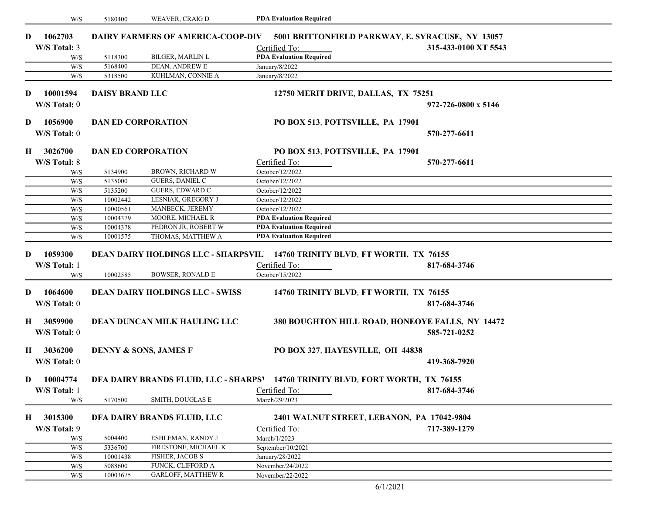|                                     | W/S          | 5180400                | WEAVER, CRAIG D                          | <b>PDA Evaluation Required</b>                                                                                 |                      |
|-------------------------------------|--------------|------------------------|------------------------------------------|----------------------------------------------------------------------------------------------------------------|----------------------|
| 1062703<br>D                        |              |                        | <b>DAIRY FARMERS OF AMERICA-COOP-DIV</b> | 5001 BRITTONFIELD PARKWAY, E. SYRACUSE, NY 13057                                                               |                      |
| W/S Total: 3                        |              |                        |                                          | Certified To:                                                                                                  | 315-433-0100 XT 5543 |
|                                     | W/S          | 5118300                | BILGER, MARLIN L                         | <b>PDA Evaluation Required</b>                                                                                 |                      |
|                                     | W/S          | 5168400                | DEAN, ANDREW E                           | January/8/2022                                                                                                 |                      |
|                                     | W/S          | 5318500                | KUHLMAN, CONNIE A                        | January/8/2022                                                                                                 |                      |
|                                     |              |                        |                                          |                                                                                                                |                      |
| D                                   | 10001594     | <b>DAISY BRAND LLC</b> |                                          | 12750 MERIT DRIVE, DALLAS, TX 75251                                                                            |                      |
| W/S Total: 0                        |              |                        |                                          |                                                                                                                | 972-726-0800 x 5146  |
| D                                   | 1056900      |                        | <b>DAN ED CORPORATION</b>                | PO BOX 513, POTTSVILLE, PA 17901                                                                               |                      |
|                                     | W/S Total: 0 |                        |                                          |                                                                                                                | 570-277-6611         |
| 3026700<br>Н.                       |              |                        | <b>DAN ED CORPORATION</b>                | PO BOX 513, POTTSVILLE, PA 17901                                                                               |                      |
| W/S Total: 8                        |              |                        |                                          | Certified To:                                                                                                  | 570-277-6611         |
|                                     |              | 5134900                | BROWN, RICHARD W                         | October/12/2022                                                                                                |                      |
|                                     | W/S<br>W/S   | 5135000                | GUERS, DANIEL C                          | October/12/2022                                                                                                |                      |
|                                     | W/S          | 5135200                | <b>GUERS, EDWARD C</b>                   | October/12/2022                                                                                                |                      |
|                                     | W/S          | 10002442               | LESNIAK, GREGORY J                       | October/12/2022                                                                                                |                      |
|                                     | W/S          | 10000561               | MANBECK, JEREMY                          | October/12/2022                                                                                                |                      |
|                                     | W/S          | 10004379               | MOORE, MICHAEL R                         | <b>PDA Evaluation Required</b>                                                                                 |                      |
|                                     | W/S          | 10004378               | PEDRON JR, ROBERT W                      | <b>PDA Evaluation Required</b>                                                                                 |                      |
|                                     | W/S          | 10001575               | THOMAS, MATTHEW A                        | <b>PDA Evaluation Required</b>                                                                                 |                      |
| 1059300<br>D<br>W/S Total: 1        | W/S          | 10002585               | <b>BOWSER, RONALD E</b>                  | DEAN DAIRY HOLDINGS LLC - SHARPSVIL 14760 TRINITY BLVD, FT WORTH, TX 76155<br>Certified To:<br>October/15/2022 | 817-684-3746         |
| 1064600<br>D<br>W/S Total: 0        |              |                        | <b>DEAN DAIRY HOLDINGS LLC - SWISS</b>   | 14760 TRINITY BLVD, FT WORTH, TX 76155                                                                         | 817-684-3746         |
| 3059900<br>$\bf{H}$<br>W/S Total: 0 |              |                        | DEAN DUNCAN MILK HAULING LLC             | 380 BOUGHTON HILL ROAD, HONEOYE FALLS, NY 14472                                                                | 585-721-0252         |
| 3036200<br>Н.                       | W/S Total: 0 |                        | <b>DENNY &amp; SONS, JAMES F</b>         | PO BOX 327, HAYESVILLE, OH 44838                                                                               | 419-368-7920         |
|                                     | 10004774     |                        |                                          |                                                                                                                |                      |
| $\bf{D}$                            |              |                        |                                          | DFA DAIRY BRANDS FLUID, LLC - SHARPS <sup>1</sup> 14760 TRINITY BLVD, FORT WORTH, TX 76155                     |                      |
| W/S Total: 1                        | W/S          | 5170500                | SMITH, DOUGLAS E                         | Certified To:<br>March/29/2023                                                                                 | 817-684-3746         |
| $\bf{H}$                            | 3015300      |                        | DFA DAIRY BRANDS FLUID, LLC              | 2401 WALNUT STREET, LEBANON, PA 17042-9804                                                                     |                      |
|                                     |              |                        |                                          |                                                                                                                |                      |
| W/S Total: 9                        |              |                        | ESHLEMAN, RANDY J                        | Certified To:<br>March/1/2023                                                                                  | 717-389-1279         |
|                                     | W/S          | 5004400                |                                          |                                                                                                                |                      |
|                                     | W/S<br>W/S   | 5336700<br>10001438    | FIRESTONE, MICHAEL K<br>FISHER, JACOB S  | September/10/2021                                                                                              |                      |
|                                     | W/S          | 5088600                | FUNCK, CLIFFORD A                        | January/28/2022<br>November/24/2022                                                                            |                      |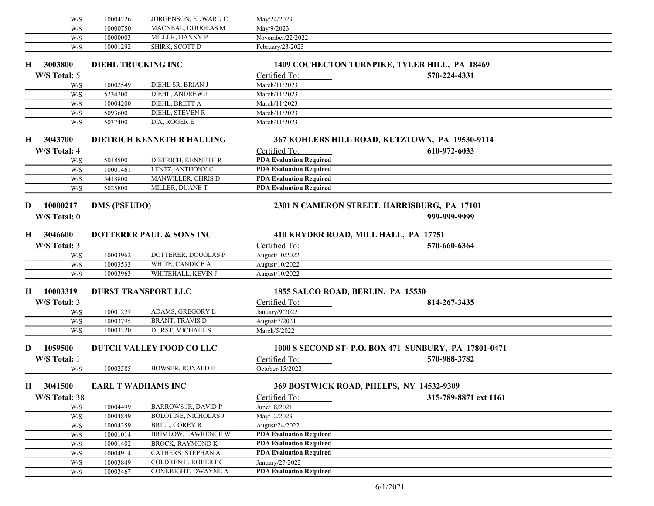|          | W/S           | 10004226                  | JORGENSON, EDWARD C                 | May/24/2023                          |                                                        |  |
|----------|---------------|---------------------------|-------------------------------------|--------------------------------------|--------------------------------------------------------|--|
|          | W/S           | 10000750                  | MACNEAL, DOUGLAS M                  | May/9/2023                           |                                                        |  |
|          | W/S           | 10000003                  | MILLER, DANNY P                     | November/22/2022                     |                                                        |  |
|          | W/S           | 10001292                  | SHIRK, SCOTT D                      | February/23/2023                     |                                                        |  |
|          |               |                           |                                     |                                      |                                                        |  |
| Н.       | 3003800       | <b>DIEHL TRUCKING INC</b> |                                     |                                      | 1409 COCHECTON TURNPIKE, TYLER HILL, PA 18469          |  |
|          | W/S Total: 5  |                           |                                     | Certified To:                        | 570-224-4331                                           |  |
|          | W/S           | 10002549                  | DIEHL SR, BRIAN J                   | March/11/2023                        |                                                        |  |
|          | W/S           | 5234200                   | DIEHL, ANDREW J                     | March/11/2023                        |                                                        |  |
|          | W/S           | 10004200                  | DIEHL, BRETT A                      | March/11/2023                        |                                                        |  |
|          | W/S           | 5093600                   | DIEHL, STEVEN R                     | March/11/2023                        |                                                        |  |
|          | W/S           | 5037400                   | DIX, ROGER E                        | March/11/2023                        |                                                        |  |
| $\bf{H}$ | 3043700       |                           | DIETRICH KENNETH R HAULING          |                                      | 367 KOHLERS HILL ROAD, KUTZTOWN, PA 19530-9114         |  |
|          |               |                           |                                     |                                      |                                                        |  |
|          | W/S Total: 4  |                           |                                     | Certified To:                        | 610-972-6033                                           |  |
|          | W/S           | 5018500                   | DIETRICH, KENNETH R                 | <b>PDA Evaluation Required</b>       |                                                        |  |
|          | W/S           | 10001461                  | LENTZ, ANTHONY C                    | <b>PDA Evaluation Required</b>       |                                                        |  |
|          | W/S           | 5418800                   | MANWILLER, CHRIS D                  | <b>PDA Evaluation Required</b>       |                                                        |  |
|          | W/S           | 5025800                   | MILLER, DUANE T                     | <b>PDA Evaluation Required</b>       |                                                        |  |
| D        | 10000217      | <b>DMS (PSEUDO)</b>       |                                     |                                      | 2301 N CAMERON STREET, HARRISBURG, PA 17101            |  |
|          |               |                           |                                     |                                      | 999-999-9999                                           |  |
|          | W/S Total: 0  |                           |                                     |                                      |                                                        |  |
| $\bf{H}$ | 3046600       |                           | <b>DOTTERER PAUL &amp; SONS INC</b> | 410 KRYDER ROAD, MILL HALL, PA 17751 |                                                        |  |
|          | W/S Total: 3  |                           |                                     | Certified To:                        | 570-660-6364                                           |  |
|          | W/S           | 10003962                  | DOTTERER, DOUGLAS P                 | August/10/2022                       |                                                        |  |
|          | W/S           | 10003533                  | WHITE, CANDICE A                    | August/10/2022                       |                                                        |  |
|          | W/S           | 10003963                  | WHITEHALL, KEVIN J                  | August/10/2022                       |                                                        |  |
|          |               |                           |                                     |                                      |                                                        |  |
| Н.       | 10003319      |                           | <b>DURST TRANSPORT LLC</b>          | 1855 SALCO ROAD, BERLIN, PA 15530    |                                                        |  |
|          | W/S Total: 3  |                           |                                     | Certified To:                        | 814-267-3435                                           |  |
|          | W/S           | 10001227                  | ADAMS, GREGORY L                    | January/9/2022                       |                                                        |  |
|          | W/S           | 10003795                  | <b>BRANT, TRAVIS D</b>              | August/7/2021                        |                                                        |  |
|          | W/S           | 10003320                  | DURST, MICHAEL S                    | March/5/2022                         |                                                        |  |
|          |               |                           |                                     |                                      |                                                        |  |
| D        | 1059500       |                           | DUTCH VALLEY FOOD CO LLC            |                                      | 1000 S SECOND ST- P.O. BOX 471, SUNBURY, PA 17801-0471 |  |
|          | W/S Total: 1  |                           |                                     | Certified To:                        | 570-988-3782                                           |  |
|          | W/S           | 10002585                  | <b>BOWSER, RONALD E</b>             | October/15/2022                      |                                                        |  |
|          | H 3041500     | <b>EARL T WADHAMS INC</b> |                                     |                                      | 369 BOSTWICK ROAD, PHELPS, NY 14532-9309               |  |
|          | W/S Total: 38 |                           |                                     | Certified To:                        | 315-789-8871 ext 1161                                  |  |
|          |               | 10004499                  | <b>BARROWS JR, DAVID P</b>          | June/18/2021                         |                                                        |  |
|          | W/S<br>W/S    | 10004849                  | <b>BOLOTINE, NICHOLAS J</b>         | May/12/2023                          |                                                        |  |
|          | W/S           | 10004359                  | <b>BRILL, COREY R</b>               | August/24/2022                       |                                                        |  |
|          | W/S           | 10001014                  | <b>BRIMLOW, LAWRENCE W</b>          | <b>PDA Evaluation Required</b>       |                                                        |  |
|          | W/S           | 10001402                  | <b>BROCK, RAYMOND K</b>             | <b>PDA Evaluation Required</b>       |                                                        |  |
|          | W/S           | 10004914                  | CATHERS, STEPHAN A                  | <b>PDA Evaluation Required</b>       |                                                        |  |
|          |               | 10003849                  | COLDREN II, ROBERT C                | January/27/2022                      |                                                        |  |
|          | W/S           | 10003467                  | CONKRIGHT, DWAYNE A                 | <b>PDA Evaluation Required</b>       |                                                        |  |
|          | W/S           |                           |                                     |                                      |                                                        |  |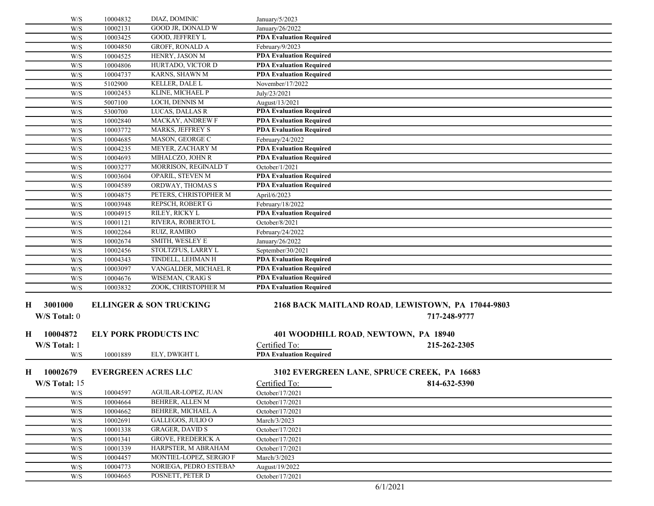|   | W/S                                                  | 10004832 | DIAZ, DOMINIC                      | January/5/2023                 |                                                   |  |
|---|------------------------------------------------------|----------|------------------------------------|--------------------------------|---------------------------------------------------|--|
|   | W/S                                                  | 10002131 | GOOD JR, DONALD W                  | January/26/2022                |                                                   |  |
|   | W/S                                                  | 10003425 | GOOD, JEFFREY L                    | <b>PDA Evaluation Required</b> |                                                   |  |
|   | W/S                                                  | 10004850 | GROFF, RONALD A                    | February/9/2023                |                                                   |  |
|   | W/S                                                  | 10004525 | HENRY, JASON M                     | <b>PDA Evaluation Required</b> |                                                   |  |
|   | W/S                                                  | 10004806 | HURTADO, VICTOR D                  | <b>PDA Evaluation Required</b> |                                                   |  |
|   | W/S                                                  | 10004737 | KARNS, SHAWN M                     | <b>PDA Evaluation Required</b> |                                                   |  |
|   | W/S                                                  | 5102900  | KELLER, DALE L                     | November/17/2022               |                                                   |  |
|   | W/S                                                  | 10002453 | KLINE, MICHAEL P                   | July/23/2021                   |                                                   |  |
|   | W/S                                                  | 5007100  | LOCH, DENNIS M                     | August/13/2021                 |                                                   |  |
|   | W/S                                                  | 5300700  | LUCAS, DALLAS R                    | <b>PDA Evaluation Required</b> |                                                   |  |
|   | W/S                                                  | 10002840 | MACKAY, ANDREW F                   | <b>PDA Evaluation Required</b> |                                                   |  |
|   | W/S                                                  | 10003772 | <b>MARKS, JEFFREY S</b>            | <b>PDA Evaluation Required</b> |                                                   |  |
|   | W/S                                                  | 10004685 | MASON, GEORGE C                    | February/24/2022               |                                                   |  |
|   | W/S                                                  | 10004235 | MEYER, ZACHARY M                   | <b>PDA Evaluation Required</b> |                                                   |  |
|   | W/S                                                  | 10004693 | MIHALCZO, JOHN R                   | <b>PDA Evaluation Required</b> |                                                   |  |
|   | W/S                                                  | 10003277 | MORRISON, REGINALD T               | October/1/2021                 |                                                   |  |
|   | W/S                                                  | 10003604 | OPARIL, STEVEN M                   | <b>PDA Evaluation Required</b> |                                                   |  |
|   | W/S                                                  | 10004589 | ORDWAY, THOMAS S                   | <b>PDA Evaluation Required</b> |                                                   |  |
|   | W/S                                                  | 10004875 | PETERS, CHRISTOPHER M              | April/6/2023                   |                                                   |  |
|   | W/S                                                  | 10003948 | REPSCH, ROBERT G                   | February/18/2022               |                                                   |  |
|   | W/S                                                  | 10004915 | RILEY, RICKY L                     | <b>PDA Evaluation Required</b> |                                                   |  |
|   | W/S                                                  | 10001121 | RIVERA, ROBERTO L                  | October/8/2021                 |                                                   |  |
|   | W/S                                                  | 10002264 | RUIZ, RAMIRO                       | February/24/2022               |                                                   |  |
|   | W/S                                                  | 10002674 | SMITH, WESLEY E                    | January/26/2022                |                                                   |  |
|   | W/S                                                  | 10002456 | STOLTZFUS, LARRY L                 | September/30/2021              |                                                   |  |
|   | W/S                                                  | 10004343 | TINDELL, LEHMAN H                  | <b>PDA Evaluation Required</b> |                                                   |  |
|   | W/S                                                  | 10003097 | VANGALDER, MICHAEL R               | <b>PDA Evaluation Required</b> |                                                   |  |
|   | W/S                                                  | 10004676 | <b>WISEMAN, CRAIG S</b>            | <b>PDA Evaluation Required</b> |                                                   |  |
|   | W/S                                                  | 10003832 | ZOOK, CHRISTOPHER M                | <b>PDA Evaluation Required</b> |                                                   |  |
|   |                                                      |          |                                    |                                |                                                   |  |
| Н | 3001000                                              |          | <b>ELLINGER &amp; SON TRUCKING</b> |                                | 2168 BACK MAITLAND ROAD, LEWISTOWN, PA 17044-9803 |  |
|   | W/S Total: 0                                         |          |                                    |                                | 717-248-9777                                      |  |
|   |                                                      |          |                                    |                                |                                                   |  |
| H | 10004872                                             |          | <b>ELY PORK PRODUCTS INC</b>       |                                | 401 WOODHILL ROAD, NEWTOWN, PA 18940              |  |
|   | W/S Total: 1                                         |          |                                    | Certified To:                  | 215-262-2305                                      |  |
|   | W/S                                                  | 10001889 | ELY, DWIGHT L                      | <b>PDA Evaluation Required</b> |                                                   |  |
|   |                                                      |          |                                    |                                |                                                   |  |
| Н | 10002679                                             |          | <b>EVERGREEN ACRES LLC</b>         |                                | 3102 EVERGREEN LANE, SPRUCE CREEK, PA 16683       |  |
|   | W/S Total: 15                                        |          |                                    | Certified To:                  | 814-632-5390                                      |  |
|   | W/S                                                  | 10004597 | AGUILAR-LOPEZ, JUAN                | October/17/2021                |                                                   |  |
|   | W/S                                                  | 10004664 | BEHRER, ALLEN M                    | October/17/2021                |                                                   |  |
|   | W/S                                                  | 10004662 | BEHRER, MICHAEL A                  | October/17/2021                |                                                   |  |
|   | W/S                                                  | 10002691 | GALLEGOS, JULIO O                  | March/3/2023                   |                                                   |  |
|   | W/S                                                  | 10001338 | <b>GRAGER, DAVID S</b>             | October/17/2021                |                                                   |  |
|   | W/S                                                  | 10001341 | <b>GROVE, FREDERICK A</b>          | October/17/2021                |                                                   |  |
|   | W/S                                                  | 10001339 | HARPSTER, M ABRAHAM                | October/17/2021                |                                                   |  |
|   | W/S                                                  | 10004457 | MONTIEL-LOPEZ, SERGIO F            | March/3/2023                   |                                                   |  |
|   | W/S                                                  | 10004773 | NORIEGA, PEDRO ESTEBAN             | August/19/2022                 |                                                   |  |
|   | $\ensuremath{\text{W}}\xspace/\ensuremath{\text{S}}$ | 10004665 | POSNETT, PETER D                   | October/17/2021                |                                                   |  |
|   |                                                      |          |                                    |                                |                                                   |  |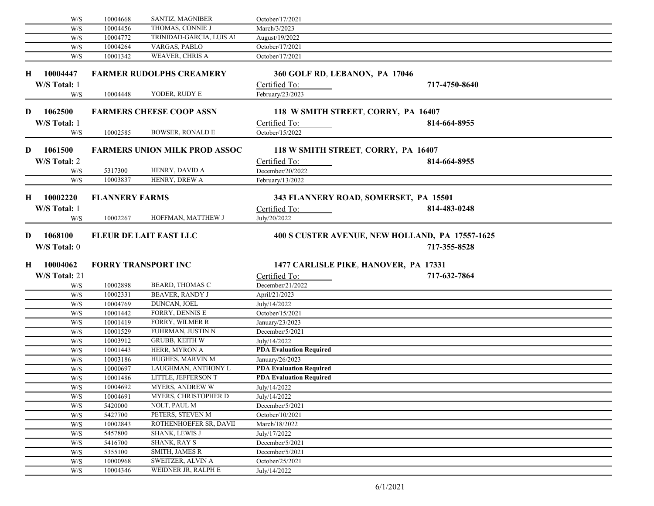|    | W/S                     | 10004668              | SANTIZ, MAGNIBER                              | October/17/2021                |                                                                 |  |
|----|-------------------------|-----------------------|-----------------------------------------------|--------------------------------|-----------------------------------------------------------------|--|
|    | W/S                     | 10004456              | THOMAS, CONNIE J                              | March/3/2023                   |                                                                 |  |
|    | W/S                     | 10004772              | TRINIDAD-GARCIA, LUIS Al                      | August/19/2022                 |                                                                 |  |
|    | W/S                     | 10004264              | VARGAS, PABLO                                 | October/17/2021                |                                                                 |  |
|    | W/S                     | 10001342              | WEAVER, CHRIS A                               | October/17/2021                |                                                                 |  |
| н. | 10004447                |                       | <b>FARMER RUDOLPHS CREAMERY</b>               |                                | 360 GOLF RD, LEBANON, PA 17046                                  |  |
|    | W/S Total: 1            |                       |                                               | Certified To:                  | 717-4750-8640                                                   |  |
|    | W/S                     | 10004448              | YODER, RUDY E                                 | February/23/2023               |                                                                 |  |
| D  | 1062500                 |                       | <b>FARMERS CHEESE COOP ASSN</b>               |                                | 118 W SMITH STREET, CORRY, PA 16407                             |  |
|    | W/S Total: 1            |                       |                                               | Certified To:                  | 814-664-8955                                                    |  |
|    | W/S                     | 10002585              | <b>BOWSER, RONALD E</b>                       | October/15/2022                |                                                                 |  |
| D  | 1061500                 |                       | <b>FARMERS UNION MILK PROD ASSOC</b>          |                                | 118 W SMITH STREET, CORRY, PA 16407                             |  |
|    | W/S Total: 2            |                       |                                               | Certified To:                  | 814-664-8955                                                    |  |
|    | W/S                     | 5317300               | HENRY, DAVID A                                | December/20/2022               |                                                                 |  |
|    | W/S                     | 10003837              | HENRY, DREW A                                 | February/13/2022               |                                                                 |  |
| Н. | 10002220                | <b>FLANNERY FARMS</b> |                                               |                                | 343 FLANNERY ROAD, SOMERSET, PA 15501                           |  |
|    | W/S Total: 1            |                       |                                               | Certified To:                  | 814-483-0248                                                    |  |
|    | W/S                     | 10002267              | HOFFMAN, MATTHEW J                            | July/20/2022                   |                                                                 |  |
| D  | 1068100<br>W/S Total: 0 |                       | <b>FLEUR DE LAIT EAST LLC</b>                 |                                | 400 S CUSTER AVENUE, NEW HOLLAND, PA 17557-1625<br>717-355-8528 |  |
| Н  | 10004062                |                       | <b>FORRY TRANSPORT INC</b>                    |                                | 1477 CARLISLE PIKE, HANOVER, PA 17331                           |  |
|    | W/S Total: 21           |                       |                                               | Certified To:                  | 717-632-7864                                                    |  |
|    | W/S                     | 10002898              | <b>BEARD, THOMAS C</b>                        | December/21/2022               |                                                                 |  |
|    | W/S                     | 10002331              | <b>BEAVER, RANDY J</b>                        | April/21/2023                  |                                                                 |  |
|    | W/S                     | 10004769              | DUNCAN, JOEL                                  | July/14/2022                   |                                                                 |  |
|    | W/S                     | 10001442              | FORRY, DENNIS E                               | October/15/2021                |                                                                 |  |
|    | W/S                     | 10001419              | FORRY, WILMER R                               | January/23/2023                |                                                                 |  |
|    | W/S                     | 10001529              | FUHRMAN, JUSTIN N                             | December/5/2021                |                                                                 |  |
|    | W/S                     | 10003912              | <b>GRUBB, KEITH W</b>                         | July/14/2022                   |                                                                 |  |
|    | W/S                     | 10001443              | HERR, MYRON A                                 | <b>PDA Evaluation Required</b> |                                                                 |  |
|    | W/S                     | 10003186              | HUGHES, MARVIN M                              | January/26/2023                |                                                                 |  |
|    | W/S                     | 10000697              | LAUGHMAN, ANTHONY L                           | <b>PDA Evaluation Required</b> |                                                                 |  |
|    | W/S                     | 10001486              | LITTLE, JEFFERSON T<br><b>MYERS, ANDREW W</b> | <b>PDA Evaluation Required</b> |                                                                 |  |
|    | $\mathrm{W}/\mathrm{S}$ | 10004692              |                                               | July/14/2022                   |                                                                 |  |
|    | W/S                     | 10004691<br>5420000   | <b>MYERS, CHRISTOPHER D</b><br>NOLT, PAUL M   | July/14/2022                   |                                                                 |  |
|    | W/S                     |                       | PETERS, STEVEN M                              | December/5/2021                |                                                                 |  |
|    | W/S                     | 5427700               | ROTHENHOEFER SR, DAVII                        | October/10/2021                |                                                                 |  |
|    | W/S<br>W/S              | 10002843<br>5457800   | SHANK, LEWIS J                                | March/18/2022<br>July/17/2022  |                                                                 |  |
|    | W/S                     | 5416700               | <b>SHANK, RAY S</b>                           | December/5/2021                |                                                                 |  |
|    | W/S                     | 5355100               | SMITH, JAMES R                                | December/5/2021                |                                                                 |  |
|    | $\mathrm{W}/\mathrm{S}$ | 10000968              | SWEITZER, ALVIN A                             | October/25/2021                |                                                                 |  |
|    |                         | 10004346              | WEIDNER JR, RALPH E                           | July/14/2022                   |                                                                 |  |
|    | W/S                     |                       |                                               |                                |                                                                 |  |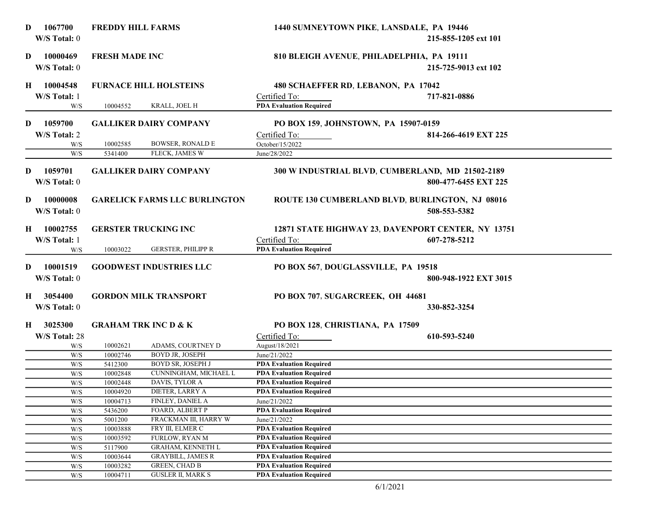| D. | 1067700<br>W/S Total: 0  | <b>FREDDY HILL FARMS</b> |                                                  | 1440 SUMNEYTOWN PIKE, LANSDALE, PA 19446                         | 215-855-1205 ext 101  |
|----|--------------------------|--------------------------|--------------------------------------------------|------------------------------------------------------------------|-----------------------|
| D  | 10000469<br>W/S Total: 0 | <b>FRESH MADE INC</b>    |                                                  | 810 BLEIGH AVENUE, PHILADELPHIA, PA 19111                        | 215-725-9013 ext 102  |
| H  | 10004548                 |                          | <b>FURNACE HILL HOLSTEINS</b>                    | 480 SCHAEFFER RD, LEBANON, PA 17042                              |                       |
|    | W/S Total: 1             |                          |                                                  | Certified To:                                                    | 717-821-0886          |
|    | W/S                      | 10004552                 | KRALL, JOEL H                                    | <b>PDA Evaluation Required</b>                                   |                       |
|    |                          |                          |                                                  |                                                                  |                       |
| D  | 1059700                  |                          | <b>GALLIKER DAIRY COMPANY</b>                    | PO BOX 159, JOHNSTOWN, PA 15907-0159                             |                       |
|    | W/S Total: 2             |                          |                                                  | Certified To:                                                    | 814-266-4619 EXT 225  |
|    | W/S                      | 10002585                 | <b>BOWSER, RONALD E</b>                          | October/15/2022                                                  |                       |
|    | W/S                      | 5341400                  | FLECK, JAMES W                                   | June/28/2022                                                     |                       |
|    |                          |                          |                                                  |                                                                  |                       |
| D  | 1059701                  |                          | <b>GALLIKER DAIRY COMPANY</b>                    | 300 W INDUSTRIAL BLVD, CUMBERLAND, MD 21502-2189                 |                       |
|    | W/S Total: 0             |                          |                                                  |                                                                  | 800-477-6455 EXT 225  |
|    |                          |                          |                                                  |                                                                  |                       |
| D  | 10000008                 |                          | <b>GARELICK FARMS LLC BURLINGTON</b>             | ROUTE 130 CUMBERLAND BLVD, BURLINGTON, NJ 08016                  |                       |
|    | W/S Total: 0             |                          |                                                  |                                                                  | 508-553-5382          |
|    |                          |                          |                                                  |                                                                  |                       |
| H  | 10002755                 |                          | <b>GERSTER TRUCKING INC</b>                      | 12871 STATE HIGHWAY 23, DAVENPORT CENTER, NY 13751               |                       |
|    | W/S Total: 1             |                          |                                                  | Certified To:                                                    | 607-278-5212          |
|    | W/S                      | 10003022                 | <b>GERSTER, PHILIPP R</b>                        | <b>PDA Evaluation Required</b>                                   |                       |
|    |                          |                          |                                                  |                                                                  |                       |
| D. | 10001519                 |                          | <b>GOODWEST INDUSTRIES LLC</b>                   | PO BOX 567, DOUGLASSVILLE, PA 19518                              |                       |
|    | W/S Total: 0             |                          |                                                  |                                                                  | 800-948-1922 EXT 3015 |
| Н. | 3054400                  |                          | <b>GORDON MILK TRANSPORT</b>                     | PO BOX 707, SUGARCREEK, OH 44681                                 |                       |
|    | W/S Total: 0             |                          |                                                  |                                                                  |                       |
|    |                          |                          |                                                  |                                                                  | 330-852-3254          |
| Н. | 3025300                  |                          | <b>GRAHAM TRK INC D &amp; K</b>                  | PO BOX 128, CHRISTIANA, PA 17509                                 |                       |
|    | W/S Total: 28            |                          |                                                  | Certified To:                                                    | 610-593-5240          |
|    | W/S                      | 10002621                 | ADAMS, COURTNEY D                                | August/18/2021                                                   |                       |
|    | W/S                      | 10002746                 | BOYD JR, JOSEPH                                  | June/21/2022                                                     |                       |
|    | W/S                      | 5412300                  | <b>BOYD SR, JOSEPH J</b>                         | <b>PDA Evaluation Required</b>                                   |                       |
|    | W/S                      | 10002848                 | CUNNINGHAM, MICHAEL L                            | <b>PDA Evaluation Required</b>                                   |                       |
|    | W/S                      | 10002448                 | DAVIS, TYLOR A                                   | <b>PDA Evaluation Required</b>                                   |                       |
|    | W/S                      | 10004920                 | DIETER, LARRY A                                  | <b>PDA Evaluation Required</b>                                   |                       |
|    | W/S                      | 10004713                 | FINLEY, DANIEL A                                 | June/21/2022                                                     |                       |
|    | W/S                      | 5436200                  | FOARD, ALBERT P                                  | <b>PDA Evaluation Required</b>                                   |                       |
|    | W/S                      | 5001200                  | FRACKMAN III, HARRY W                            | June/21/2022                                                     |                       |
|    | W/S                      | 10003888                 | FRY III, ELMER C                                 | <b>PDA Evaluation Required</b>                                   |                       |
|    | W/S                      | 10003592                 | <b>FURLOW, RYAN M</b>                            | <b>PDA Evaluation Required</b>                                   |                       |
|    | W/S                      | 5117900                  | GRAHAM, KENNETH L                                | <b>PDA Evaluation Required</b>                                   |                       |
|    | W/S                      | 10003644                 | <b>GRAYBILL, JAMES R</b>                         | <b>PDA Evaluation Required</b>                                   |                       |
|    | W/S                      | 10003282                 | <b>GREEN, CHAD B</b><br><b>GUSLER II, MARK S</b> | <b>PDA Evaluation Required</b><br><b>PDA Evaluation Required</b> |                       |
|    | W/S                      | 10004711                 |                                                  |                                                                  |                       |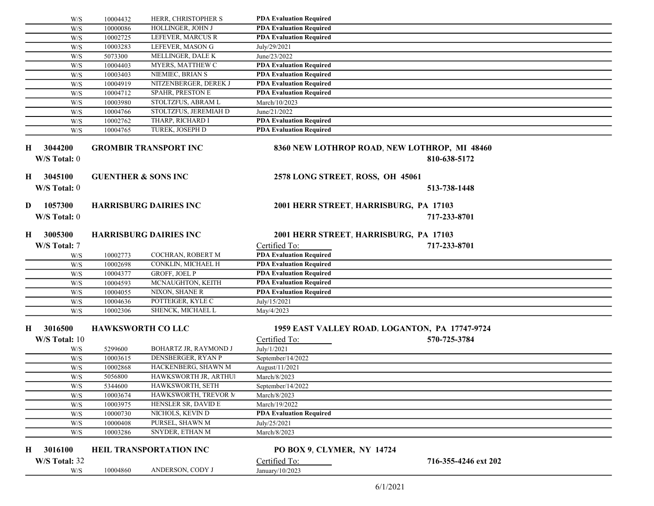|                              | 10004432<br>W/S | HERR, CHRISTOPHER S            | <b>PDA Evaluation Required</b>         |                                                              |  |
|------------------------------|-----------------|--------------------------------|----------------------------------------|--------------------------------------------------------------|--|
|                              | 10000086<br>W/S | HOLLINGER, JOHN J              | <b>PDA Evaluation Required</b>         |                                                              |  |
|                              | 10002725<br>W/S | LEFEVER, MARCUS R              | <b>PDA Evaluation Required</b>         |                                                              |  |
|                              | 10003283<br>W/S | LEFEVER, MASON G               | July/29/2021                           |                                                              |  |
|                              | 5073300<br>W/S  | MELLINGER, DALE K              | June/23/2022                           |                                                              |  |
|                              | W/S<br>10004403 | MYERS, MATTHEW C               | <b>PDA Evaluation Required</b>         |                                                              |  |
|                              | W/S<br>10003403 | NIEMIEC, BRIAN S               | <b>PDA Evaluation Required</b>         |                                                              |  |
|                              | 10004919<br>W/S | NITZENBERGER, DEREK J          | <b>PDA Evaluation Required</b>         |                                                              |  |
|                              | 10004712<br>W/S | SPAHR, PRESTON E               | <b>PDA Evaluation Required</b>         |                                                              |  |
|                              | 10003980<br>W/S | STOLTZFUS, ABRAM L             | March/10/2023                          |                                                              |  |
|                              | 10004766<br>W/S | STOLTZFUS, JEREMIAH D          | June/21/2022                           |                                                              |  |
|                              | 10002762<br>W/S | THARP, RICHARD I               | <b>PDA Evaluation Required</b>         |                                                              |  |
|                              | W/S<br>10004765 | TUREK, JOSEPH D                | <b>PDA Evaluation Required</b>         |                                                              |  |
| 3044200<br>H<br>W/S Total: 0 |                 | <b>GROMBIR TRANSPORT INC</b>   |                                        | 8360 NEW LOTHROP ROAD, NEW LOTHROP, MI 48460<br>810-638-5172 |  |
| 3045100<br>H                 |                 | <b>GUENTHER &amp; SONS INC</b> | 2578 LONG STREET, ROSS, OH 45061       |                                                              |  |
| W/S Total: 0                 |                 |                                |                                        | 513-738-1448                                                 |  |
| 1057300<br>D                 |                 | <b>HARRISBURG DAIRIES INC</b>  | 2001 HERR STREET, HARRISBURG, PA 17103 |                                                              |  |
| W/S Total: 0                 |                 |                                |                                        |                                                              |  |
|                              |                 |                                |                                        | 717-233-8701                                                 |  |
| 3005300<br>$\mathbf{H}$      |                 | <b>HARRISBURG DAIRIES INC</b>  | 2001 HERR STREET, HARRISBURG, PA 17103 |                                                              |  |
|                              |                 |                                |                                        |                                                              |  |
| W/S Total: 7                 |                 |                                | Certified To:                          | 717-233-8701                                                 |  |
|                              | 10002773<br>W/S | COCHRAN, ROBERT M              | <b>PDA Evaluation Required</b>         |                                                              |  |
|                              | 10002698<br>W/S | CONKLIN, MICHAEL H             | <b>PDA Evaluation Required</b>         |                                                              |  |
|                              | W/S<br>10004377 | GROFF, JOEL P                  | <b>PDA Evaluation Required</b>         |                                                              |  |
|                              | 10004593<br>W/S | MCNAUGHTON, KEITH              | <b>PDA Evaluation Required</b>         |                                                              |  |
|                              | 10004055<br>W/S | NIXON, SHANE R                 | <b>PDA Evaluation Required</b>         |                                                              |  |
|                              | W/S<br>10004636 | POTTEIGER, KYLE C              | July/15/2021                           |                                                              |  |
|                              | W/S<br>10002306 | SHENCK, MICHAEL L              | May/4/2023                             |                                                              |  |
| 3016500<br>H                 |                 | <b>HAWKSWORTH CO LLC</b>       |                                        | 1959 EAST VALLEY ROAD, LOGANTON, PA 17747-9724               |  |
| W/S Total: 10                |                 |                                | Certified To:                          | 570-725-3784                                                 |  |
|                              | 5299600<br>W/S  | <b>BOHARTZ JR, RAYMOND J</b>   | July/1/2021                            |                                                              |  |
|                              | 10003615<br>W/S | DENSBERGER, RYAN P             | September/14/2022                      |                                                              |  |
|                              | W/S<br>10002868 | HACKENBERG, SHAWN M            | August/11/2021                         |                                                              |  |
|                              | W/S<br>5056800  | HAWKSWORTH JR, ARTHUI          | March/8/2023                           |                                                              |  |
|                              | W/S<br>5344600  | HAWKSWORTH, SETH               | September/14/2022                      |                                                              |  |
|                              | W/S<br>10003674 | HAWKSWORTH, TREVOR N.          | March/8/2023                           |                                                              |  |
|                              | 10003975<br>W/S | HENSLER SR, DAVID E            | March/19/2022                          |                                                              |  |
|                              | 10000730<br>W/S | NICHOLS, KEVIN D               | <b>PDA Evaluation Required</b>         |                                                              |  |
|                              | 10000408<br>W/S | PURSEL, SHAWN M                | July/25/2021                           |                                                              |  |
|                              | 10003286<br>W/S | SNYDER, ETHAN M                | March/8/2023                           |                                                              |  |
| 3016100<br>H                 |                 | HEIL TRANSPORTATION INC        | PO BOX 9, CLYMER, NY 14724             |                                                              |  |
| W/S Total: 32                |                 |                                | Certified To:                          | 716-355-4246 ext 202                                         |  |
|                              | 10004860<br>W/S | ANDERSON, CODY J               | January/10/2023                        |                                                              |  |
|                              |                 |                                |                                        |                                                              |  |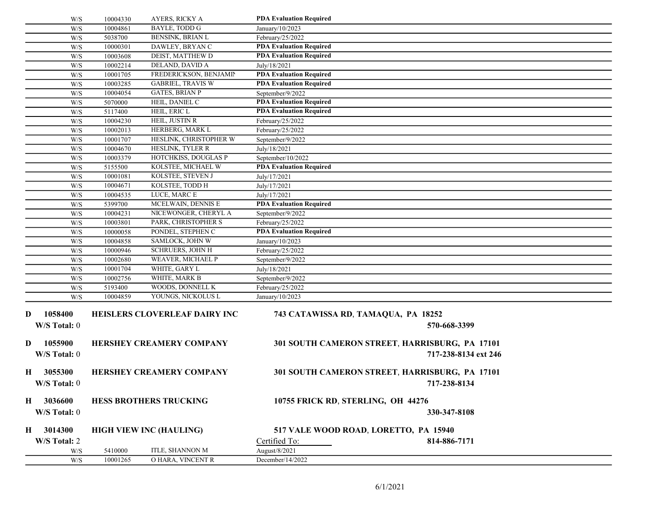|         | W/S                     | 10001265             | O HARA, VINCENT R                         | December/14/2022                                                       |
|---------|-------------------------|----------------------|-------------------------------------------|------------------------------------------------------------------------|
|         | W/S                     | 5410000              | ITLE, SHANNON M                           | August/8/2021                                                          |
|         | W/S Total: 2            |                      |                                           | Certified To:<br>814-886-7171                                          |
| H       | 3014300                 |                      | <b>HIGH VIEW INC (HAULING)</b>            | 517 VALE WOOD ROAD, LORETTO, PA 15940                                  |
| $\bf H$ | 3036600<br>W/S Total: 0 |                      | <b>HESS BROTHERS TRUCKING</b>             | 10755 FRICK RD, STERLING, OH 44276<br>330-347-8108                     |
|         | W/S Total: 0            |                      |                                           | 717-238-8134                                                           |
| H       | 3055300                 |                      | <b>HERSHEY CREAMERY COMPANY</b>           | 301 SOUTH CAMERON STREET, HARRISBURG, PA 17101                         |
| D       | 1055900<br>W/S Total: 0 |                      | <b>HERSHEY CREAMERY COMPANY</b>           | 301 SOUTH CAMERON STREET, HARRISBURG, PA 17101<br>717-238-8134 ext 246 |
|         | W/S Total: 0            |                      |                                           | 570-668-3399                                                           |
| D       | 1058400                 |                      | <b>HEISLERS CLOVERLEAF DAIRY INC</b>      | 743 CATAWISSA RD, TAMAQUA, PA 18252                                    |
|         | W/S                     | 10004859             | YOUNGS, NICKOLUS L                        | January/10/2023                                                        |
|         | W/S<br>W/S              | 10002756<br>5193400  | WHITE, MARK B<br>WOODS, DONNELL K         | September/9/2022<br>February/25/2022                                   |
|         | W/S                     | 10001704             | WHITE, GARY L                             | July/18/2021                                                           |
|         | W/S                     | 10002680             | WEAVER, MICHAEL P                         | September/9/2022                                                       |
|         | W/S                     | 10000946             | <b>SCHRUERS, JOHN H</b>                   | February/25/2022                                                       |
|         | W/S                     | 10004858             | SAMLOCK, JOHN W                           | January/10/2023                                                        |
|         | W/S                     | 10000058             | PONDEL, STEPHEN C                         | <b>PDA Evaluation Required</b>                                         |
|         | W/S                     | 10003801             | PARK, CHRISTOPHER S                       | February/25/2022                                                       |
|         | W/S                     | 10004231             | NICEWONGER, CHERYL A                      | September/9/2022                                                       |
|         | W/S                     | 5399700              | MCELWAIN, DENNIS E                        | <b>PDA Evaluation Required</b>                                         |
|         | W/S<br>W/S              | 10004671<br>10004535 | KOLSTEE, TODD H<br>LUCE, MARC E           | July/17/2021<br>July/17/2021                                           |
|         | W/S                     | 10001081             | KOLSTEE, STEVEN J                         | July/17/2021                                                           |
|         | W/S                     | 5155500              | KOLSTEE, MICHAEL W                        | <b>PDA Evaluation Required</b>                                         |
|         | W/S                     | 10003379             | HOTCHKISS, DOUGLAS P                      | September/10/2022                                                      |
|         | W/S                     | 10004670             | HESLINK, TYLER R                          | July/18/2021                                                           |
|         | W/S                     | 10001707             | HESLINK, CHRISTOPHER W                    | September/9/2022                                                       |
|         | W/S                     | 10002013             | HERBERG, MARK L                           | February/25/2022                                                       |
|         | W/S                     | 10004230             | HEIL, JUSTIN R                            | February/25/2022                                                       |
|         | W/S                     | 5117400              | HEIL, ERIC L                              | <b>PDA Evaluation Required</b>                                         |
|         | W/S                     | 5070000              | HEIL, DANIEL C                            | <b>PDA Evaluation Required</b>                                         |
|         | W/S                     | 10004054             | <b>GATES, BRIAN P</b>                     | September/9/2022                                                       |
|         | W/S                     | 10003285             | <b>GABRIEL, TRAVIS W</b>                  | <b>PDA Evaluation Required</b>                                         |
|         | W/S<br>W/S              | 10002214<br>10001705 | DELAND, DAVID A<br>FREDERICKSON, BENJAMIN | July/18/2021<br><b>PDA Evaluation Required</b>                         |
|         | W/S                     | 10003608             | DEIST, MATTHEW D                          | <b>PDA Evaluation Required</b>                                         |
|         | W/S                     | 10000301             | DAWLEY, BRYAN C                           | <b>PDA Evaluation Required</b>                                         |
|         | W/S                     | 5038700              | BENSINK, BRIAN L                          | February/25/2022                                                       |
|         | W/S                     | 10004861             | BAYLE, TODD G                             | January/10/2023                                                        |
|         | W/S                     | 10004330             | AYERS, RICKY A                            | <b>PDA Evaluation Required</b>                                         |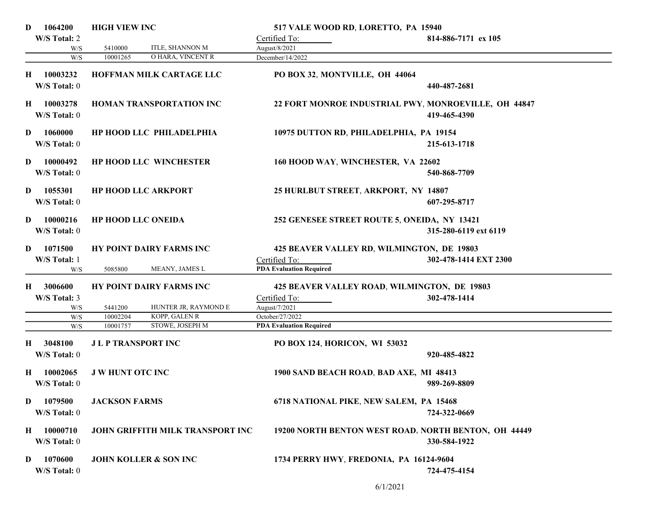| 1064200<br>D                   | <b>HIGH VIEW INC</b>             | 517 VALE WOOD RD, LORETTO, PA 15940                  |                       |
|--------------------------------|----------------------------------|------------------------------------------------------|-----------------------|
| W/S Total: 2                   |                                  | Certified To:                                        | 814-886-7171 ex 105   |
| W/S                            | ITLE, SHANNON M<br>5410000       | August/8/2021                                        |                       |
| W/S                            | O HARA, VINCENT R<br>10001265    | December/14/2022                                     |                       |
| 10003232<br>H                  | HOFFMAN MILK CARTAGE LLC         | PO BOX 32, MONTVILLE, OH 44064                       |                       |
| W/S Total: 0                   |                                  |                                                      | 440-487-2681          |
|                                |                                  |                                                      |                       |
| 10003278<br>Н.<br>W/S Total: 0 | <b>HOMAN TRANSPORTATION INC</b>  | 22 FORT MONROE INDUSTRIAL PWY, MONROEVILLE, OH 44847 | 419-465-4390          |
| 1060000<br>D                   | HP HOOD LLC PHILADELPHIA         | 10975 DUTTON RD, PHILADELPHIA, PA 19154              |                       |
| W/S Total: 0                   |                                  |                                                      | 215-613-1718          |
| 10000492<br>D                  | <b>HP HOOD LLC WINCHESTER</b>    | 160 HOOD WAY, WINCHESTER, VA 22602                   |                       |
| W/S Total: 0                   |                                  |                                                      | 540-868-7709          |
|                                |                                  |                                                      |                       |
| 1055301<br>D                   | <b>HP HOOD LLC ARKPORT</b>       | 25 HURLBUT STREET, ARKPORT, NY 14807                 |                       |
| W/S Total: 0                   |                                  |                                                      | 607-295-8717          |
| 10000216<br>D                  | <b>HP HOOD LLC ONEIDA</b>        | 252 GENESEE STREET ROUTE 5, ONEIDA, NY 13421         |                       |
| W/S Total: 0                   |                                  |                                                      | 315-280-6119 ext 6119 |
|                                |                                  |                                                      |                       |
| 1071500<br>D                   | HY POINT DAIRY FARMS INC         | 425 BEAVER VALLEY RD, WILMINGTON, DE 19803           |                       |
| W/S Total: 1                   |                                  | Certified To:                                        | 302-478-1414 EXT 2300 |
| W/S                            | 5085800<br>MEANY, JAMES L        | <b>PDA Evaluation Required</b>                       |                       |
| 3006600<br>Н.                  | HY POINT DAIRY FARMS INC         | 425 BEAVER VALLEY ROAD, WILMINGTON, DE 19803         |                       |
| W/S Total: 3                   |                                  | Certified To:                                        | 302-478-1414          |
| W/S                            | 5441200<br>HUNTER JR, RAYMOND E  | August/7/2021                                        |                       |
| W/S                            | KOPP, GALEN R<br>10002204        | October/27/2022                                      |                       |
| W/S                            | STOWE, JOSEPH M<br>10001757      | <b>PDA Evaluation Required</b>                       |                       |
| 3048100<br>Н                   | <b>JLP TRANSPORT INC</b>         | PO BOX 124, HORICON, WI 53032                        |                       |
| W/S Total: 0                   |                                  |                                                      | 920-485-4822          |
|                                |                                  |                                                      |                       |
| 10002065<br>$\bf{H}$           | <b>J W HUNT OTC INC</b>          | 1900 SAND BEACH ROAD, BAD AXE, MI 48413              |                       |
| W/S Total: 0                   |                                  |                                                      | 989-269-8809          |
| 1079500<br>D                   | <b>JACKSON FARMS</b>             | 6718 NATIONAL PIKE, NEW SALEM, PA 15468              |                       |
| W/S Total: 0                   |                                  |                                                      | 724-322-0669          |
|                                |                                  |                                                      |                       |
| H 10000710                     | JOHN GRIFFITH MILK TRANSPORT INC | 19200 NORTH BENTON WEST ROAD, NORTH BENTON, OH 44449 |                       |
| W/S Total: 0                   |                                  |                                                      | 330-584-1922          |
| 1070600<br>D                   | <b>JOHN KOLLER &amp; SON INC</b> | 1734 PERRY HWY, FREDONIA, PA 16124-9604              |                       |
| W/S Total: 0                   |                                  |                                                      | 724-475-4154          |
|                                |                                  |                                                      |                       |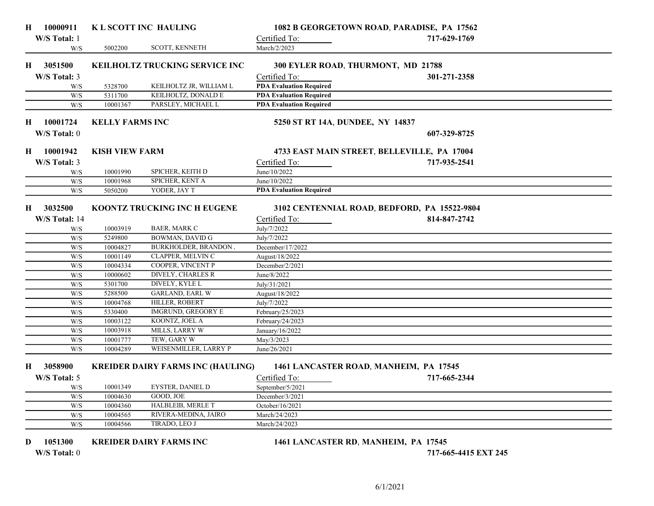| H  | 10000911      |                        | K L SCOTT INC HAULING                    |                                             | 1082 B GEORGETOWN ROAD, PARADISE, PA 17562   |  |
|----|---------------|------------------------|------------------------------------------|---------------------------------------------|----------------------------------------------|--|
|    | W/S Total: 1  |                        |                                          | Certified To:                               | 717-629-1769                                 |  |
|    | W/S           | 5002200                | SCOTT, KENNETH                           | March/2/2023                                |                                              |  |
|    |               |                        |                                          |                                             |                                              |  |
| Н. | 3051500       |                        | <b>KEILHOLTZ TRUCKING SERVICE INC</b>    | 300 EYLER ROAD, THURMONT, MD 21788          |                                              |  |
|    | W/S Total: 3  |                        |                                          | Certified To:                               | 301-271-2358                                 |  |
|    | W/S           | 5328700                | KEILHOLTZ JR, WILLIAM L                  | <b>PDA Evaluation Required</b>              |                                              |  |
|    | W/S           | 5311700                | KEILHOLTZ, DONALD E                      | <b>PDA Evaluation Required</b>              |                                              |  |
|    | W/S           | 10001367               | PARSLEY, MICHAEL L                       | <b>PDA Evaluation Required</b>              |                                              |  |
| Н. | 10001724      | <b>KELLY FARMS INC</b> |                                          | 5250 ST RT 14A, DUNDEE, NY 14837            |                                              |  |
|    | W/S Total: 0  |                        |                                          |                                             | 607-329-8725                                 |  |
|    |               |                        |                                          |                                             |                                              |  |
| H  | 10001942      | <b>KISH VIEW FARM</b>  |                                          | 4733 EAST MAIN STREET, BELLEVILLE, PA 17004 |                                              |  |
|    | W/S Total: 3  |                        |                                          | Certified To:                               | 717-935-2541                                 |  |
|    | W/S           | 10001990               | SPICHER, KEITH D                         | June/10/2022                                |                                              |  |
|    | W/S           | 10001968               | SPICHER, KENT A                          | June/10/2022                                |                                              |  |
|    | W/S           | 5050200                | YODER, JAY T                             | <b>PDA Evaluation Required</b>              |                                              |  |
|    |               |                        |                                          |                                             |                                              |  |
| Н. | 3032500       |                        | KOONTZ TRUCKING INC H EUGENE             |                                             | 3102 CENTENNIAL ROAD, BEDFORD, PA 15522-9804 |  |
|    | W/S Total: 14 |                        |                                          | Certified To:                               | 814-847-2742                                 |  |
|    | W/S           | 10003919               | BAER, MARK C                             | July/7/2022                                 |                                              |  |
|    | W/S           | 5249800                | <b>BOWMAN, DAVID G</b>                   | July/7/2022                                 |                                              |  |
|    | W/S           | 10004827               | <b>BURKHOLDER, BRANDON J</b>             | December/17/2022                            |                                              |  |
|    | W/S           | 10001149               | CLAPPER, MELVIN C                        | August/18/2022                              |                                              |  |
|    | W/S           | 10004334               | COOPER, VINCENT P                        | December/2/2021                             |                                              |  |
|    | W/S           | 10000602               | DIVELY, CHARLES R                        | June/8/2022                                 |                                              |  |
|    | W/S           | 5301700                | <b>DIVELY, KYLE L</b>                    | July/31/2021                                |                                              |  |
|    | W/S           | 5288500                | <b>GARLAND, EARL W</b>                   | August/18/2022                              |                                              |  |
|    | W/S           | 10004768               | HILLER, ROBERT                           | July/7/2022                                 |                                              |  |
|    | W/S           | 5330400                | IMGRUND, GREGORY E                       | February/25/2023                            |                                              |  |
|    | W/S           | 10003122               | KOONTZ, JOEL A                           | February/24/2023                            |                                              |  |
|    | W/S           | 10003918               | MILLS, LARRY W                           | January/16/2022                             |                                              |  |
|    | W/S           | 10001777               | TEW, GARY W                              | May/3/2023                                  |                                              |  |
|    | W/S           | 10004289               | WEISENMILLER, LARRY P                    | June/26/2021                                |                                              |  |
| H. | 3058900       |                        | <b>KREIDER DAIRY FARMS INC (HAULING)</b> | 1461 LANCASTER ROAD, MANHEIM, PA 17545      |                                              |  |
|    |               |                        |                                          |                                             |                                              |  |
|    | W/S Total: 5  |                        |                                          | Certified To:                               | 717-665-2344                                 |  |
|    | W/S           | 10001349               | <b>EYSTER, DANIEL D</b><br>GOOD, JOE     | September/5/2021                            |                                              |  |
|    | W/S           | 10004630               |                                          | December/3/2021                             |                                              |  |
|    | W/S           | 10004360               | HALBLEIB, MERLE T                        | October/16/2021                             |                                              |  |
|    | W/S           | 10004565               | RIVERA-MEDINA, JAIRO                     | March/24/2023                               |                                              |  |
|    | W/S           | 10004566               | TIRADO, LEO J                            | March/24/2023                               |                                              |  |
| D  | 1051300       |                        | <b>KREIDER DAIRY FARMS INC</b>           | 1461 LANCASTER RD, MANHEIM, PA 17545        |                                              |  |
|    |               |                        |                                          |                                             |                                              |  |
|    | W/S Total: 0  |                        |                                          |                                             | 717-665-4415 EXT 245                         |  |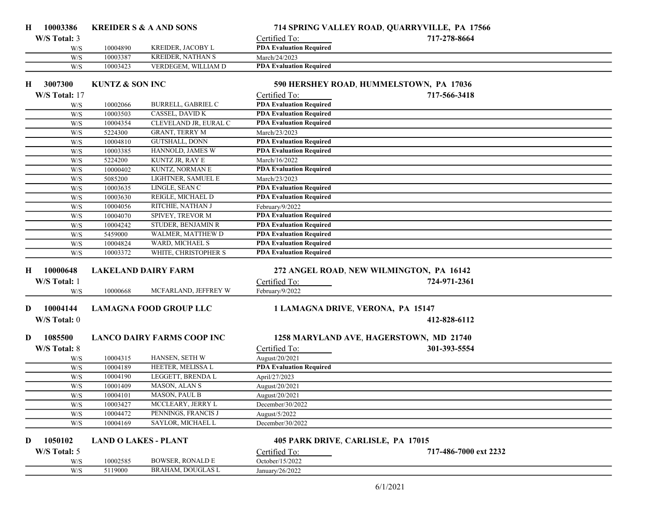| H  | 10003386      |                            | <b>KREIDER S &amp; A AND SONS</b>                   |                                                                  | 714 SPRING VALLEY ROAD, QUARRYVILLE, PA 17566 |  |
|----|---------------|----------------------------|-----------------------------------------------------|------------------------------------------------------------------|-----------------------------------------------|--|
|    | W/S Total: 3  |                            |                                                     | Certified To:                                                    | 717-278-8664                                  |  |
|    | W/S           | 10004890                   | KREIDER, JACOBY L                                   | <b>PDA Evaluation Required</b>                                   |                                               |  |
|    | W/S           | 10003387                   | <b>KREIDER, NATHAN S</b>                            | March/24/2023                                                    |                                               |  |
|    | W/S           | 10003423                   | VERDEGEM, WILLIAM D                                 | <b>PDA Evaluation Required</b>                                   |                                               |  |
| Н. | 3007300       | <b>KUNTZ &amp; SON INC</b> |                                                     |                                                                  | 590 HERSHEY ROAD, HUMMELSTOWN, PA 17036       |  |
|    |               |                            |                                                     |                                                                  |                                               |  |
|    | W/S Total: 17 |                            |                                                     | Certified To:<br><b>PDA Evaluation Required</b>                  | 717-566-3418                                  |  |
|    | W/S           | 10002066                   | <b>BURRELL, GABRIEL C</b><br><b>CASSEL, DAVID K</b> |                                                                  |                                               |  |
|    | W/S<br>W/S    | 10003503<br>10004354       | CLEVELAND JR, EURAL C                               | <b>PDA Evaluation Required</b><br><b>PDA Evaluation Required</b> |                                               |  |
|    | W/S           | 5224300                    | GRANT, TERRY M                                      | March/23/2023                                                    |                                               |  |
|    | W/S           | 10004810                   | GUTSHALL, DONN                                      | <b>PDA Evaluation Required</b>                                   |                                               |  |
|    | W/S           | 10003385                   | HANNOLD, JAMES W                                    | <b>PDA Evaluation Required</b>                                   |                                               |  |
|    | W/S           | 5224200                    | KUNTZ JR, RAY E                                     | March/16/2022                                                    |                                               |  |
|    | W/S           | 10000402                   | KUNTZ, NORMAN E                                     | <b>PDA Evaluation Required</b>                                   |                                               |  |
|    | W/S           | 5085200                    | LIGHTNER, SAMUEL E                                  | March/23/2023                                                    |                                               |  |
|    | W/S           | 10003635                   | LINGLE, SEAN C                                      | <b>PDA Evaluation Required</b>                                   |                                               |  |
|    | W/S           | 10003630                   | REIGLE, MICHAEL D                                   | <b>PDA Evaluation Required</b>                                   |                                               |  |
|    | W/S           | 10004056                   | RITCHIE, NATHAN J                                   | February/9/2022                                                  |                                               |  |
|    | W/S           | 10004070                   | SPIVEY, TREVOR M                                    | <b>PDA Evaluation Required</b>                                   |                                               |  |
|    | W/S           | 10004242                   | STUDER, BENJAMIN R                                  | <b>PDA Evaluation Required</b>                                   |                                               |  |
|    | W/S           | 5459000                    | WALMER, MATTHEW D                                   | <b>PDA Evaluation Required</b>                                   |                                               |  |
|    | W/S           | 10004824                   | WARD, MICHAEL S                                     | <b>PDA Evaluation Required</b>                                   |                                               |  |
|    | W/S           | 10003372                   | WHITE, CHRISTOPHER S                                | <b>PDA Evaluation Required</b>                                   |                                               |  |
|    |               |                            |                                                     |                                                                  |                                               |  |
| Н. | 10000648      |                            | <b>LAKELAND DAIRY FARM</b>                          |                                                                  | 272 ANGEL ROAD, NEW WILMINGTON, PA 16142      |  |
|    | W/S Total: 1  |                            |                                                     | Certified To:                                                    | 724-971-2361                                  |  |
|    | W/S           | 10000668                   | MCFARLAND, JEFFREY W                                | February/9/2022                                                  |                                               |  |
| D  | 10004144      |                            | <b>LAMAGNA FOOD GROUP LLC</b>                       | 1 LAMAGNA DRIVE, VERONA, PA 15147                                |                                               |  |
|    | W/S Total: 0  |                            |                                                     |                                                                  | 412-828-6112                                  |  |
|    |               |                            |                                                     |                                                                  |                                               |  |
| D  | 1085500       |                            | <b>LANCO DAIRY FARMS COOP INC</b>                   |                                                                  | 1258 MARYLAND AVE, HAGERSTOWN, MD 21740       |  |
|    | W/S Total: 8  |                            |                                                     | Certified To:                                                    | 301-393-5554                                  |  |
|    | W/S           | 10004315                   | HANSEN, SETH W                                      | August/20/2021                                                   |                                               |  |
|    | W/S           | 10004189                   | HEETER, MELISSA L                                   | <b>PDA Evaluation Required</b>                                   |                                               |  |
|    | W/S           | 10004190                   | LEGGETT, BRENDA L                                   | April/27/2023                                                    |                                               |  |
|    | W/S           | 10001409                   | MASON, ALAN S                                       | August/20/2021                                                   |                                               |  |
|    | W/S           | 10004101                   | MASON, PAUL B                                       | August/20/2021                                                   |                                               |  |
|    | W/S           | 10003427                   | MCCLEARY, JERRY L                                   | December/30/2022                                                 |                                               |  |
|    | W/S           | 10004472                   | PENNINGS, FRANCIS J                                 | August/5/2022                                                    |                                               |  |
|    | W/S           | 10004169                   | SAYLOR, MICHAEL L                                   | December/30/2022                                                 |                                               |  |
|    |               |                            |                                                     |                                                                  |                                               |  |
| D  | 1050102       |                            | <b>LAND O LAKES - PLANT</b>                         | 405 PARK DRIVE, CARLISLE, PA 17015                               |                                               |  |
|    | W/S Total: 5  |                            |                                                     | Certified To:                                                    | 717-486-7000 ext 2232                         |  |
|    | W/S           | 10002585                   | <b>BOWSER, RONALD E</b>                             | October/15/2022                                                  |                                               |  |
|    | W/S           | 5119000                    | BRAHAM, DOUGLAS L                                   | January/26/2022                                                  |                                               |  |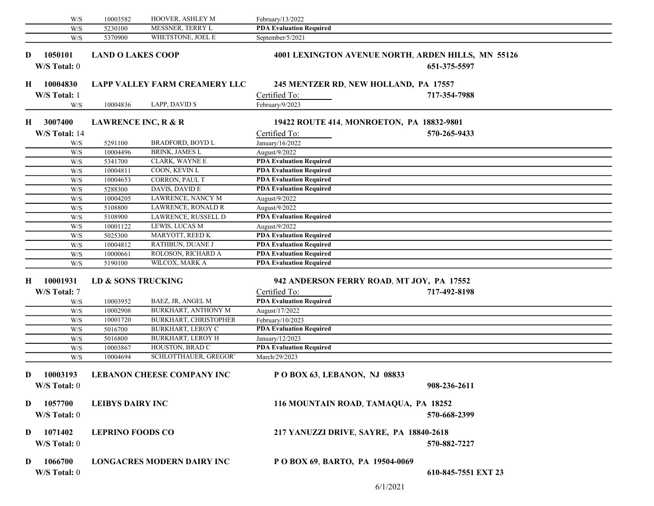|    | W/S           | 10003582                       | HOOVER, ASHLEY M                     | February/13/2022                                |                                                    |  |
|----|---------------|--------------------------------|--------------------------------------|-------------------------------------------------|----------------------------------------------------|--|
|    | W/S           | 5230100                        | MESSNER, TERRY L                     | <b>PDA Evaluation Required</b>                  |                                                    |  |
|    | W/S           | 5370900                        | WHETSTONE, JOEL E                    | September/5/2021                                |                                                    |  |
|    |               |                                |                                      |                                                 |                                                    |  |
| D  | 1050101       | <b>LAND O LAKES COOP</b>       |                                      |                                                 | 4001 LEXINGTON AVENUE NORTH, ARDEN HILLS, MN 55126 |  |
|    | W/S Total: 0  |                                |                                      |                                                 | 651-375-5597                                       |  |
| H  | 10004830      |                                | <b>LAPP VALLEY FARM CREAMERY LLC</b> |                                                 | 245 MENTZER RD, NEW HOLLAND, PA 17557              |  |
|    | W/S Total: 1  |                                |                                      | Certified To:                                   | 717-354-7988                                       |  |
|    | W/S           | 10004836                       | LAPP, DAVID S                        | February/9/2023                                 |                                                    |  |
|    |               |                                |                                      |                                                 |                                                    |  |
| Н. | 3007400       | <b>LAWRENCE INC, R &amp; R</b> |                                      |                                                 | 19422 ROUTE 414, MONROETON, PA 18832-9801          |  |
|    | W/S Total: 14 |                                |                                      | Certified To:                                   | 570-265-9433                                       |  |
|    | W/S           | 5291100                        | <b>BRADFORD, BOYD L</b>              | January/16/2022                                 |                                                    |  |
|    | W/S           | 10004496                       | <b>BRINK, JAMES L</b>                | August/9/2022                                   |                                                    |  |
|    | W/S           | 5341700                        | CLARK, WAYNE E                       | <b>PDA Evaluation Required</b>                  |                                                    |  |
|    | W/S           | 10004811                       | COON, KEVIN L                        | <b>PDA Evaluation Required</b>                  |                                                    |  |
|    | W/S           | 10004653                       | CORRON, PAUL T                       | <b>PDA Evaluation Required</b>                  |                                                    |  |
|    | W/S           | 5288300                        | DAVIS, DAVID E                       | <b>PDA Evaluation Required</b>                  |                                                    |  |
|    | W/S           | 10004205                       | LAWRENCE, NANCY M                    | August/9/2022                                   |                                                    |  |
|    | W/S           | 5108800                        | LAWRENCE, RONALD R                   | August/9/2022                                   |                                                    |  |
|    | W/S           | 5108900                        | LAWRENCE, RUSSELL D                  | <b>PDA Evaluation Required</b>                  |                                                    |  |
|    | W/S           | 10001122                       | LEWIS, LUCAS M                       | August/9/2022                                   |                                                    |  |
|    | W/S           | 5025300                        | MARYOTT, REED K                      | <b>PDA Evaluation Required</b>                  |                                                    |  |
|    | W/S           | 10004812                       | RATHBUN, DUANE J                     | <b>PDA Evaluation Required</b>                  |                                                    |  |
|    | W/S           | 10000661                       | ROLOSON, RICHARD A                   | <b>PDA Evaluation Required</b>                  |                                                    |  |
|    | W/S           | 5190100                        | WILCOX, MARK A                       | <b>PDA Evaluation Required</b>                  |                                                    |  |
| H  | 10001931      | LD & SONS TRUCKING             |                                      |                                                 | 942 ANDERSON FERRY ROAD, MT JOY, PA 17552          |  |
|    |               |                                |                                      |                                                 | 717-492-8198                                       |  |
|    | W/S Total: 7  |                                |                                      | Certified To:<br><b>PDA Evaluation Required</b> |                                                    |  |
|    | W/S           | 10003952                       | BAEZ, JR, ANGEL M                    |                                                 |                                                    |  |
|    | W/S           | 10002908                       | BURKHART, ANTHONY M                  | August/17/2022                                  |                                                    |  |
|    | W/S           | 10001720                       | BURKHART, CHRISTOPHER                | February/10/2023                                |                                                    |  |
|    | W/S           | 5016700                        | <b>BURKHART, LEROY C</b>             | <b>PDA Evaluation Required</b>                  |                                                    |  |
|    | W/S           | 5016800                        | <b>BURKHART, LEROY H</b>             | January/12/2023                                 |                                                    |  |
|    | W/S           | 10003867                       | HOUSTON, BRAD C                      | <b>PDA Evaluation Required</b>                  |                                                    |  |
|    | W/S           | 10004694                       | SCHLOTTHAUER, GREGOR'                | March/29/2023                                   |                                                    |  |
| D  | 10003193      |                                | <b>LEBANON CHEESE COMPANY INC</b>    | POBOX 63, LEBANON, NJ 08833                     |                                                    |  |
|    | W/S Total: 0  |                                |                                      |                                                 | 908-236-2611                                       |  |
|    |               |                                |                                      |                                                 |                                                    |  |
| D  | 1057700       | <b>LEIBYS DAIRY INC</b>        |                                      |                                                 | 116 MOUNTAIN ROAD, TAMAQUA, PA 18252               |  |
|    | W/S Total: 0  |                                |                                      |                                                 | 570-668-2399                                       |  |
|    |               |                                |                                      |                                                 |                                                    |  |
| D  | 1071402       | <b>LEPRINO FOODS CO</b>        |                                      |                                                 | 217 YANUZZI DRIVE, SAYRE, PA 18840-2618            |  |
|    | W/S Total: 0  |                                |                                      |                                                 | 570-882-7227                                       |  |
|    |               |                                |                                      |                                                 |                                                    |  |
| D  | 1066700       |                                | <b>LONGACRES MODERN DAIRY INC</b>    | P O BOX 69, BARTO, PA 19504-0069                |                                                    |  |
|    | W/S Total: 0  |                                |                                      |                                                 | 610-845-7551 EXT 23                                |  |
|    |               |                                |                                      |                                                 |                                                    |  |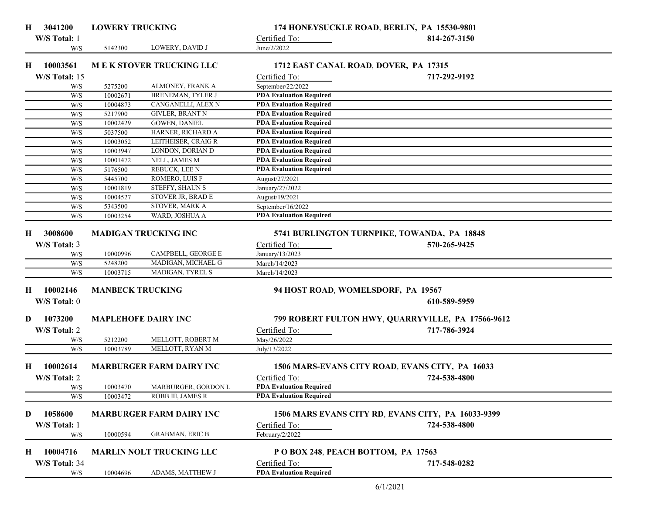| H | 3041200       | <b>LOWERY TRUCKING</b>  |                                 |                                       | 174 HONEYSUCKLE ROAD, BERLIN, PA 15530-9801        |  |
|---|---------------|-------------------------|---------------------------------|---------------------------------------|----------------------------------------------------|--|
|   | W/S Total: 1  |                         |                                 | Certified To:                         | 814-267-3150                                       |  |
|   | W/S           | 5142300                 | LOWERY, DAVID J                 | June/2/2022                           |                                                    |  |
|   | 10003561      |                         | <b>MEK STOVER TRUCKING LLC</b>  |                                       |                                                    |  |
| H |               |                         |                                 | 1712 EAST CANAL ROAD, DOVER, PA 17315 |                                                    |  |
|   | W/S Total: 15 |                         |                                 | Certified To:                         | 717-292-9192                                       |  |
|   | W/S           | 5275200                 | ALMONEY, FRANK A                | September/22/2022                     |                                                    |  |
|   | W/S           | 10002671                | BRENEMAN, TYLER J               | <b>PDA Evaluation Required</b>        |                                                    |  |
|   | W/S           | 10004873                | CANGANELLI, ALEX N              | <b>PDA Evaluation Required</b>        |                                                    |  |
|   | W/S           | 5217900                 | <b>GIVLER, BRANT N</b>          | <b>PDA Evaluation Required</b>        |                                                    |  |
|   | W/S           | 10002429                | <b>GOWEN, DANIEL</b>            | <b>PDA Evaluation Required</b>        |                                                    |  |
|   | W/S           | 5037500                 | HARNER, RICHARD A               | <b>PDA Evaluation Required</b>        |                                                    |  |
|   | W/S           | 10003052                | LEITHEISER, CRAIG R             | <b>PDA Evaluation Required</b>        |                                                    |  |
|   | W/S           | 10003947                | LONDON, DORIAN D                | <b>PDA Evaluation Required</b>        |                                                    |  |
|   | W/S           | 10001472                | NELL, JAMES M                   | <b>PDA Evaluation Required</b>        |                                                    |  |
|   | W/S           | 5176500                 | <b>REBUCK, LEE N</b>            | <b>PDA Evaluation Required</b>        |                                                    |  |
|   | W/S           | 5445700                 | ROMERO, LUIS F                  | August/27/2021                        |                                                    |  |
|   | W/S           | 10001819                | STEFFY, SHAUN S                 | January/27/2022                       |                                                    |  |
|   | W/S           | 10004527                | STOVER JR, BRAD E               | August/19/2021                        |                                                    |  |
|   | W/S           | 5343500                 | STOVER, MARK A                  | September/16/2022                     |                                                    |  |
|   | W/S           | 10003254                | WARD, JOSHUA A                  | <b>PDA Evaluation Required</b>        |                                                    |  |
|   |               |                         |                                 |                                       |                                                    |  |
| H | 3008600       |                         | <b>MADIGAN TRUCKING INC</b>     |                                       | 5741 BURLINGTON TURNPIKE, TOWANDA, PA 18848        |  |
|   | W/S Total: 3  |                         |                                 | Certified To:                         | 570-265-9425                                       |  |
|   | W/S           | 10000996                | CAMPBELL, GEORGE E              | January/13/2023                       |                                                    |  |
|   | W/S           | 5248200                 | MADIGAN, MICHAEL G              | March/14/2023                         |                                                    |  |
|   | W/S           | 10003715                | MADIGAN, TYREL S                | March/14/2023                         |                                                    |  |
|   |               |                         |                                 |                                       |                                                    |  |
| H | 10002146      | <b>MANBECK TRUCKING</b> |                                 | 94 HOST ROAD, WOMELSDORF, PA 19567    |                                                    |  |
|   | W/S Total: 0  |                         |                                 |                                       | 610-589-5959                                       |  |
| D | 1073200       |                         | <b>MAPLEHOFE DAIRY INC</b>      |                                       | 799 ROBERT FULTON HWY, QUARRYVILLE, PA 17566-9612  |  |
|   | W/S Total: 2  |                         |                                 | Certified To:                         | 717-786-3924                                       |  |
|   |               | 5212200                 | MELLOTT, ROBERT M               |                                       |                                                    |  |
|   | W/S           | 10003789                | MELLOTT, RYAN M                 | May/26/2022<br>July/13/2022           |                                                    |  |
|   | W/S           |                         |                                 |                                       |                                                    |  |
| Н | 10002614      |                         | <b>MARBURGER FARM DAIRY INC</b> |                                       | 1506 MARS-EVANS CITY ROAD, EVANS CITY, PA 16033    |  |
|   | W/S Total: 2  |                         |                                 | Certified To:                         | 724-538-4800                                       |  |
|   | W/S           | 10003470                | MARBURGER, GORDON L             | <b>PDA Evaluation Required</b>        |                                                    |  |
|   | W/S           | 10003472                | ROBB III, JAMES R               | <b>PDA Evaluation Required</b>        |                                                    |  |
|   |               |                         |                                 |                                       |                                                    |  |
| D | 1058600       |                         | <b>MARBURGER FARM DAIRY INC</b> |                                       | 1506 MARS EVANS CITY RD, EVANS CITY, PA 16033-9399 |  |
|   | W/S Total: 1  |                         |                                 | Certified To:                         | 724-538-4800                                       |  |
|   | W/S           | 10000594                | <b>GRABMAN, ERIC B</b>          | February/2/2022                       |                                                    |  |
|   |               |                         |                                 |                                       |                                                    |  |
| H | 10004716      |                         | <b>MARLIN NOLT TRUCKING LLC</b> | POBOX 248, PEACH BOTTOM, PA 17563     |                                                    |  |
|   | W/S Total: 34 |                         |                                 | Certified To:                         | 717-548-0282                                       |  |
|   |               |                         | ADAMS, MATTHEW J                | <b>PDA Evaluation Required</b>        |                                                    |  |
|   | W/S           | 10004696                |                                 |                                       |                                                    |  |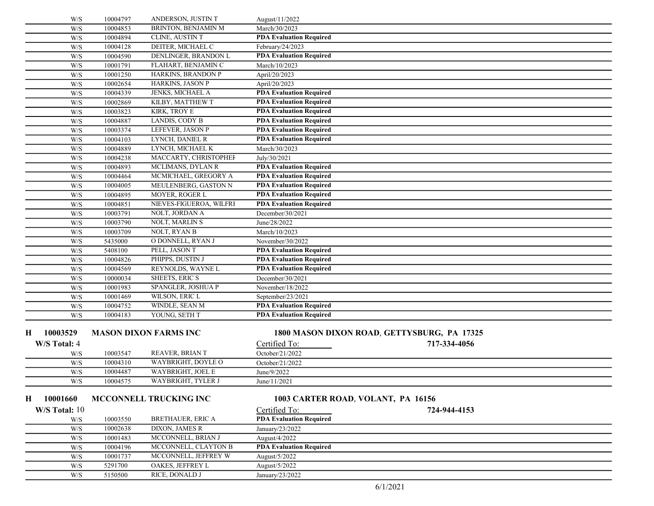| W/S            | 10004797             | ANDERSON, JUSTIN T                      | August/11/2022                                  |                                             |  |
|----------------|----------------------|-----------------------------------------|-------------------------------------------------|---------------------------------------------|--|
| W/S            | 10004853             | BRINTON, BENJAMIN M                     | March/30/2023                                   |                                             |  |
| W/S            | 10004894             | CLINE, AUSTIN T                         | <b>PDA Evaluation Required</b>                  |                                             |  |
| W/S            | 10004128             | DEITER, MICHAEL C                       | February/24/2023                                |                                             |  |
| W/S            | 10004590             | DENLINGER, BRANDON L                    | <b>PDA Evaluation Required</b>                  |                                             |  |
| W/S            | 10001791             | FLAHART, BENJAMIN C                     | March/10/2023                                   |                                             |  |
| W/S            | 10001250             | HARKINS, BRANDON P                      | April/20/2023                                   |                                             |  |
| W/S            | 10002654             | HARKINS, JASON P                        | April/20/2023                                   |                                             |  |
| W/S            | 10004339             | JENKS, MICHAEL A                        | <b>PDA Evaluation Required</b>                  |                                             |  |
| W/S            | 10002869             | KILBY, MATTHEW T                        | <b>PDA Evaluation Required</b>                  |                                             |  |
| W/S            | 10003823             | <b>KIRK, TROY E</b>                     | <b>PDA Evaluation Required</b>                  |                                             |  |
| W/S            | 10004887             | LANDIS, CODY B                          | <b>PDA Evaluation Required</b>                  |                                             |  |
| W/S            | 10003374             | LEFEVER, JASON P                        | <b>PDA Evaluation Required</b>                  |                                             |  |
| W/S            | 10004103             | LYNCH, DANIEL R                         | <b>PDA Evaluation Required</b>                  |                                             |  |
| W/S            | 10004889             | LYNCH, MICHAEL K                        | March/30/2023                                   |                                             |  |
| W/S            | 10004238             | MACCARTY, CHRISTOPHEF                   | July/30/2021                                    |                                             |  |
| W/S            | 10004893             | MCLIMANS, DYLAN R                       | <b>PDA Evaluation Required</b>                  |                                             |  |
| W/S            | 10004464             | MCMICHAEL, GREGORY A                    | <b>PDA Evaluation Required</b>                  |                                             |  |
| W/S            | 10004005             | MEULENBERG, GASTON N                    | <b>PDA Evaluation Required</b>                  |                                             |  |
| W/S            | 10004895             | MOYER, ROGER L                          | <b>PDA Evaluation Required</b>                  |                                             |  |
| W/S            | 10004851             | NIEVES-FIGUEROA, WILFRI                 | <b>PDA Evaluation Required</b>                  |                                             |  |
| W/S            | 10003791             | NOLT, JORDAN A                          | December/30/2021                                |                                             |  |
| W/S            | 10003790             | NOLT, MARLIN S                          | June/28/2022                                    |                                             |  |
| W/S            | 10003709             | NOLT, RYAN B                            | March/10/2023                                   |                                             |  |
| W/S            | 5435000              | O DONNELL, RYAN J                       | November/30/2022                                |                                             |  |
| W/S            | 5408100              | PELL, JASON T                           | <b>PDA Evaluation Required</b>                  |                                             |  |
| W/S            | 10004826             | PHIPPS, DUSTIN J                        | <b>PDA Evaluation Required</b>                  |                                             |  |
| W/S            | 10004569             | REYNOLDS, WAYNE L                       | <b>PDA Evaluation Required</b>                  |                                             |  |
| W/S            | 10000034             | <b>SHEETS, ERIC S</b>                   | December/30/2021                                |                                             |  |
| W/S            | 10001983             | SPANGLER, JOSHUA P                      | November/18/2022                                |                                             |  |
| W/S            | 10001469             | WILSON, ERIC L                          | September/23/2021                               |                                             |  |
| W/S            | 10004752             | WINDLE, SEAN M                          | <b>PDA Evaluation Required</b>                  |                                             |  |
| W/S            | 10004183             | YOUNG, SETH T                           | <b>PDA Evaluation Required</b>                  |                                             |  |
| 10003529<br>Н. |                      | <b>MASON DIXON FARMS INC</b>            |                                                 | 1800 MASON DIXON ROAD, GETTYSBURG, PA 17325 |  |
|                |                      |                                         |                                                 |                                             |  |
| W/S Total: 4   |                      |                                         | Certified To:                                   | 717-334-4056                                |  |
| W/S            | 10003547             | REAVER, BRIAN T                         | October/21/2022                                 |                                             |  |
| W/S            | 10004310             | WAYBRIGHT, DOYLE O<br>WAYBRIGHT, JOEL E | October/21/2022                                 |                                             |  |
| W/S            | 10004487<br>10004575 | <b>WAYBRIGHT, TYLER J</b>               | June/9/2022<br>June/11/2021                     |                                             |  |
| W/S            |                      |                                         |                                                 |                                             |  |
| 10001660<br>Н. |                      | MCCONNELL TRUCKING INC                  |                                                 | 1003 CARTER ROAD, VOLANT, PA 16156          |  |
| W/S Total: 10  |                      |                                         |                                                 | 724-944-4153                                |  |
|                |                      |                                         | Certified To:<br><b>PDA Evaluation Required</b> |                                             |  |
| W/S<br>W/S     | 10003550<br>10002638 | BRETHAUER, ERIC A<br>DIXON, JAMES R     | January/23/2022                                 |                                             |  |
| W/S            | 10001483             | MCCONNELL, BRIAN J                      | August/4/2022                                   |                                             |  |
|                | 10004196             | MCCONNELL, CLAYTON B                    | <b>PDA Evaluation Required</b>                  |                                             |  |
| W/S            | 10001737             | MCCONNELL, JEFFREY W                    | August/5/2022                                   |                                             |  |
| W/S<br>W/S     | 5291700              | OAKES, JEFFREY L                        | August/5/2022                                   |                                             |  |
| W/S            | 5150500              | RICE, DONALD J                          | January/23/2022                                 |                                             |  |
|                |                      |                                         |                                                 |                                             |  |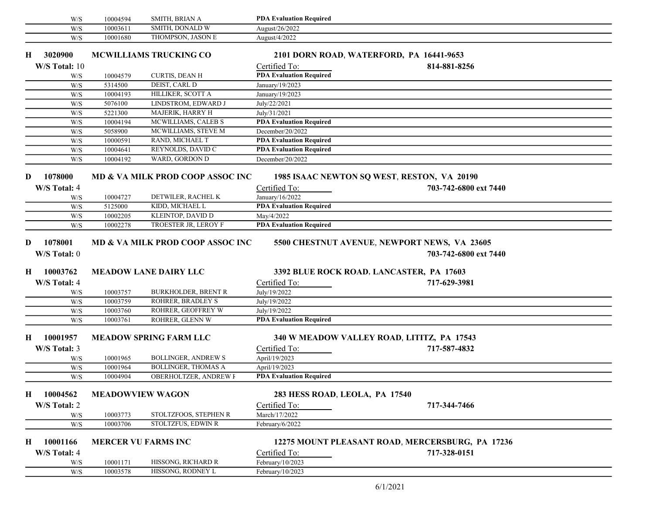|   | W/S           | 10004594 | SMITH, BRIAN A                   | <b>PDA Evaluation Required</b> |                                                  |  |
|---|---------------|----------|----------------------------------|--------------------------------|--------------------------------------------------|--|
|   | W/S           | 10003611 | SMITH, DONALD W                  | August/26/2022                 |                                                  |  |
|   | W/S           | 10001680 | THOMPSON, JASON E                | August/4/2022                  |                                                  |  |
| н | 3020900       |          | <b>MCWILLIAMS TRUCKING CO</b>    |                                | 2101 DORN ROAD, WATERFORD, PA 16441-9653         |  |
|   | W/S Total: 10 |          |                                  | Certified To:                  | 814-881-8256                                     |  |
|   | W/S           | 10004579 | <b>CURTIS, DEAN H</b>            | <b>PDA Evaluation Required</b> |                                                  |  |
|   | W/S           | 5314500  | DEIST, CARL D                    | January/19/2023                |                                                  |  |
|   | W/S           | 10004193 | HILLIKER, SCOTT A                | January/19/2023                |                                                  |  |
|   | W/S           | 5076100  | LINDSTROM, EDWARD J              | July/22/2021                   |                                                  |  |
|   | W/S           | 5221300  | MAJERIK, HARRY H                 | July/31/2021                   |                                                  |  |
|   | W/S           | 10004194 | MCWILLIAMS, CALEB S              | <b>PDA Evaluation Required</b> |                                                  |  |
|   | W/S           | 5058900  | MCWILLIAMS, STEVE M              | December/20/2022               |                                                  |  |
|   | W/S           | 10000591 | RAND, MICHAEL T                  | <b>PDA Evaluation Required</b> |                                                  |  |
|   | W/S           | 10004641 | REYNOLDS, DAVID C                | <b>PDA Evaluation Required</b> |                                                  |  |
|   | W/S           | 10004192 | WARD, GORDON D                   | December/20/2022               |                                                  |  |
| D | 1078000       |          | MD & VA MILK PROD COOP ASSOC INC |                                | 1985 ISAAC NEWTON SQ WEST, RESTON, VA 20190      |  |
|   | W/S Total: 4  |          |                                  | Certified To:                  | 703-742-6800 ext 7440                            |  |
|   | W/S           | 10004727 | DETWILER, RACHEL K               | January/16/2022                |                                                  |  |
|   | W/S           | 5125000  | KIDD, MICHAEL L                  | <b>PDA Evaluation Required</b> |                                                  |  |
|   | W/S           | 10002205 | KLEINTOP, DAVID D                | May/4/2022                     |                                                  |  |
|   | W/S           | 10002278 | TROESTER JR, LEROY F             | <b>PDA Evaluation Required</b> |                                                  |  |
| D | 1078001       |          | MD & VA MILK PROD COOP ASSOC INC |                                | 5500 CHESTNUT AVENUE, NEWPORT NEWS, VA 23605     |  |
|   | W/S Total: 0  |          |                                  |                                | 703-742-6800 ext 7440                            |  |
| Н | 10003762      |          | <b>MEADOW LANE DAIRY LLC</b>     |                                | 3392 BLUE ROCK ROAD, LANCASTER, PA 17603         |  |
|   | W/S Total: 4  |          |                                  | Certified To:                  | 717-629-3981                                     |  |
|   | W/S           | 10003757 | <b>BURKHOLDER, BRENT R</b>       | July/19/2022                   |                                                  |  |
|   | W/S           | 10003759 | ROHRER, BRADLEY S                | July/19/2022                   |                                                  |  |
|   | W/S           | 10003760 | ROHRER, GEOFFREY W               | July/19/2022                   |                                                  |  |
|   | W/S           | 10003761 | ROHRER, GLENN W                  | <b>PDA Evaluation Required</b> |                                                  |  |
|   |               |          |                                  |                                |                                                  |  |
| H | 10001957      |          | <b>MEADOW SPRING FARM LLC</b>    |                                | 340 W MEADOW VALLEY ROAD, LITITZ, PA 17543       |  |
|   | W/S Total: 3  |          |                                  | Certified To:                  | 717-587-4832                                     |  |
|   | W/S           | 10001965 | <b>BOLLINGER, ANDREWS</b>        | April/19/2023                  |                                                  |  |
|   | W/S           | 10001964 | <b>BOLLINGER, THOMAS A</b>       | April/19/2023                  |                                                  |  |
|   | W/S           | 10004904 | <b>OBERHOLTZER, ANDREW F</b>     | <b>PDA Evaluation Required</b> |                                                  |  |
| H | 10004562      |          | <b>MEADOWVIEW WAGON</b>          | 283 HESS ROAD, LEOLA, PA 17540 |                                                  |  |
|   | W/S Total: 2  |          |                                  | Certified To:                  | 717-344-7466                                     |  |
|   | W/S           | 10003773 | STOLTZFOOS, STEPHEN R            | March/17/2022                  |                                                  |  |
|   | W/S           | 10003706 | STOLTZFUS, EDWIN R               | February/6/2022                |                                                  |  |
| H | 10001166      |          | <b>MERCER VU FARMS INC</b>       |                                | 12275 MOUNT PLEASANT ROAD, MERCERSBURG, PA 17236 |  |
|   | W/S Total: 4  |          |                                  | Certified To:                  | 717-328-0151                                     |  |
|   |               | 10001171 | HISSONG, RICHARD R               | February/10/2023               |                                                  |  |
|   | W/S<br>W/S    | 10003578 | HISSONG, RODNEY L                | February/10/2023               |                                                  |  |
|   |               |          |                                  |                                |                                                  |  |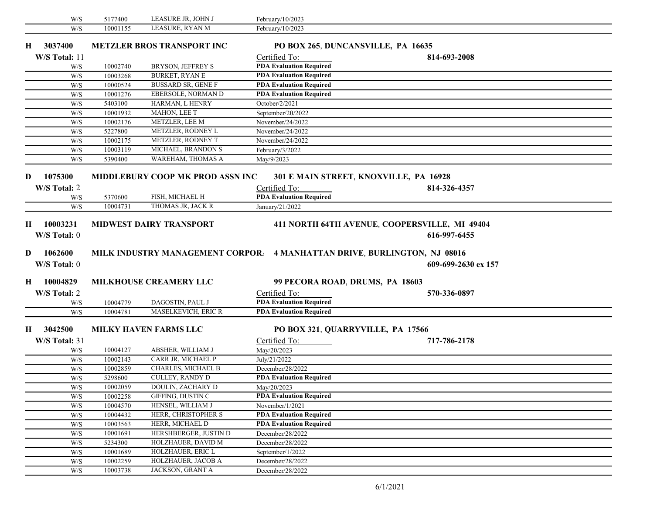| W/S           | 5177400  | LEASURE JR, JOHN J                   | February/10/2023                                                         |                                               |  |
|---------------|----------|--------------------------------------|--------------------------------------------------------------------------|-----------------------------------------------|--|
| W/S           | 10001155 | LEASURE, RYAN M                      | February/10/2023                                                         |                                               |  |
| 3037400<br>Н. |          | <b>METZLER BROS TRANSPORT INC</b>    | PO BOX 265, DUNCANSVILLE, PA 16635                                       |                                               |  |
| W/S Total: 11 |          |                                      | Certified To:                                                            | 814-693-2008                                  |  |
| W/S           | 10002740 | BRYSON, JEFFREY S                    | <b>PDA Evaluation Required</b>                                           |                                               |  |
| W/S           | 10003268 | <b>BURKET, RYAN E</b>                | <b>PDA Evaluation Required</b>                                           |                                               |  |
| W/S           | 10000524 | <b>BUSSARD SR, GENE F</b>            | <b>PDA Evaluation Required</b>                                           |                                               |  |
| W/S           | 10001276 | EBERSOLE, NORMAN D                   | <b>PDA Evaluation Required</b>                                           |                                               |  |
| W/S           | 5403100  | HARMAN, L HENRY                      | October/2/2021                                                           |                                               |  |
| W/S           | 10001932 | MAHON, LEE T                         | September/20/2022                                                        |                                               |  |
| W/S           | 10002176 | METZLER, LEE M                       | November/24/2022                                                         |                                               |  |
| W/S           | 5227800  | METZLER, RODNEY L                    | November/24/2022                                                         |                                               |  |
| W/S           | 10002175 | METZLER, RODNEY T                    | November/24/2022                                                         |                                               |  |
| W/S           | 10003119 | MICHAEL, BRANDON S                   | February/3/2022                                                          |                                               |  |
| W/S           | 5390400  | WAREHAM, THOMAS A                    | May/9/2023                                                               |                                               |  |
| 1075300<br>D  |          | MIDDLEBURY COOP MK PROD ASSN INC     | 301 E MAIN STREET, KNOXVILLE, PA 16928                                   |                                               |  |
|               |          |                                      |                                                                          |                                               |  |
| W/S Total: 2  |          |                                      | Certified To:                                                            | 814-326-4357                                  |  |
| W/S           | 5370600  | FISH, MICHAEL H<br>THOMAS JR. JACK R | <b>PDA Evaluation Required</b>                                           |                                               |  |
| W/S           | 10004731 |                                      | January/21/2022                                                          |                                               |  |
| 10003231<br>H |          | <b>MIDWEST DAIRY TRANSPORT</b>       |                                                                          | 411 NORTH 64TH AVENUE, COOPERSVILLE, MI 49404 |  |
| W/S Total: 0  |          |                                      |                                                                          | 616-997-6455                                  |  |
|               |          |                                      |                                                                          |                                               |  |
| 1062600<br>D  |          |                                      | MILK INDUSTRY MANAGEMENT CORPORA 4 MANHATTAN DRIVE, BURLINGTON, NJ 08016 |                                               |  |
| W/S Total: 0  |          |                                      |                                                                          | 609-699-2630 ex 157                           |  |
|               |          |                                      |                                                                          |                                               |  |
| 10004829<br>H |          | <b>MILKHOUSE CREAMERY LLC</b>        | 99 PECORA ROAD, DRUMS, PA 18603                                          |                                               |  |
| W/S Total: 2  |          |                                      | Certified To:                                                            | 570-336-0897                                  |  |
| W/S           | 10004779 | DAGOSTIN, PAUL J                     | <b>PDA Evaluation Required</b>                                           |                                               |  |
| W/S           | 10004781 |                                      |                                                                          |                                               |  |
|               |          |                                      |                                                                          |                                               |  |
| 3042500<br>Н. |          | <b>MASELKEVICH, ERIC R</b>           | <b>PDA Evaluation Required</b>                                           |                                               |  |
| W/S Total: 31 |          | <b>MILKY HAVEN FARMS LLC</b>         | PO BOX 321, QUARRYVILLE, PA 17566                                        |                                               |  |
|               |          |                                      | Certified To:                                                            | 717-786-2178                                  |  |
| W/S           | 10004127 | ABSHER, WILLIAM J                    | May/20/2023                                                              |                                               |  |
| W/S           | 10002143 | CARR JR, MICHAEL P                   | July/21/2022                                                             |                                               |  |
| W/S           | 10002859 | CHARLES, MICHAEL B                   | December/28/2022                                                         |                                               |  |
| W/S           | 5298600  | <b>CULLEY, RANDY D</b>               | <b>PDA Evaluation Required</b>                                           |                                               |  |
| W/S           | 10002059 | DOULIN, ZACHARY D                    | May/20/2023                                                              |                                               |  |
| W/S           | 10002258 | GIFFING, DUSTIN C                    | <b>PDA Evaluation Required</b>                                           |                                               |  |
| W/S           | 10004570 | HENSEL, WILLIAM J                    | November/1/2021                                                          |                                               |  |
| W/S           | 10004432 | HERR, CHRISTOPHER S                  | <b>PDA Evaluation Required</b>                                           |                                               |  |
| W/S           | 10003563 | HERR, MICHAEL D                      | <b>PDA Evaluation Required</b>                                           |                                               |  |
| W/S           | 10001691 | HERSHBERGER, JUSTIN D                | December/28/2022                                                         |                                               |  |
| W/S           | 5234300  | HOLZHAUER, DAVID M                   | December/28/2022                                                         |                                               |  |
| W/S           | 10001689 | HOLZHAUER, ERIC L                    | September/1/2022                                                         |                                               |  |
| W/S           | 10002259 | HOLZHAUER, JACOB A                   | December/28/2022                                                         |                                               |  |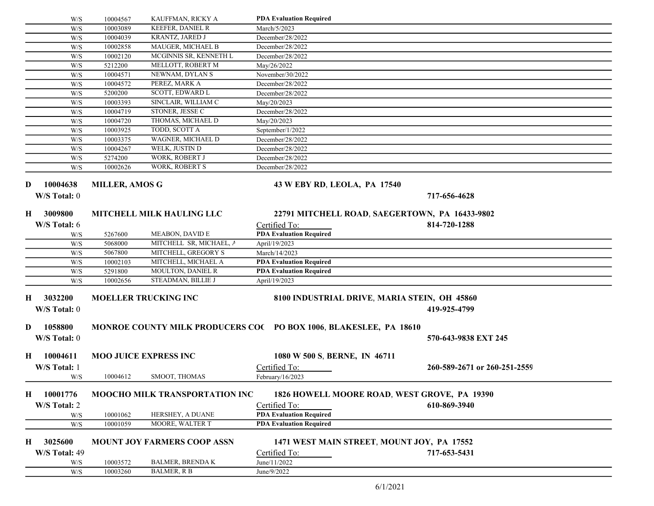| W/S           | 10004567              | KAUFFMAN, RICKY A                  | <b>PDA Evaluation Required</b>                                   |                              |  |
|---------------|-----------------------|------------------------------------|------------------------------------------------------------------|------------------------------|--|
| W/S           | 10003089              | KEEFER, DANIEL R                   | March/5/2023                                                     |                              |  |
| W/S           | 10004039              | KRANTZ, JARED J                    | December/28/2022                                                 |                              |  |
| W/S           | 10002858              | MAUGER, MICHAEL B                  | December/28/2022                                                 |                              |  |
| W/S           | 10002120              | MCGINNIS SR, KENNETH L             | December/28/2022                                                 |                              |  |
| W/S           | 5212200               | MELLOTT, ROBERT M                  | May/26/2022                                                      |                              |  |
| W/S           | 10004571              | NEWNAM, DYLAN S                    | November/30/2022                                                 |                              |  |
| W/S           | 10004572              | PEREZ, MARK A                      | December/28/2022                                                 |                              |  |
| W/S           | 5200200               | SCOTT, EDWARD L                    | December/28/2022                                                 |                              |  |
| W/S           | 10003393              | SINCLAIR, WILLIAM C                | May/20/2023                                                      |                              |  |
| W/S           | 10004719              | STONER, JESSE C                    | December/28/2022                                                 |                              |  |
| W/S           | 10004720              | THOMAS, MICHAEL D                  | May/20/2023                                                      |                              |  |
| W/S           | 10003925              | TODD, SCOTT A                      | September/1/2022                                                 |                              |  |
| W/S           | 10003375              | WAGNER, MICHAEL D                  | December/28/2022                                                 |                              |  |
| W/S           | 10004267              | WELK, JUSTIN D                     | December/28/2022                                                 |                              |  |
| W/S           | 5274200               | WORK, ROBERT J                     | December/28/2022                                                 |                              |  |
| W/S           | 10002626              | <b>WORK, ROBERT S</b>              | December/28/2022                                                 |                              |  |
|               |                       |                                    |                                                                  |                              |  |
| 10004638<br>D | <b>MILLER, AMOS G</b> |                                    | 43 W EBY RD, LEOLA, PA 17540                                     |                              |  |
| W/S Total: 0  |                       |                                    |                                                                  | 717-656-4628                 |  |
| 3009800<br>Н  |                       | <b>MITCHELL MILK HAULING LLC</b>   | 22791 MITCHELL ROAD, SAEGERTOWN, PA 16433-9802                   |                              |  |
| W/S Total: 6  |                       |                                    | Certified To:                                                    | 814-720-1288                 |  |
| W/S           | 5267600               | MEABON, DAVID E                    | <b>PDA Evaluation Required</b>                                   |                              |  |
| W/S           | 5068000               | MITCHELL SR, MICHAEL, A            | April/19/2023                                                    |                              |  |
| W/S           | 5067800               | MITCHELL, GREGORY S                | March/14/2023                                                    |                              |  |
| W/S           | 10002103              | MITCHELL, MICHAEL A                | <b>PDA Evaluation Required</b>                                   |                              |  |
| W/S           | 5291800               | MOULTON, DANIEL R                  | <b>PDA Evaluation Required</b>                                   |                              |  |
| W/S           | 10002656              | STEADMAN, BILLIE J                 | April/19/2023                                                    |                              |  |
|               |                       |                                    |                                                                  |                              |  |
| 3032200<br>H  |                       | <b>MOELLER TRUCKING INC</b>        | 8100 INDUSTRIAL DRIVE, MARIA STEIN, OH 45860                     |                              |  |
| W/S Total: 0  |                       |                                    |                                                                  | 419-925-4799                 |  |
|               |                       |                                    |                                                                  |                              |  |
| 1058800<br>D  |                       |                                    | MONROE COUNTY MILK PRODUCERS CO(PO BOX 1006, BLAKESLEE, PA 18610 |                              |  |
| W/S Total: 0  |                       |                                    |                                                                  | 570-643-9838 EXT 245         |  |
| 10004611<br>Н |                       | <b>MOO JUICE EXPRESS INC</b>       | 1080 W 500 S, BERNE, IN 46711                                    |                              |  |
|               |                       |                                    |                                                                  |                              |  |
| W/S Total: 1  |                       |                                    | Certified To:                                                    | 260-589-2671 or 260-251-2559 |  |
| W/S           | 10004612              | SMOOT, THOMAS                      | February/16/2023                                                 |                              |  |
| 10001776<br>H |                       | MOOCHO MILK TRANSPORTATION INC     | 1826 HOWELL MOORE ROAD, WEST GROVE, PA 19390                     |                              |  |
| W/S Total: 2  |                       |                                    | Certified To:                                                    | 610-869-3940                 |  |
| W/S           | 10001062              | HERSHEY, A DUANE                   | <b>PDA Evaluation Required</b>                                   |                              |  |
| W/S           | 10001059              | MOORE, WALTER T                    | <b>PDA Evaluation Required</b>                                   |                              |  |
|               |                       |                                    |                                                                  |                              |  |
| 3025600<br>H  |                       | <b>MOUNT JOY FARMERS COOP ASSN</b> | 1471 WEST MAIN STREET, MOUNT JOY, PA 17552                       |                              |  |
| W/S Total: 49 |                       |                                    | Certified To:                                                    | 717-653-5431                 |  |
| W/S           | 10003572              | <b>BALMER, BRENDA K</b>            | June/11/2022                                                     |                              |  |
| W/S           | 10003260              | <b>BALMER, R B</b>                 | June/9/2022                                                      |                              |  |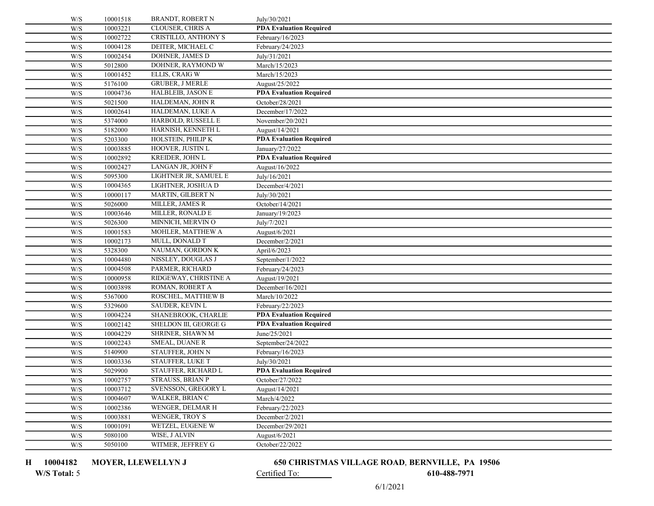| W/S                                                         | 10001518             | BRANDT, ROBERT N                            | July/30/2021                   |
|-------------------------------------------------------------|----------------------|---------------------------------------------|--------------------------------|
| W/S                                                         | 10003221             | <b>CLOUSER, CHRIS A</b>                     | <b>PDA Evaluation Required</b> |
| W/S                                                         | 10002722             | CRISTILLO, ANTHONY S                        | February/16/2023               |
| W/S                                                         | 10004128             | DEITER, MICHAEL C                           | February/24/2023               |
| W/S                                                         | 10002454             | DOHNER, JAMES D                             | July/31/2021                   |
| W/S                                                         | 5012800              | DOHNER, RAYMOND W                           | March/15/2023                  |
| W/S                                                         | 10001452             | ELLIS, CRAIG W                              | March/15/2023                  |
| W/S                                                         | 5176100              | <b>GRUBER, J MERLE</b>                      | August/25/2022                 |
| W/S                                                         | 10004736             | HALBLEIB, JASON E                           | <b>PDA Evaluation Required</b> |
| W/S                                                         | 5021500              | HALDEMAN, JOHN R                            | October/28/2021                |
| W/S                                                         | 10002641             | HALDEMAN, LUKE A                            | December/17/2022               |
| W/S                                                         | 5374000              | HARBOLD, RUSSELL E                          | November/20/2021               |
| W/S                                                         | 5182000              | HARNISH, KENNETH L                          | August/14/2021                 |
| W/S                                                         | 5203300              | HOLSTEIN, PHILIP K                          | <b>PDA Evaluation Required</b> |
| W/S                                                         | 10003885             | HOOVER, JUSTIN L                            | January/27/2022                |
| W/S                                                         | 10002892             | KREIDER, JOHN L                             | <b>PDA Evaluation Required</b> |
| W/S                                                         | 10002427             | LANGAN JR, JOHN F                           | August/16/2022                 |
| W/S                                                         | 5095300              | LIGHTNER JR, SAMUEL E                       | July/16/2021                   |
| W/S                                                         | 10004365             | LIGHTNER, JOSHUA D                          | December/4/2021                |
| W/S                                                         | 10000117             | MARTIN, GILBERT N                           | July/30/2021                   |
| W/S                                                         | 5026000              | MILLER, JAMES R                             | October/14/2021                |
| W/S                                                         | 10003646             | MILLER, RONALD E                            | January/19/2023                |
| W/S                                                         | 5026300              | MINNICH, MERVIN O                           | July/7/2021                    |
| W/S                                                         | 10001583             | MOHLER, MATTHEW A                           | August/6/2021                  |
| W/S                                                         | 10002173             | MULL, DONALD T                              | December/2/2021                |
| W/S                                                         | 5328300              | NAUMAN, GORDON K                            | April/6/2023                   |
| W/S                                                         | 10004480             | NISSLEY, DOUGLAS J                          | September/1/2022               |
| W/S                                                         | 10004508             | PARMER, RICHARD                             | February/24/2023               |
| W/S                                                         | 10000958             | RIDGEWAY, CHRISTINE A                       | August/19/2021                 |
| W/S                                                         | 10003898             | ROMAN, ROBERT A                             | December/16/2021               |
| W/S                                                         | 5367000              | ROSCHEL, MATTHEW B                          | March/10/2022                  |
| W/S                                                         | 5329600              | SAUDER, KEVIN L                             | February/22/2023               |
| W/S                                                         | 10004224             | SHANEBROOK, CHARLIE                         | <b>PDA Evaluation Required</b> |
| W/S                                                         | 10002142             | SHELDON III, GEORGE G                       | <b>PDA Evaluation Required</b> |
| W/S                                                         | 10004229             | SHRINER, SHAWN M                            | June/25/2021                   |
| W/S                                                         | 10002243             | SMEAL, DUANE R                              | September/24/2022              |
| W/S                                                         | 5140900              | STAUFFER, JOHN N<br><b>STAUFFER, LUKE T</b> | February/16/2023               |
| $\mathrm{W}/\mathrm{S}$                                     | 10003336             |                                             | July/30/2021                   |
| W/S                                                         | 5029900              | STAUFFER, RICHARD L<br>STRAUSS, BRIAN P     | <b>PDA Evaluation Required</b> |
| W/S                                                         | 10002757             |                                             | October/27/2022                |
| W/S<br>$\ensuremath{\text{W}}\xspace/\ensuremath{\text{S}}$ | 10003712<br>10004607 | SVENSSON, GREGORY L<br>WALKER, BRIAN C      | August/14/2021<br>March/4/2022 |
| W/S                                                         | 10002386             | WENGER, DELMAR H                            | February/22/2023               |
| W/S                                                         | 10003881             | WENGER, TROY S                              | December/2/2021                |
| W/S                                                         | 10001091             | WETZEL, EUGENE W                            | December/29/2021               |
| W/S                                                         | 5080100              | WISE, J ALVIN                               | August/6/2021                  |
| W/S                                                         | 5050100              | WITMER, JEFFREY G                           | October/22/2022                |
|                                                             |                      |                                             |                                |

H 10004182

### MOYER, LLEWELLYN J 650 CHRISTMAS VILLAGE ROAD, BERNVILLE, PA 19506

W/S Total: 5 Certified To: 610-488-7971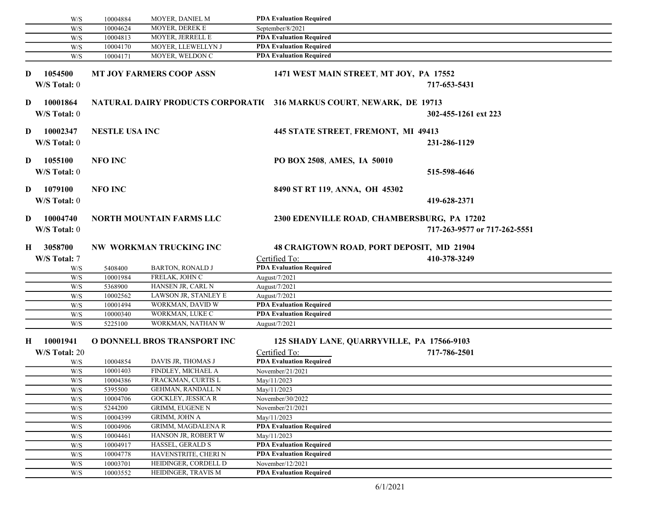|    | W/S                                                  | 10004884              | MOYER, DANIEL M                           | <b>PDA Evaluation Required</b>                                       |                                             |  |
|----|------------------------------------------------------|-----------------------|-------------------------------------------|----------------------------------------------------------------------|---------------------------------------------|--|
|    | W/S                                                  | 10004624              | MOYER, DEREK E                            | September/8/2021                                                     |                                             |  |
|    | W/S                                                  | 10004813              | MOYER, JERRELL E                          | <b>PDA Evaluation Required</b>                                       |                                             |  |
|    | W/S                                                  | 10004170              | MOYER, LLEWELLYN J                        | <b>PDA Evaluation Required</b>                                       |                                             |  |
|    | W/S                                                  | 10004171              | MOYER, WELDON C                           | <b>PDA Evaluation Required</b>                                       |                                             |  |
|    |                                                      |                       |                                           |                                                                      |                                             |  |
| D  | 1054500                                              |                       | <b>MT JOY FARMERS COOP ASSN</b>           | 1471 WEST MAIN STREET, MT JOY, PA 17552                              |                                             |  |
|    | W/S Total: 0                                         |                       |                                           |                                                                      | 717-653-5431                                |  |
| D  | 10001864                                             |                       |                                           | NATURAL DAIRY PRODUCTS CORPORATIC 316 MARKUS COURT, NEWARK, DE 19713 |                                             |  |
|    | W/S Total: 0                                         |                       |                                           |                                                                      |                                             |  |
|    |                                                      |                       |                                           |                                                                      | 302-455-1261 ext 223                        |  |
| D  | 10002347                                             | <b>NESTLE USA INC</b> |                                           | 445 STATE STREET, FREMONT, MI 49413                                  |                                             |  |
|    | W/S Total: 0                                         |                       |                                           |                                                                      | 231-286-1129                                |  |
|    |                                                      |                       |                                           |                                                                      |                                             |  |
| D  | 1055100                                              | <b>NFO INC</b>        |                                           | PO BOX 2508, AMES, IA 50010                                          |                                             |  |
|    | W/S Total: 0                                         |                       |                                           |                                                                      | 515-598-4646                                |  |
|    |                                                      |                       |                                           |                                                                      |                                             |  |
| D  | 1079100                                              | <b>NFO INC</b>        |                                           | 8490 ST RT 119, ANNA, OH 45302                                       |                                             |  |
|    | W/S Total: 0                                         |                       |                                           |                                                                      | 419-628-2371                                |  |
|    |                                                      |                       |                                           |                                                                      |                                             |  |
| D  | 10004740                                             |                       | <b>NORTH MOUNTAIN FARMS LLC</b>           |                                                                      | 2300 EDENVILLE ROAD, CHAMBERSBURG, PA 17202 |  |
|    | W/S Total: 0                                         |                       |                                           |                                                                      | 717-263-9577 or 717-262-5551                |  |
| H  | 3058700                                              |                       | NW WORKMAN TRUCKING INC                   |                                                                      | 48 CRAIGTOWN ROAD, PORT DEPOSIT, MD 21904   |  |
|    |                                                      |                       |                                           |                                                                      |                                             |  |
|    | W/S Total: 7                                         |                       |                                           | Certified To:<br><b>PDA Evaluation Required</b>                      | 410-378-3249                                |  |
|    | W/S                                                  | 5408400<br>10001984   | <b>BARTON, RONALD J</b><br>FRELAK, JOHN C |                                                                      |                                             |  |
|    | W/S<br>W/S                                           | 5368900               | HANSEN JR, CARL N                         | August/7/2021<br>August/7/2021                                       |                                             |  |
|    | W/S                                                  | 10002562              | LAWSON JR, STANLEY E                      | August/7/2021                                                        |                                             |  |
|    | W/S                                                  | 10001494              | WORKMAN, DAVID W                          | <b>PDA Evaluation Required</b>                                       |                                             |  |
|    | W/S                                                  | 10000340              | WORKMAN, LUKE C                           | <b>PDA Evaluation Required</b>                                       |                                             |  |
|    | W/S                                                  | 5225100               | WORKMAN, NATHAN W                         | August/7/2021                                                        |                                             |  |
|    |                                                      |                       |                                           |                                                                      |                                             |  |
| Н. | 10001941                                             |                       | O DONNELL BROS TRANSPORT INC              |                                                                      | 125 SHADY LANE, QUARRYVILLE, PA 17566-9103  |  |
|    | W/S Total: 20                                        |                       |                                           | Certified To:                                                        | 717-786-2501                                |  |
|    | W/S                                                  | 10004854              | DAVIS JR, THOMAS J                        | <b>PDA Evaluation Required</b>                                       |                                             |  |
|    | W/S                                                  | 10001403              | FINDLEY, MICHAEL A                        | November/21/2021                                                     |                                             |  |
|    | W/S                                                  | 10004386              | FRACKMAN, CURTIS L                        | May/11/2023                                                          |                                             |  |
|    | W/S                                                  | 5395500               | GEHMAN, RANDALL N                         | May/11/2023                                                          |                                             |  |
|    | W/S                                                  | 10004706              | GOCKLEY, JESSICA R                        | November/30/2022                                                     |                                             |  |
|    | W/S                                                  | 5244200               | <b>GRIMM, EUGENE N</b>                    | November/21/2021                                                     |                                             |  |
|    | W/S                                                  | 10004399              | <b>GRIMM, JOHN A</b>                      | May/11/2023                                                          |                                             |  |
|    | W/S                                                  | 10004906              | <b>GRIMM, MAGDALENA R</b>                 | <b>PDA Evaluation Required</b>                                       |                                             |  |
|    | $\ensuremath{\text{W}}\xspace/\ensuremath{\text{S}}$ | 10004461              | HANSON JR, ROBERT W                       | May/11/2023                                                          |                                             |  |
|    | W/S                                                  | 10004917              | <b>HASSEL, GERALD S</b>                   | <b>PDA Evaluation Required</b>                                       |                                             |  |
|    | W/S                                                  | 10004778              | HAVENSTRITE, CHERI N                      | <b>PDA Evaluation Required</b>                                       |                                             |  |
|    | W/S                                                  | 10003701              | HEIDINGER, CORDELL D                      | November/12/2021                                                     |                                             |  |
|    | $\ensuremath{\text{W}}\xspace/\ensuremath{\text{S}}$ | 10003552              | HEIDINGER, TRAVIS M                       | <b>PDA Evaluation Required</b>                                       |                                             |  |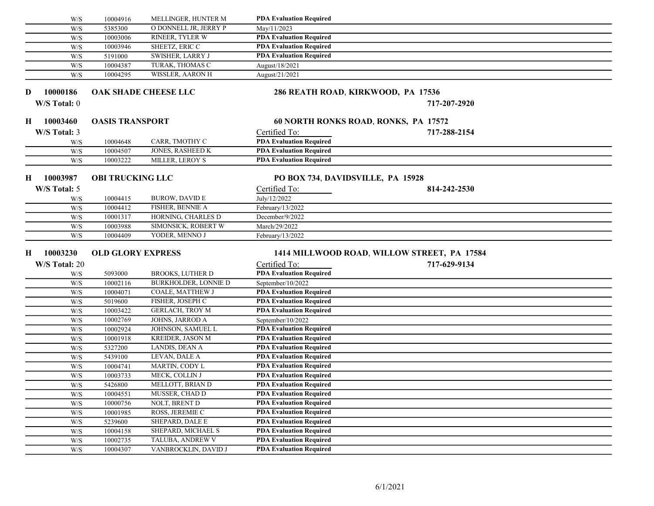|    | W/S           | 10004916                 | <b>MELLINGER, HUNTER M</b>                 | <b>PDA Evaluation Required</b>                                   |                                             |  |
|----|---------------|--------------------------|--------------------------------------------|------------------------------------------------------------------|---------------------------------------------|--|
|    | W/S           | 5385300                  | O DONNELL JR, JERRY P                      | May/11/2023                                                      |                                             |  |
|    | W/S           | 10003006                 | RINEER, TYLER W                            | <b>PDA Evaluation Required</b>                                   |                                             |  |
|    | W/S           | 10003946                 | SHEETZ, ERIC C                             | <b>PDA Evaluation Required</b>                                   |                                             |  |
|    | W/S           | 5191000                  | <b>SWISHER, LARRY J</b>                    | <b>PDA Evaluation Required</b>                                   |                                             |  |
|    | W/S           | 10004387                 | TURAK, THOMAS C                            | August/18/2021                                                   |                                             |  |
|    | W/S           | 10004295                 | WISSLER, AARON H                           | August/21/2021                                                   |                                             |  |
|    |               |                          |                                            |                                                                  |                                             |  |
| D  | 10000186      |                          | OAK SHADE CHEESE LLC                       | 286 REATH ROAD, KIRKWOOD, PA 17536                               |                                             |  |
|    | W/S Total: 0  |                          |                                            |                                                                  | 717-207-2920                                |  |
|    |               |                          |                                            |                                                                  |                                             |  |
| Н. | 10003460      | <b>OASIS TRANSPORT</b>   |                                            | 60 NORTH RONKS ROAD, RONKS, PA 17572                             |                                             |  |
|    | W/S Total: 3  |                          |                                            | Certified To:                                                    | 717-288-2154                                |  |
|    | W/S           | 10004648                 | CARR, TMOTHY C                             | <b>PDA Evaluation Required</b>                                   |                                             |  |
|    | W/S           | 10004507                 | JONES, RASHEED K                           | <b>PDA Evaluation Required</b>                                   |                                             |  |
|    | W/S           | 10003222                 | MILLER, LEROY S                            | <b>PDA Evaluation Required</b>                                   |                                             |  |
|    |               |                          |                                            |                                                                  |                                             |  |
| Н  | 10003987      | <b>OBI TRUCKING LLC</b>  |                                            | PO BOX 734, DAVIDSVILLE, PA 15928                                |                                             |  |
|    | W/S Total: 5  |                          |                                            | Certified To:                                                    | 814-242-2530                                |  |
|    | W/S           | 10004415                 | <b>BUROW, DAVID E</b>                      | July/12/2022                                                     |                                             |  |
|    | W/S           | 10004412                 | FISHER, BENNIE A                           | February/13/2022                                                 |                                             |  |
|    | W/S           | 10001317                 | HORNING, CHARLES D                         | December/9/2022                                                  |                                             |  |
|    | W/S           | 10003988                 | SIMONSICK, ROBERT W                        | March/29/2022                                                    |                                             |  |
|    | W/S           | 10004409                 | YODER, MENNO J                             | February/13/2022                                                 |                                             |  |
|    | 10003230      |                          |                                            |                                                                  |                                             |  |
| Н. |               | <b>OLD GLORY EXPRESS</b> |                                            |                                                                  | 1414 MILLWOOD ROAD, WILLOW STREET, PA 17584 |  |
|    | W/S Total: 20 |                          |                                            | Certified To:                                                    | 717-629-9134                                |  |
|    | W/S           | 5093000                  | <b>BROOKS, LUTHER D</b>                    | <b>PDA Evaluation Required</b>                                   |                                             |  |
|    | W/S           | 10002116                 | <b>BURKHOLDER, LONNIE D</b>                | September/10/2022                                                |                                             |  |
|    | W/S           | 10004071                 | COALE, MATTHEW J                           | <b>PDA Evaluation Required</b>                                   |                                             |  |
|    | W/S           | 5019600                  | FISHER, JOSEPH C<br><b>GERLACH, TROY M</b> | <b>PDA Evaluation Required</b><br><b>PDA Evaluation Required</b> |                                             |  |
|    | W/S           | 10003422                 | JOHNS, JARROD A                            |                                                                  |                                             |  |
|    | W/S<br>W/S    | 10002769<br>10002924     | JOHNSON, SAMUEL L                          | September/10/2022<br><b>PDA Evaluation Required</b>              |                                             |  |
|    | W/S           | 10001918                 | <b>KREIDER, JASON M</b>                    | <b>PDA Evaluation Required</b>                                   |                                             |  |
|    | W/S           | 5327200                  | LANDIS, DEAN A                             | <b>PDA Evaluation Required</b>                                   |                                             |  |
|    | W/S           | 5439100                  | LEVAN, DALE A                              | <b>PDA Evaluation Required</b>                                   |                                             |  |
|    | W/S           | 10004741                 | MARTIN, CODY L                             | <b>PDA Evaluation Required</b>                                   |                                             |  |
|    | W/S           | 10003733                 | MECK, COLLIN J                             | <b>PDA Evaluation Required</b>                                   |                                             |  |
|    | W/S           | 5426800                  | MELLOTT, BRIAN D                           | <b>PDA Evaluation Required</b>                                   |                                             |  |
|    | W/S           | 10004551                 | MUSSER, CHAD D                             | <b>PDA Evaluation Required</b>                                   |                                             |  |
|    | W/S           | 10000756                 | NOLT, BRENT D                              | <b>PDA Evaluation Required</b>                                   |                                             |  |
|    | W/S           | 10001985                 | ROSS, JEREMIE C                            | <b>PDA Evaluation Required</b>                                   |                                             |  |
|    | W/S           | 5239600                  | SHEPARD, DALE E                            | <b>PDA Evaluation Required</b>                                   |                                             |  |
|    | W/S           | 10004158                 | SHEPARD, MICHAEL S                         | <b>PDA Evaluation Required</b>                                   |                                             |  |
|    | W/S           | 10002735                 | TALUBA, ANDREW V                           | <b>PDA Evaluation Required</b>                                   |                                             |  |
|    | W/S           | 10004307                 | VANBROCKLIN, DAVID J                       | <b>PDA Evaluation Required</b>                                   |                                             |  |
|    |               |                          |                                            |                                                                  |                                             |  |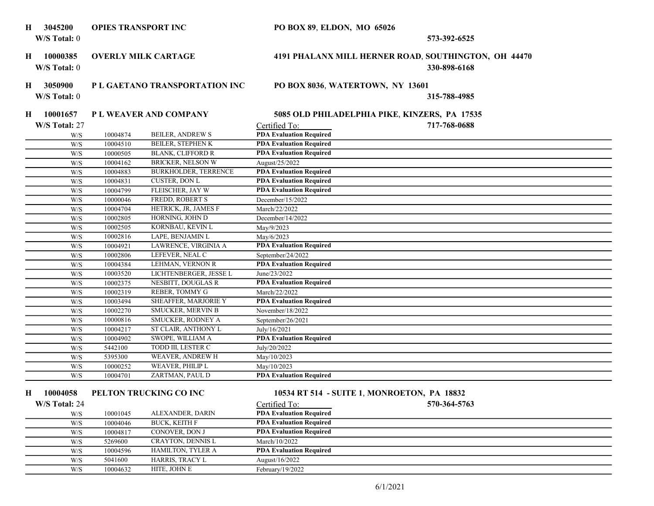| Н  | 3045200                                              | <b>OPIES TRANSPORT INC</b> |                                | PO BOX 89, ELDON, MO 65026     |                                                                      |
|----|------------------------------------------------------|----------------------------|--------------------------------|--------------------------------|----------------------------------------------------------------------|
|    | W/S Total: 0                                         |                            |                                |                                | 573-392-6525                                                         |
| Н. | 10000385<br>W/S Total: 0                             |                            | <b>OVERLY MILK CARTAGE</b>     |                                | 4191 PHALANX MILL HERNER ROAD, SOUTHINGTON, OH 44470<br>330-898-6168 |
| Н  | 3050900                                              |                            | P L GAETANO TRANSPORTATION INC |                                | PO BOX 8036, WATERTOWN, NY 13601                                     |
|    | W/S Total: 0                                         |                            |                                |                                | 315-788-4985                                                         |
| Н. | 10001657                                             |                            | P L WEAVER AND COMPANY         |                                | 5085 OLD PHILADELPHIA PIKE, KINZERS, PA 17535                        |
|    | W/S Total: 27                                        |                            |                                | Certified To:                  | 717-768-0688                                                         |
|    | W/S                                                  | 10004874                   | <b>BEILER, ANDREW S</b>        | <b>PDA Evaluation Required</b> |                                                                      |
|    | W/S                                                  | 10004510                   | BEILER, STEPHEN K              | <b>PDA Evaluation Required</b> |                                                                      |
|    | W/S                                                  | 10000505                   | <b>BLANK, CLIFFORD R</b>       | <b>PDA Evaluation Required</b> |                                                                      |
|    | W/S                                                  | 10004162                   | BRICKER, NELSON W              | August/25/2022                 |                                                                      |
|    | W/S                                                  | 10004883                   | BURKHOLDER, TERRENCE           | <b>PDA Evaluation Required</b> |                                                                      |
|    | W/S                                                  | 10004831                   | <b>CUSTER, DON L</b>           | <b>PDA Evaluation Required</b> |                                                                      |
|    | W/S                                                  | 10004799                   | FLEISCHER, JAY W               | <b>PDA Evaluation Required</b> |                                                                      |
|    | W/S                                                  | 10000046                   | FREDD, ROBERT S                | December/15/2022               |                                                                      |
|    | W/S                                                  | 10004704                   | HETRICK, JR, JAMES F           | March/22/2022                  |                                                                      |
|    | W/S                                                  | 10002805                   | HORNING, JOHN D                | December/14/2022               |                                                                      |
|    | W/S                                                  | 10002505                   | KORNBAU, KEVIN L               | May/9/2023                     |                                                                      |
|    | W/S                                                  | 10002816                   | LAPE, BENJAMIN L               | May/6/2023                     |                                                                      |
|    | W/S                                                  | 10004921                   | LAWRENCE, VIRGINIA A           | <b>PDA Evaluation Required</b> |                                                                      |
|    | W/S                                                  | 10002806                   | LEFEVER, NEAL C                | September/24/2022              |                                                                      |
|    | W/S                                                  | 10004384                   | LEHMAN, VERNON R               | <b>PDA Evaluation Required</b> |                                                                      |
|    | W/S                                                  | 10003520                   | LICHTENBERGER, JESSE L         | June/23/2022                   |                                                                      |
|    | W/S                                                  | 10002375                   | NESBITT, DOUGLAS R             | <b>PDA Evaluation Required</b> |                                                                      |
|    | W/S                                                  | 10002319                   | REBER, TOMMY G                 | March/22/2022                  |                                                                      |
|    | W/S                                                  | 10003494                   | SHEAFFER, MARJORIE Y           | <b>PDA Evaluation Required</b> |                                                                      |
|    | W/S                                                  | 10002270                   | SMUCKER, MERVIN B              | November/18/2022               |                                                                      |
|    | W/S                                                  | 10000816                   | SMUCKER, RODNEY A              | September/26/2021              |                                                                      |
|    | W/S                                                  | 10004217                   | ST CLAIR, ANTHONY L            | July/16/2021                   |                                                                      |
|    | W/S                                                  | 10004902                   | SWOPE, WILLIAM A               | <b>PDA Evaluation Required</b> |                                                                      |
|    | W/S                                                  | 5442100                    | TODD III, LESTER C             | July/20/2022                   |                                                                      |
|    | W/S                                                  | 5395300                    | WEAVER, ANDREW H               | May/10/2023                    |                                                                      |
|    | W/S                                                  | 10000252                   | WEAVER, PHILIP L               | May/10/2023                    |                                                                      |
|    | W/S                                                  | 10004701                   | ZARTMAN, PAUL D                | <b>PDA Evaluation Required</b> |                                                                      |
|    | H 10004058                                           |                            | PELTON TRUCKING CO INC         |                                | 10534 RT 514 - SUITE 1, MONROETON, PA 18832                          |
|    | W/S Total: 24                                        |                            |                                | Certified To:                  | 570-364-5763                                                         |
|    | W/S                                                  | 10001045                   | ALEXANDER, DARIN               | <b>PDA Evaluation Required</b> |                                                                      |
|    | W/S                                                  | 10004046                   | <b>BUCK, KEITH F</b>           | <b>PDA Evaluation Required</b> |                                                                      |
|    | W/S                                                  | 10004817                   | CONOVER, DON J                 | <b>PDA Evaluation Required</b> |                                                                      |
|    | W/S                                                  | 5269600                    | CRAYTON, DENNIS L              | March/10/2022                  |                                                                      |
|    | W/S                                                  | 10004596                   | HAMILTON, TYLER A              | <b>PDA Evaluation Required</b> |                                                                      |
|    | $\ensuremath{\text{W}}\xspace/\ensuremath{\text{S}}$ | 5041600                    | HARRIS, TRACY L                | August/16/2022                 |                                                                      |
|    | W/S                                                  | 10004632                   | HITE, JOHN E                   | February/19/2022               |                                                                      |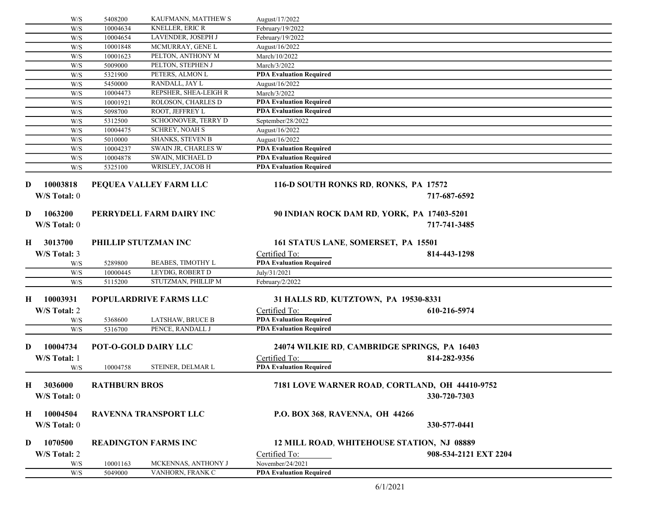|          | W/S          | 5408200              | KAUFMANN, MATTHEW S           | August/17/2022                        |                                                |
|----------|--------------|----------------------|-------------------------------|---------------------------------------|------------------------------------------------|
|          | W/S          | 10004634             | <b>KNELLER, ERIC R</b>        | February/19/2022                      |                                                |
|          | W/S          | 10004654             | LAVENDER, JOSEPH J            | February/19/2022                      |                                                |
|          | W/S          | 10001848             | MCMURRAY, GENE L              | August/16/2022                        |                                                |
|          | W/S          | 10001623             | PELTON, ANTHONY M             | March/10/2022                         |                                                |
|          | W/S          | 5009000              | PELTON, STEPHEN J             | March/3/2022                          |                                                |
|          | W/S          | 5321900              | PETERS, ALMON L               | <b>PDA Evaluation Required</b>        |                                                |
|          | W/S          | 5450000              | RANDALL, JAY L                | August/16/2022                        |                                                |
|          | W/S          | 10004473             | REPSHER, SHEA-LEIGH R         | March/3/2022                          |                                                |
|          | W/S          | 10001921             | ROLOSON, CHARLES D            | <b>PDA Evaluation Required</b>        |                                                |
|          | W/S          | 5098700              | ROOT, JEFFREY L               | <b>PDA Evaluation Required</b>        |                                                |
|          | W/S          | 5312500              | SCHOONOVER, TERRY D           | September/28/2022                     |                                                |
|          | W/S          | 10004475             | <b>SCHREY, NOAH S</b>         | August/16/2022                        |                                                |
|          | W/S          | 5010000              | <b>SHANKS, STEVEN B</b>       | August/16/2022                        |                                                |
|          | W/S          | 10004237             | SWAIN JR, CHARLES W           | <b>PDA Evaluation Required</b>        |                                                |
|          | W/S          | 10004878             | SWAIN, MICHAEL D              | <b>PDA Evaluation Required</b>        |                                                |
|          | W/S          | 5325100              | WRISLEY, JACOB H              | <b>PDA Evaluation Required</b>        |                                                |
| D        | 10003818     |                      | PEQUEA VALLEY FARM LLC        | 116-D SOUTH RONKS RD, RONKS, PA 17572 |                                                |
|          | W/S Total: 0 |                      |                               |                                       | 717-687-6592                                   |
| D        | 1063200      |                      | PERRYDELL FARM DAIRY INC      |                                       | 90 INDIAN ROCK DAM RD, YORK, PA 17403-5201     |
|          | W/S Total: 0 |                      |                               |                                       | 717-741-3485                                   |
| $\bf{H}$ | 3013700      |                      | PHILLIP STUTZMAN INC          | 161 STATUS LANE, SOMERSET, PA 15501   |                                                |
|          | W/S Total: 3 |                      |                               | Certified To:                         | 814-443-1298                                   |
|          | W/S          | 5289800              | BEABES, TIMOTHY L             | <b>PDA Evaluation Required</b>        |                                                |
|          | W/S          | 10000445             | LEYDIG, ROBERT D              | July/31/2021                          |                                                |
|          | W/S          | 5115200              | STUTZMAN, PHILLIP M           | February/2/2022                       |                                                |
| H        | 10003931     |                      | <b>POPULARDRIVE FARMS LLC</b> | 31 HALLS RD, KUTZTOWN, PA 19530-8331  |                                                |
|          | W/S Total: 2 |                      |                               | Certified To:                         | 610-216-5974                                   |
|          | W/S          | 5368600              | LATSHAW, BRUCE B              | <b>PDA Evaluation Required</b>        |                                                |
|          | W/S          | 5316700              | PENCE, RANDALL J              | <b>PDA Evaluation Required</b>        |                                                |
|          |              |                      |                               |                                       |                                                |
| D        | 10004734     |                      | <b>POT-O-GOLD DAIRY LLC</b>   |                                       | 24074 WILKIE RD, CAMBRIDGE SPRINGS, PA 16403   |
|          | W/S Total: 1 |                      |                               | Certified To:                         | 814-282-9356                                   |
|          | W/S          | 10004758             | STEINER, DELMAR L             | <b>PDA Evaluation Required</b>        |                                                |
| н.       | - 3036000    | <b>RATHBURN BROS</b> |                               |                                       | 7181 LOVE WARNER ROAD, CORTLAND, OH 44410-9752 |
|          | W/S Total: 0 |                      |                               |                                       | 330-720-7303                                   |
|          | H 10004504   |                      | RAVENNA TRANSPORT LLC         | P.O. BOX 368, RAVENNA, OH 44266       |                                                |
|          | W/S Total: 0 |                      |                               |                                       | 330-577-0441                                   |
| D        | 1070500      |                      | <b>READINGTON FARMS INC</b>   |                                       | 12 MILL ROAD, WHITEHOUSE STATION, NJ 08889     |
|          | W/S Total: 2 |                      |                               | Certified To:                         | 908-534-2121 EXT 2204                          |
|          | W/S          | 10001163             | MCKENNAS, ANTHONY J           | November/24/2021                      |                                                |
|          | W/S          | 5049000              | VANHORN, FRANK C              | <b>PDA Evaluation Required</b>        |                                                |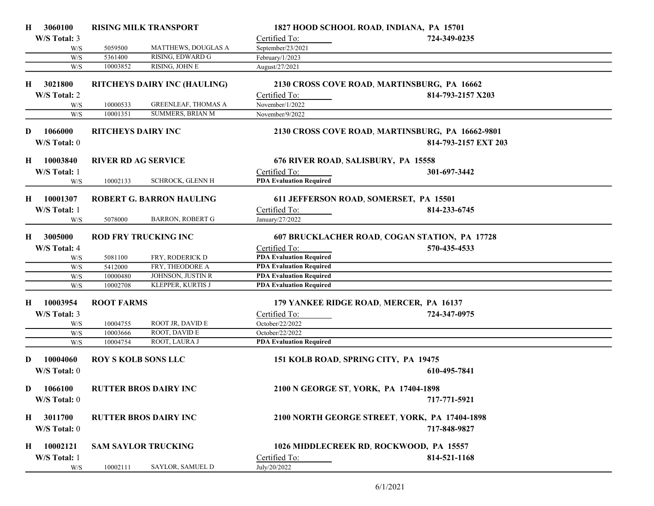| H  | 3060100      |                            | <b>RISING MILK TRANSPORT</b>        | 1827 HOOD SCHOOL ROAD, INDIANA, PA 15701 |                                                  |  |
|----|--------------|----------------------------|-------------------------------------|------------------------------------------|--------------------------------------------------|--|
|    | W/S Total: 3 |                            |                                     | Certified To:                            | 724-349-0235                                     |  |
|    | W/S          | 5059500                    | MATTHEWS, DOUGLAS A                 | September/23/2021                        |                                                  |  |
|    | W/S          | 5361400                    | RISING, EDWARD G                    | February/1/2023                          |                                                  |  |
|    | W/S          | 10003852                   | RISING, JOHN E                      | August/27/2021                           |                                                  |  |
| Н. | 3021800      |                            | <b>RITCHEYS DAIRY INC (HAULING)</b> |                                          | 2130 CROSS COVE ROAD, MARTINSBURG, PA 16662      |  |
|    | W/S Total: 2 |                            |                                     | Certified To:                            | 814-793-2157 X203                                |  |
|    | W/S          | 10000533                   | <b>GREENLEAF, THOMAS A</b>          | November/1/2022                          |                                                  |  |
|    | W/S          | 10001351                   | <b>SUMMERS, BRIAN M</b>             | November/9/2022                          |                                                  |  |
|    |              |                            |                                     |                                          |                                                  |  |
| D  | 1066000      | <b>RITCHEYS DAIRY INC</b>  |                                     |                                          | 2130 CROSS COVE ROAD, MARTINSBURG, PA 16662-9801 |  |
|    | W/S Total: 0 |                            |                                     |                                          | 814-793-2157 EXT 203                             |  |
| Н  | 10003840     | <b>RIVER RD AG SERVICE</b> |                                     | 676 RIVER ROAD, SALISBURY, PA 15558      |                                                  |  |
|    | W/S Total: 1 |                            |                                     | Certified To:                            | 301-697-3442                                     |  |
|    | W/S          | 10002133                   | <b>SCHROCK, GLENN H</b>             | <b>PDA Evaluation Required</b>           |                                                  |  |
| Н. | 10001307     |                            | <b>ROBERT G. BARRON HAULING</b>     | 611 JEFFERSON ROAD, SOMERSET, PA 15501   |                                                  |  |
|    | W/S Total: 1 |                            |                                     |                                          |                                                  |  |
|    |              | 5078000                    | <b>BARRON, ROBERT G</b>             | Certified To:<br>January/27/2022         | 814-233-6745                                     |  |
|    | W/S          |                            |                                     |                                          |                                                  |  |
| Н  | 3005000      |                            | <b>ROD FRY TRUCKING INC</b>         |                                          | 607 BRUCKLACHER ROAD, COGAN STATION, PA 17728    |  |
|    | W/S Total: 4 |                            |                                     | Certified To:                            | 570-435-4533                                     |  |
|    | W/S          | 5081100                    | FRY, RODERICK D                     | <b>PDA Evaluation Required</b>           |                                                  |  |
|    | W/S          | 5412000                    | FRY, THEODORE A                     | <b>PDA Evaluation Required</b>           |                                                  |  |
|    | W/S          | 10000480                   | JOHNSON, JUSTIN R                   | <b>PDA Evaluation Required</b>           |                                                  |  |
|    | W/S          | 10002708                   | KLEPPER, KURTIS J                   | <b>PDA Evaluation Required</b>           |                                                  |  |
| H  | 10003954     | <b>ROOT FARMS</b>          |                                     | 179 YANKEE RIDGE ROAD, MERCER, PA 16137  |                                                  |  |
|    | W/S Total: 3 |                            |                                     | Certified To:                            | 724-347-0975                                     |  |
|    | W/S          | 10004755                   | ROOT JR, DAVID E                    | October/22/2022                          |                                                  |  |
|    | W/S          | 10003666                   | ROOT, DAVID E                       | October/22/2022                          |                                                  |  |
|    | W/S          | 10004754                   | ROOT, LAURA J                       | <b>PDA Evaluation Required</b>           |                                                  |  |
|    |              |                            |                                     |                                          |                                                  |  |
| D  | 10004060     | <b>ROY S KOLB SONS LLC</b> |                                     | 151 KOLB ROAD, SPRING CITY, PA 19475     |                                                  |  |
|    | W/S Total: 0 |                            |                                     |                                          | 610-495-7841                                     |  |
|    |              |                            |                                     |                                          |                                                  |  |
| D  | 1066100      |                            | <b>RUTTER BROS DAIRY INC</b>        | 2100 N GEORGE ST, YORK, PA 17404-1898    |                                                  |  |
|    | W/S Total: 0 |                            |                                     |                                          | 717-771-5921                                     |  |
| H  | 3011700      |                            | <b>RUTTER BROS DAIRY INC</b>        |                                          | 2100 NORTH GEORGE STREET, YORK, PA 17404-1898    |  |
|    | W/S Total: 0 |                            |                                     |                                          | 717-848-9827                                     |  |
|    |              |                            |                                     |                                          |                                                  |  |
| H  | 10002121     |                            | <b>SAM SAYLOR TRUCKING</b>          | 1026 MIDDLECREEK RD, ROCKWOOD, PA 15557  |                                                  |  |
|    | W/S Total: 1 |                            |                                     | Certified To:                            | 814-521-1168                                     |  |
|    | W/S          | 10002111                   | SAYLOR, SAMUEL D                    | July/20/2022                             |                                                  |  |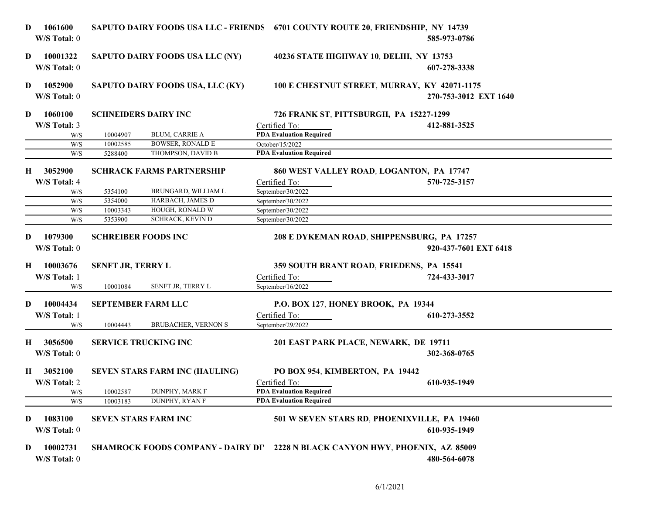| D            | 1061600<br>W/S Total: 0  |                          |                                       |                                 | SAPUTO DAIRY FOODS USA LLC - FRIENDS 6701 COUNTY ROUTE 20, FRIENDSHIP, NY 14739<br>585-973-0786 |  |
|--------------|--------------------------|--------------------------|---------------------------------------|---------------------------------|-------------------------------------------------------------------------------------------------|--|
| D            | 10001322<br>W/S Total: 0 |                          | SAPUTO DAIRY FOODS USA LLC (NY)       |                                 | 40236 STATE HIGHWAY 10, DELHI, NY 13753<br>607-278-3338                                         |  |
| D            | 1052900<br>W/S Total: 0  |                          | SAPUTO DAIRY FOODS USA, LLC (KY)      |                                 | 100 E CHESTNUT STREET, MURRAY, KY 42071-1175<br>270-753-3012 EXT 1640                           |  |
| D            | 1060100                  |                          | <b>SCHNEIDERS DAIRY INC</b>           |                                 | 726 FRANK ST, PITTSBURGH, PA 15227-1299                                                         |  |
|              | W/S Total: 3             |                          |                                       | Certified To:                   | 412-881-3525                                                                                    |  |
|              | W/S                      | 10004907                 | <b>BLUM, CARRIE A</b>                 | <b>PDA Evaluation Required</b>  |                                                                                                 |  |
|              | W/S                      | 10002585                 | <b>BOWSER, RONALD E</b>               | October/15/2022                 |                                                                                                 |  |
|              | W/S                      | 5288400                  | THOMPSON, DAVID B                     | <b>PDA Evaluation Required</b>  |                                                                                                 |  |
| Н            | 3052900                  |                          | <b>SCHRACK FARMS PARTNERSHIP</b>      |                                 | 860 WEST VALLEY ROAD, LOGANTON, PA 17747                                                        |  |
|              | W/S Total: 4             |                          |                                       | Certified To:                   | 570-725-3157                                                                                    |  |
|              | W/S                      | 5354100                  | BRUNGARD, WILLIAM L                   | September/30/2022               |                                                                                                 |  |
|              | W/S                      | 5354000                  | HARBACH, JAMES D                      | September/30/2022               |                                                                                                 |  |
|              | W/S                      | 10003343                 | HOUGH, RONALD W                       | September/30/2022               |                                                                                                 |  |
|              | W/S                      | 5353900                  | <b>SCHRACK, KEVIN D</b>               | September/30/2022               |                                                                                                 |  |
| D.           | 1079300<br>W/S Total: 0  |                          | <b>SCHREIBER FOODS INC</b>            |                                 | 208 E DYKEMAN ROAD, SHIPPENSBURG, PA 17257<br>920-437-7601 EXT 6418                             |  |
| Н.           | 10003676                 | <b>SENFT JR, TERRY L</b> |                                       |                                 | 359 SOUTH BRANT ROAD, FRIEDENS, PA 15541                                                        |  |
|              | W/S Total: 1             |                          |                                       | Certified To:                   | 724-433-3017                                                                                    |  |
|              | W/S                      | 10001084                 | SENFT JR, TERRY L                     | September/16/2022               |                                                                                                 |  |
| D.           | 10004434                 |                          | <b>SEPTEMBER FARM LLC</b>             |                                 | P.O. BOX 127, HONEY BROOK, PA 19344                                                             |  |
|              | W/S Total: 1             |                          |                                       | Certified To:                   | 610-273-3552                                                                                    |  |
|              | W/S                      | 10004443                 | <b>BRUBACHER, VERNON S</b>            | September/29/2022               |                                                                                                 |  |
| Н.           | 3056500                  |                          | <b>SERVICE TRUCKING INC</b>           |                                 | 201 EAST PARK PLACE, NEWARK, DE 19711                                                           |  |
|              | W/S Total: 0             |                          |                                       |                                 | 302-368-0765                                                                                    |  |
| $\mathbf{H}$ | 3052100                  |                          | <b>SEVEN STARS FARM INC (HAULING)</b> | PO BOX 954, KIMBERTON, PA 19442 |                                                                                                 |  |
|              | W/S Total: 2             |                          |                                       | Certified To:                   | 610-935-1949                                                                                    |  |
|              | W/S                      | 10002587                 | <b>DUNPHY, MARK F</b>                 | <b>PDA Evaluation Required</b>  |                                                                                                 |  |
|              | W/S                      | 10003183                 | DUNPHY, RYAN F                        | <b>PDA Evaluation Required</b>  |                                                                                                 |  |
| D            | 1083100<br>W/S Total: 0  |                          | <b>SEVEN STARS FARM INC</b>           |                                 | 501 W SEVEN STARS RD, PHOENIXVILLE, PA 19460<br>610-935-1949                                    |  |
| D            | 10002731<br>W/S Total: 0 |                          |                                       |                                 | SHAMROCK FOODS COMPANY - DAIRY DIV 2228 N BLACK CANYON HWY, PHOENIX, AZ 85009<br>480-564-6078   |  |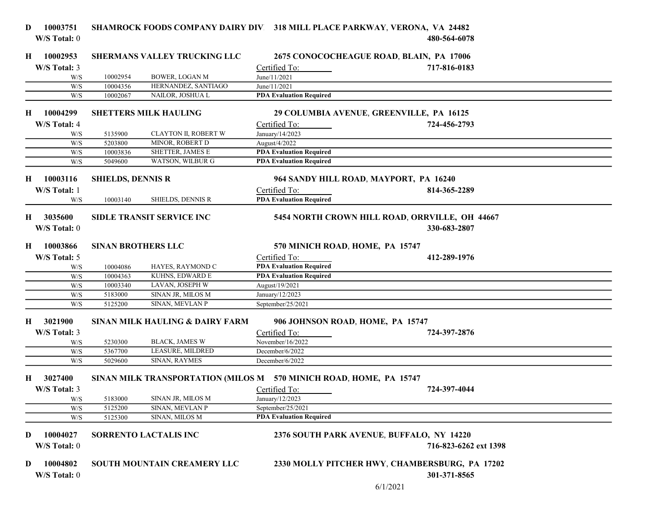| 10003751<br>D<br>W/S Total: 0                        |                          |                                                                    |                                  | SHAMROCK FOODS COMPANY DAIRY DIV. 318 MILL PLACE PARKWAY, VERONA, VA 24482<br>480-564-6078 |  |
|------------------------------------------------------|--------------------------|--------------------------------------------------------------------|----------------------------------|--------------------------------------------------------------------------------------------|--|
| 10002953<br>H                                        |                          | <b>SHERMANS VALLEY TRUCKING LLC</b>                                |                                  | 2675 CONOCOCHEAGUE ROAD, BLAIN, PA 17006                                                   |  |
| W/S Total: 3                                         |                          |                                                                    | Certified To:                    | 717-816-0183                                                                               |  |
| W/S                                                  | 10002954                 | <b>BOWER, LOGAN M</b>                                              | June/11/2021                     |                                                                                            |  |
| W/S                                                  | 10004356                 | HERNANDEZ, SANTIAGO                                                | June/11/2021                     |                                                                                            |  |
| W/S                                                  | 10002067                 | NAILOR, JOSHUA L                                                   | <b>PDA Evaluation Required</b>   |                                                                                            |  |
| 10004299<br>Н.                                       |                          | <b>SHETTERS MILK HAULING</b>                                       |                                  | 29 COLUMBIA AVENUE, GREENVILLE, PA 16125                                                   |  |
| W/S Total: 4                                         |                          |                                                                    | Certified To:                    | 724-456-2793                                                                               |  |
| W/S                                                  | 5135900                  | <b>CLAYTON II, ROBERT W</b>                                        | January/14/2023                  |                                                                                            |  |
| W/S                                                  | 5203800                  | MINOR, ROBERT D                                                    | August/4/2022                    |                                                                                            |  |
| W/S                                                  | 10003836                 | SHETTER, JAMES E                                                   | <b>PDA Evaluation Required</b>   |                                                                                            |  |
| W/S                                                  | 5049600                  | WATSON, WILBUR G                                                   | <b>PDA Evaluation Required</b>   |                                                                                            |  |
| 10003116<br>H                                        | <b>SHIELDS, DENNIS R</b> |                                                                    |                                  | 964 SANDY HILL ROAD, MAYPORT, PA 16240                                                     |  |
| W/S Total: 1                                         |                          |                                                                    | Certified To:                    | 814-365-2289                                                                               |  |
| W/S                                                  | 10003140                 | <b>SHIELDS, DENNIS R</b>                                           | <b>PDA Evaluation Required</b>   |                                                                                            |  |
| 3035600<br>Н.<br>W/S Total: 0                        |                          | <b>SIDLE TRANSIT SERVICE INC</b>                                   |                                  | 5454 NORTH CROWN HILL ROAD, ORRVILLE, OH 44667<br>330-683-2807                             |  |
| 10003866<br>H                                        |                          | <b>SINAN BROTHERS LLC</b>                                          | 570 MINICH ROAD, HOME, PA 15747  |                                                                                            |  |
| W/S Total: 5                                         |                          |                                                                    | Certified To:                    | 412-289-1976                                                                               |  |
| W/S                                                  | 10004086                 | HAYES, RAYMOND C                                                   | <b>PDA Evaluation Required</b>   |                                                                                            |  |
| W/S                                                  | 10004363                 | KUHNS, EDWARD E                                                    | <b>PDA Evaluation Required</b>   |                                                                                            |  |
| W/S                                                  | 10003340                 | LAVAN, JOSEPH W                                                    | August/19/2021                   |                                                                                            |  |
| W/S                                                  | 5183000                  | SINAN JR, MILOS M<br>SINAN, MEVLAN P                               | January/12/2023                  |                                                                                            |  |
| W/S                                                  | 5125200                  |                                                                    | September/25/2021                |                                                                                            |  |
| 3021900<br>H                                         |                          | SINAN MILK HAULING & DAIRY FARM                                    |                                  | 906 JOHNSON ROAD, HOME, PA 15747                                                           |  |
| W/S Total: 3                                         |                          | <b>BLACK, JAMES W</b>                                              | Certified To:                    | 724-397-2876                                                                               |  |
| W/S                                                  | 5230300                  | LEASURE, MILDRED                                                   | November/16/2022                 |                                                                                            |  |
| W/S<br>W/S                                           | 5367700                  | SINAN, RAYMES                                                      | December/6/2022                  |                                                                                            |  |
|                                                      | 5029600                  |                                                                    | December/6/2022                  |                                                                                            |  |
| 3027400<br>H                                         |                          | SINAN MILK TRANSPORTATION (MILOS M 570 MINICH ROAD, HOME, PA 15747 |                                  |                                                                                            |  |
| W/S Total: 3<br>W/S                                  | 5183000                  | SINAN JR, MILOS M                                                  | Certified To:<br>January/12/2023 | 724-397-4044                                                                               |  |
| W/S                                                  | 5125200                  | SINAN, MEVLAN P                                                    | September/25/2021                |                                                                                            |  |
| $\ensuremath{\text{W}}\xspace/\ensuremath{\text{S}}$ | 5125300                  | SINAN, MILOS M                                                     | <b>PDA Evaluation Required</b>   |                                                                                            |  |
| 10004027<br>D<br>W/S Total: 0                        |                          | <b>SORRENTO LACTALIS INC</b>                                       |                                  | 2376 SOUTH PARK AVENUE, BUFFALO, NY 14220<br>716-823-6262 ext 1398                         |  |
| 10004802<br>D<br>W/S Total: 0                        |                          | SOUTH MOUNTAIN CREAMERY LLC                                        |                                  | 2330 MOLLY PITCHER HWY, CHAMBERSBURG, PA 17202<br>301-371-8565<br>6/1/2021                 |  |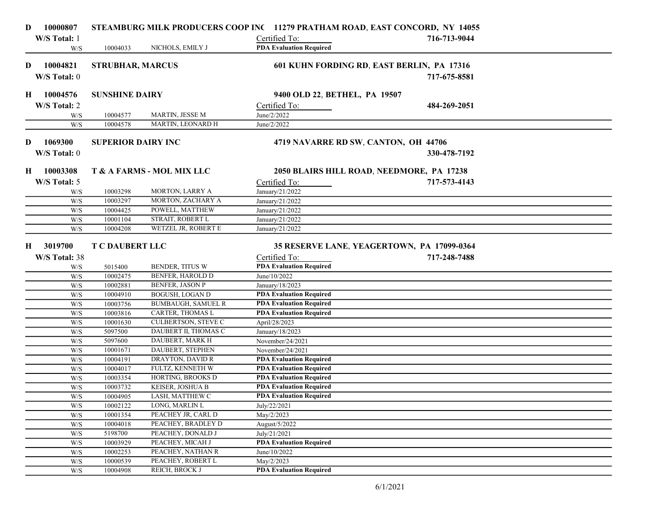| D | 10000807      |                           |                            | STEAMBURG MILK PRODUCERS COOP INC 11279 PRATHAM ROAD, EAST CONCORD, NY 14055 |              |  |
|---|---------------|---------------------------|----------------------------|------------------------------------------------------------------------------|--------------|--|
|   | W/S Total: 1  |                           |                            | Certified To:                                                                | 716-713-9044 |  |
|   | W/S           | 10004033                  | NICHOLS, EMILY J           | <b>PDA Evaluation Required</b>                                               |              |  |
| D | 10004821      | <b>STRUBHAR, MARCUS</b>   |                            | 601 KUHN FORDING RD, EAST BERLIN, PA 17316                                   |              |  |
|   | W/S Total: 0  |                           |                            |                                                                              | 717-675-8581 |  |
| H | 10004576      | <b>SUNSHINE DAIRY</b>     |                            | 9400 OLD 22, BETHEL, PA 19507                                                |              |  |
|   | W/S Total: 2  |                           |                            | Certified To:                                                                | 484-269-2051 |  |
|   | W/S           | 10004577                  | MARTIN, JESSE M            | June/2/2022                                                                  |              |  |
|   | W/S           | 10004578                  | MARTIN, LEONARD H          | June/2/2022                                                                  |              |  |
|   |               |                           |                            |                                                                              |              |  |
| D | 1069300       | <b>SUPERIOR DAIRY INC</b> |                            | 4719 NAVARRE RD SW, CANTON, OH 44706                                         |              |  |
|   | W/S Total: 0  |                           |                            |                                                                              | 330-478-7192 |  |
| H | 10003308      |                           | T & A FARMS - MOL MIX LLC  | 2050 BLAIRS HILL ROAD, NEEDMORE, PA 17238                                    |              |  |
|   | W/S Total: 5  |                           |                            | Certified To:                                                                | 717-573-4143 |  |
|   | W/S           | 10003298                  | MORTON, LARRY A            | January/21/2022                                                              |              |  |
|   | W/S           | 10003297                  | MORTON, ZACHARY A          | January/21/2022                                                              |              |  |
|   | W/S           | 10004425                  | POWELL, MATTHEW            | January/21/2022                                                              |              |  |
|   | W/S           | 10001104                  | STRAIT, ROBERT L           | January/21/2022                                                              |              |  |
|   | W/S           | 10004208                  | WETZEL JR, ROBERT E        | January/21/2022                                                              |              |  |
|   |               |                           |                            |                                                                              |              |  |
| Н | 3019700       | <b>T C DAUBERT LLC</b>    |                            | 35 RESERVE LANE, YEAGERTOWN, PA 17099-0364                                   |              |  |
|   | W/S Total: 38 |                           |                            | Certified To:                                                                | 717-248-7488 |  |
|   | W/S           | 5015400                   | BENDER, TITUS W            | <b>PDA Evaluation Required</b>                                               |              |  |
|   | W/S           | 10002475                  | BENFER, HAROLD D           | June/10/2022                                                                 |              |  |
|   | W/S           | 10002881                  | <b>BENFER, JASON P</b>     | January/18/2023                                                              |              |  |
|   | W/S           | 10004910                  | <b>BOGUSH, LOGAN D</b>     | <b>PDA Evaluation Required</b>                                               |              |  |
|   | W/S           | 10003756                  | <b>BUMBAUGH, SAMUEL R</b>  | <b>PDA Evaluation Required</b>                                               |              |  |
|   | W/S           | 10003816                  | CARTER, THOMAS L           | <b>PDA Evaluation Required</b>                                               |              |  |
|   | W/S           | 10001630                  | <b>CULBERTSON, STEVE C</b> | April/28/2023                                                                |              |  |
|   | W/S           | 5097500                   | DAUBERT II, THOMAS C       | January/18/2023                                                              |              |  |
|   | W/S           | 5097600                   | DAUBERT, MARK H            | November/24/2021                                                             |              |  |
|   | W/S           | 10001671                  | DAUBERT, STEPHEN           | November/24/2021                                                             |              |  |
|   | W/S           | 10004191                  | DRAYTON, DAVID R           | <b>PDA Evaluation Required</b>                                               |              |  |
|   | W/S           | 10004017                  | FULTZ, KENNETH W           | <b>PDA Evaluation Required</b>                                               |              |  |
|   | W/S           | 10003354                  | HORTING, BROOKS D          | <b>PDA Evaluation Required</b>                                               |              |  |
|   | W/S           | 10003732                  | KEISER, JOSHUA B           | <b>PDA Evaluation Required</b>                                               |              |  |
|   | W/S           | 10004905                  | LASH, MATTHEW C            | <b>PDA Evaluation Required</b>                                               |              |  |
|   | W/S           | 10002122                  | LONG, MARLIN L             | July/22/2021                                                                 |              |  |
|   | W/S           | 10001354                  | PEACHEY JR, CARL D         | May/2/2023                                                                   |              |  |
|   | W/S           | 10004018                  | PEACHEY, BRADLEY D         | August/5/2022                                                                |              |  |
|   | W/S           | 5198700                   | PEACHEY, DONALD J          | July/21/2021                                                                 |              |  |
|   | W/S           | 10003929                  | PEACHEY, MICAH J           | <b>PDA Evaluation Required</b>                                               |              |  |
|   | W/S           | 10002253                  | PEACHEY, NATHAN R          | June/10/2022                                                                 |              |  |
|   | W/S           | 10000539                  | PEACHEY, ROBERT L          | May/2/2023                                                                   |              |  |
|   | W/S           | 10004908                  | REICH, BROCK J             | <b>PDA Evaluation Required</b>                                               |              |  |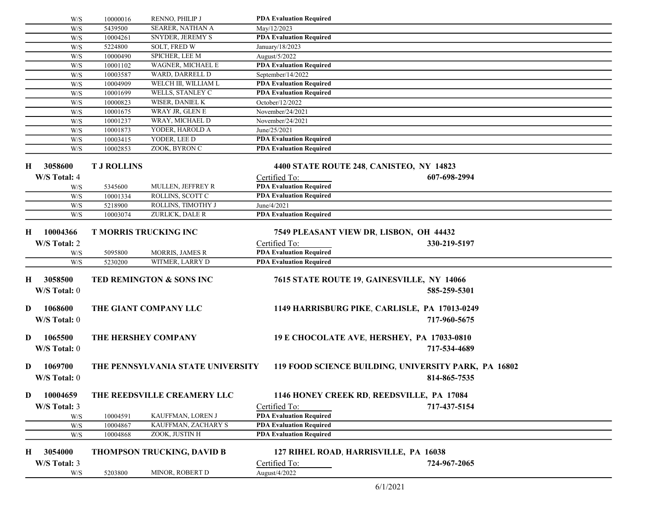|             | W/S                 | 10000016             | RENNO, PHILIP J                       | <b>PDA Evaluation Required</b>                                   |                                                      |  |
|-------------|---------------------|----------------------|---------------------------------------|------------------------------------------------------------------|------------------------------------------------------|--|
|             | W/S                 | 5439500              | <b>SEARER, NATHAN A</b>               | May/12/2023                                                      |                                                      |  |
|             | W/S                 | 10004261             | SNYDER, JEREMY S                      | <b>PDA Evaluation Required</b>                                   |                                                      |  |
|             | W/S                 | 5224800              | <b>SOLT, FRED W</b>                   | January/18/2023                                                  |                                                      |  |
|             | W/S                 | 10000490             | SPICHER, LEE M                        | August/5/2022                                                    |                                                      |  |
|             | W/S                 | 10001102             | WAGNER, MICHAEL E                     | <b>PDA Evaluation Required</b>                                   |                                                      |  |
|             | W/S                 | 10003587             | WARD, DARRELL D                       | September/14/2022                                                |                                                      |  |
|             | W/S                 | 10004909             | WELCH III, WILLIAM L                  | <b>PDA Evaluation Required</b>                                   |                                                      |  |
|             | W/S                 | 10001699             | WELLS, STANLEY C                      | <b>PDA Evaluation Required</b>                                   |                                                      |  |
|             | W/S                 | 10000823             | <b>WISER, DANIEL K</b>                | October/12/2022                                                  |                                                      |  |
|             | W/S                 | 10001675             | WRAY JR, GLEN E                       | November/24/2021                                                 |                                                      |  |
|             | W/S                 | 10001237             | WRAY, MICHAEL D                       | November/24/2021                                                 |                                                      |  |
|             | W/S                 | 10001873             | YODER, HAROLD A                       | June/25/2021                                                     |                                                      |  |
|             | W/S                 | 10003415             | YODER, LEE D                          | <b>PDA Evaluation Required</b>                                   |                                                      |  |
|             | W/S                 | 10002853             | ZOOK, BYRON C                         | <b>PDA Evaluation Required</b>                                   |                                                      |  |
| Н           | 3058600             | <b>T J ROLLINS</b>   |                                       | 4400 STATE ROUTE 248, CANISTEO, NY 14823                         |                                                      |  |
|             | W/S Total: 4        |                      |                                       | Certified To:                                                    | 607-698-2994                                         |  |
|             | W/S                 | 5345600              | MULLEN, JEFFREY R                     | <b>PDA Evaluation Required</b>                                   |                                                      |  |
|             | W/S                 | 10001334             | ROLLINS, SCOTT C                      | <b>PDA Evaluation Required</b>                                   |                                                      |  |
|             | W/S                 | 5218900              | ROLLINS, TIMOTHY J                    | June/4/2021                                                      |                                                      |  |
|             | W/S                 | 10003074             | ZURLICK, DALE R                       | <b>PDA Evaluation Required</b>                                   |                                                      |  |
|             |                     |                      |                                       |                                                                  |                                                      |  |
| Н           | 10004366            |                      | <b>T MORRIS TRUCKING INC</b>          | 7549 PLEASANT VIEW DR, LISBON, OH 44432                          |                                                      |  |
|             | W/S Total: 2        |                      |                                       | Certified To:                                                    | 330-219-5197                                         |  |
|             | W/S                 | 5095800              | <b>MORRIS, JAMES R</b>                | <b>PDA Evaluation Required</b>                                   |                                                      |  |
|             | W/S                 | 5230200              | WITMER, LARRY D                       | <b>PDA Evaluation Required</b>                                   |                                                      |  |
| $\bf H$     | 3058500             |                      | TED REMINGTON & SONS INC              |                                                                  | 7615 STATE ROUTE 19, GAINESVILLE, NY 14066           |  |
|             | W/S Total: 0        |                      |                                       |                                                                  | 585-259-5301                                         |  |
|             |                     |                      |                                       |                                                                  |                                                      |  |
| D           | 1068600             |                      | THE GIANT COMPANY LLC                 |                                                                  | 1149 HARRISBURG PIKE, CARLISLE, PA 17013-0249        |  |
|             | W/S Total: 0        |                      |                                       |                                                                  | 717-960-5675                                         |  |
|             |                     |                      |                                       |                                                                  |                                                      |  |
| D           | 1065500             |                      | THE HERSHEY COMPANY                   |                                                                  | 19 E CHOCOLATE AVE, HERSHEY, PA 17033-0810           |  |
|             | W/S Total: 0        |                      |                                       |                                                                  | 717-534-4689                                         |  |
|             |                     |                      |                                       |                                                                  |                                                      |  |
| D           | 1069700             |                      | THE PENNSYLVANIA STATE UNIVERSITY     |                                                                  | 119 FOOD SCIENCE BUILDING, UNIVERSITY PARK, PA 16802 |  |
|             |                     |                      |                                       |                                                                  |                                                      |  |
|             | W/S Total: 0        |                      |                                       |                                                                  | 814-865-7535                                         |  |
|             |                     |                      |                                       |                                                                  |                                                      |  |
| D           | 10004659            |                      | THE REEDSVILLE CREAMERY LLC           |                                                                  | 1146 HONEY CREEK RD, REEDSVILLE, PA 17084            |  |
|             |                     |                      |                                       |                                                                  |                                                      |  |
|             | W/S Total: 3        |                      |                                       | Certified To:                                                    | 717-437-5154                                         |  |
|             | W/S                 | 10004591<br>10004867 | KAUFFMAN, LOREN J                     | <b>PDA Evaluation Required</b><br><b>PDA Evaluation Required</b> |                                                      |  |
|             | W/S                 |                      | KAUFFMAN, ZACHARY S<br>ZOOK, JUSTIN H |                                                                  |                                                      |  |
|             | W/S                 | 10004868             |                                       | <b>PDA Evaluation Required</b>                                   |                                                      |  |
| $\mathbf H$ | 3054000             |                      | THOMPSON TRUCKING, DAVID B            | 127 RIHEL ROAD, HARRISVILLE, PA 16038                            |                                                      |  |
|             |                     |                      |                                       |                                                                  |                                                      |  |
|             | W/S Total: 3<br>W/S | 5203800              | MINOR, ROBERT D                       | Certified To:<br>August/4/2022                                   | 724-967-2065                                         |  |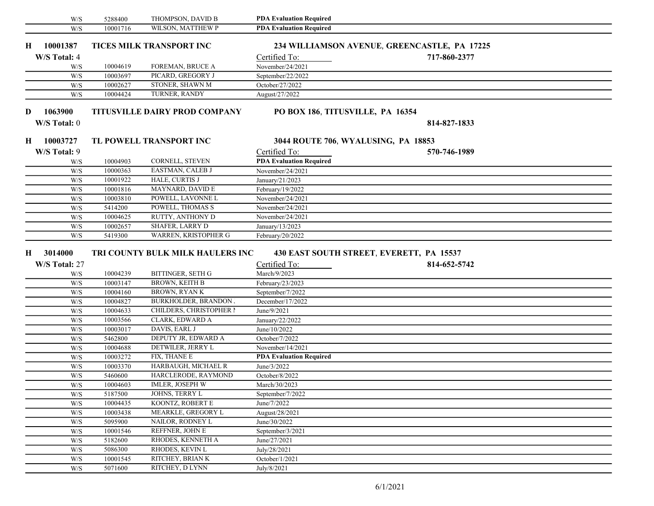| W/S                            | 5288400  | THOMPSON, DAVID B                    | <b>PDA Evaluation Required</b>                            |              |  |
|--------------------------------|----------|--------------------------------------|-----------------------------------------------------------|--------------|--|
| W/S                            | 10001716 | WILSON, MATTHEW P                    | <b>PDA Evaluation Required</b>                            |              |  |
| 10001387<br>Н.                 |          | TICES MILK TRANSPORT INC             | 234 WILLIAMSON AVENUE, GREENCASTLE, PA 17225              |              |  |
| W/S Total: 4                   |          |                                      | Certified To:                                             | 717-860-2377 |  |
| W/S                            | 10004619 | FOREMAN, BRUCE A                     | November/24/2021                                          |              |  |
| W/S                            | 10003697 | PICARD, GREGORY J                    | September/22/2022                                         |              |  |
| W/S                            | 10002627 | STONER, SHAWN M                      | October/27/2022                                           |              |  |
| W/S                            | 10004424 | TURNER, RANDY                        | August/27/2022                                            |              |  |
|                                |          |                                      |                                                           |              |  |
| 1063900<br>D                   |          | <b>TITUSVILLE DAIRY PROD COMPANY</b> | PO BOX 186, TITUSVILLE, PA 16354                          |              |  |
| W/S Total: 0                   |          |                                      |                                                           | 814-827-1833 |  |
| 10003727<br>Н.                 |          | TL POWELL TRANSPORT INC              | 3044 ROUTE 706, WYALUSING, PA 18853                       |              |  |
| W/S Total: 9                   |          |                                      | Certified To:                                             | 570-746-1989 |  |
| W/S                            | 10004903 | CORNELL, STEVEN                      | <b>PDA Evaluation Required</b>                            |              |  |
| W/S                            | 10000363 | EASTMAN, CALEB J                     | November/24/2021                                          |              |  |
| W/S                            | 10001922 | HALE, CURTIS J                       | January/21/2023                                           |              |  |
| W/S                            | 10001816 | MAYNARD, DAVID E                     | February/19/2022                                          |              |  |
| W/S                            | 10003810 | POWELL, LAVONNE L                    | November/24/2021                                          |              |  |
| W/S                            | 5414200  | POWELL, THOMAS S                     | $\overline{\text{November}}/24/2021$                      |              |  |
| W/S                            | 10004625 | RUTTY, ANTHONY D                     | November/24/2021                                          |              |  |
| W/S                            | 10002657 | <b>SHAFER, LARRY D</b>               | January/13/2023                                           |              |  |
| W/S                            | 5419300  | WARREN, KRISTOPHER G                 | February/20/2022                                          |              |  |
| 3014000<br>Н.<br>W/S Total: 27 |          | TRI COUNTY BULK MILK HAULERS INC     | 430 EAST SOUTH STREET, EVERETT, PA 15537<br>Certified To: | 814-652-5742 |  |
| W/S                            | 10004239 | BITTINGER, SETH G                    | March/9/2023                                              |              |  |
| W/S                            | 10003147 | <b>BROWN, KEITH B</b>                | February/23/2023                                          |              |  |
| W/S                            | 10004160 | <b>BROWN, RYANK</b>                  | September/7/2022                                          |              |  |
| W/S                            | 10004827 | <b>BURKHOLDER, BRANDON J</b>         | December/17/2022                                          |              |  |
| W/S                            | 10004633 | CHILDERS, CHRISTOPHER I              | June/9/2021                                               |              |  |
| W/S                            | 10003566 | CLARK, EDWARD A                      | January/22/2022                                           |              |  |
| W/S                            | 10003017 | DAVIS, EARL J                        | June/10/2022                                              |              |  |
| W/S                            | 5462800  | DEPUTY JR, EDWARD A                  | October/7/2022                                            |              |  |
| W/S                            | 10004688 | DETWILER, JERRY L                    | November/14/2021                                          |              |  |
| W/S                            | 10003272 | FIX, THANE E                         | <b>PDA Evaluation Required</b>                            |              |  |
| W/S                            | 10003370 | HARBAUGH, MICHAEL R                  | June/3/2022                                               |              |  |
| W/S                            | 5460600  | HARCLERODE, RAYMOND                  | October/8/2022                                            |              |  |
| $\mathrm{W}/\mathrm{S}$        | 10004603 | <b>IMLER, JOSEPH W</b>               | March/30/2023                                             |              |  |
| W/S                            | 5187500  | JOHNS, TERRY L                       | September/7/2022                                          |              |  |
| W/S                            | 10004435 | KOONTZ, ROBERT E                     | June/7/2022                                               |              |  |
| W/S                            | 10003438 | MEARKLE, GREGORY L                   | August/28/2021                                            |              |  |
| W/S                            | 5095900  | NAILOR, RODNEY L                     | June/30/2022                                              |              |  |
| W/S                            | 10001546 | REFFNER, JOHN E                      | September/3/2021                                          |              |  |
| W/S                            | 5182600  | RHODES, KENNETH A                    | June/27/2021                                              |              |  |
| W/S                            | 5086300  | RHODES, KEVIN L                      | July/28/2021                                              |              |  |
| W/S                            | 10001545 | RITCHEY, BRIAN K                     | October/1/2021                                            |              |  |
| W/S                            | 5071600  | RITCHEY, D LYNN                      | July/8/2021                                               |              |  |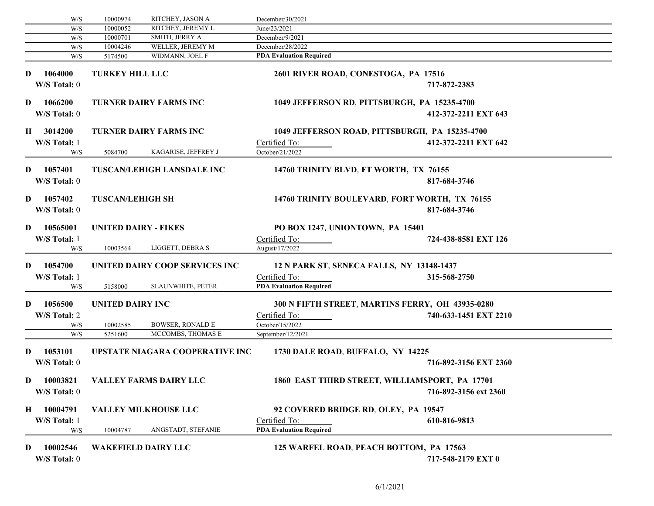|         | W/S                      | 10000974                    | RITCHEY, JASON A                  | December/30/2021                                                     |
|---------|--------------------------|-----------------------------|-----------------------------------|----------------------------------------------------------------------|
|         | W/S                      | 10000052                    | RITCHEY, JEREMY L                 | June/23/2021                                                         |
|         | W/S                      | 10000701                    | SMITH, JERRY A                    | December/9/2021                                                      |
|         | W/S                      | 10004246                    | WELLER, JEREMY M                  | December/28/2022                                                     |
|         | W/S                      | 5174500                     | WIDMANN, JOEL F                   | <b>PDA Evaluation Required</b>                                       |
| D       | 1064000<br>W/S Total: 0  | <b>TURKEY HILL LLC</b>      |                                   | 2601 RIVER ROAD, CONESTOGA, PA 17516<br>717-872-2383                 |
| D       | 1066200<br>W/S Total: 0  |                             | <b>TURNER DAIRY FARMS INC</b>     | 1049 JEFFERSON RD, PITTSBURGH, PA 15235-4700<br>412-372-2211 EXT 643 |
|         | H 3014200                |                             | <b>TURNER DAIRY FARMS INC</b>     | 1049 JEFFERSON ROAD, PITTSBURGH, PA 15235-4700                       |
|         | W/S Total: 1<br>W/S      | 5084700                     | KAGARISE, JEFFREY J               | 412-372-2211 EXT 642<br>Certified To:<br>October/21/2022             |
| D       | 1057401<br>W/S Total: 0  |                             | <b>TUSCAN/LEHIGH LANSDALE INC</b> | 14760 TRINITY BLVD, FT WORTH, TX 76155<br>817-684-3746               |
| D       | 1057402<br>W/S Total: 0  | <b>TUSCAN/LEHIGH SH</b>     |                                   | 14760 TRINITY BOULEVARD, FORT WORTH, TX 76155<br>817-684-3746        |
| D       | 10565001                 | <b>UNITED DAIRY - FIKES</b> |                                   | PO BOX 1247, UNIONTOWN, PA 15401                                     |
|         | W/S Total: 1             |                             |                                   | Certified To:<br>724-438-8581 EXT 126                                |
|         | W/S                      | 10003564                    | LIGGETT, DEBRA S                  | August/17/2022                                                       |
|         |                          |                             |                                   |                                                                      |
| D       | 1054700                  |                             | UNITED DAIRY COOP SERVICES INC    | 12 N PARK ST, SENECA FALLS, NY 13148-1437                            |
|         | W/S Total: 1             |                             |                                   |                                                                      |
|         |                          |                             | <b>SLAUNWHITE, PETER</b>          | Certified To:<br>315-568-2750<br><b>PDA Evaluation Required</b>      |
|         | W/S                      | 5158000                     |                                   |                                                                      |
| D       | 1056500                  | UNITED DAIRY INC            |                                   | 300 N FIFTH STREET, MARTINS FERRY, OH 43935-0280                     |
|         |                          |                             |                                   |                                                                      |
|         | W/S Total: 2             |                             |                                   | Certified To:<br>740-633-1451 EXT 2210                               |
|         | W/S                      | 10002585                    | <b>BOWSER, RONALD E</b>           | October/15/2022                                                      |
|         | W/S                      | 5251600                     | MCCOMBS, THOMAS E                 | September/12/2021                                                    |
| D       | 1053101                  |                             | UPSTATE NIAGARA COOPERATIVE INC   | 1730 DALE ROAD, BUFFALO, NY 14225                                    |
|         | W/S Total: 0             |                             |                                   | 716-892-3156 EXT 2360                                                |
| D       | 10003821                 |                             | <b>VALLEY FARMS DAIRY LLC</b>     | 1860 EAST THIRD STREET, WILLIAMSPORT, PA 17701                       |
|         |                          |                             |                                   |                                                                      |
|         | W/S Total: 0             |                             |                                   | 716-892-3156 ext 2360                                                |
| $\bf H$ | 10004791                 |                             | <b>VALLEY MILKHOUSE LLC</b>       | 92 COVERED BRIDGE RD, OLEY, PA 19547                                 |
|         | W/S Total: 1             |                             |                                   | Certified To:<br>610-816-9813                                        |
|         | W/S                      | 10004787                    | ANGSTADT, STEFANIE                | <b>PDA Evaluation Required</b>                                       |
| D       | 10002546<br>W/S Total: 0 |                             | <b>WAKEFIELD DAIRY LLC</b>        | 125 WARFEL ROAD, PEACH BOTTOM, PA 17563<br>717-548-2179 EXT 0        |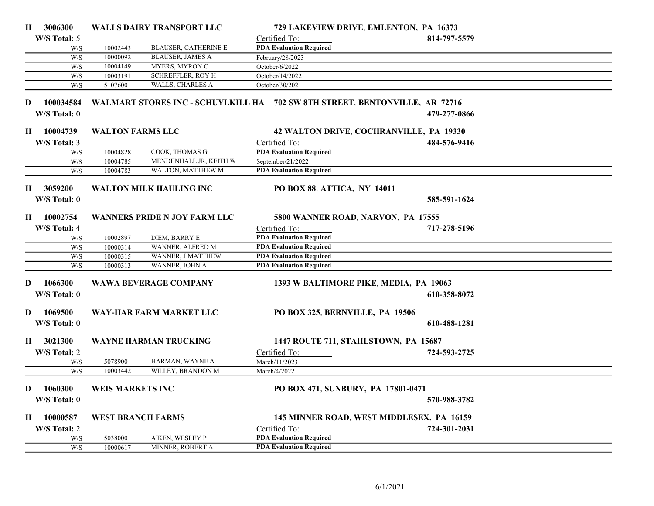| Н. | 3006300      |                         | <b>WALLS DAIRY TRANSPORT LLC</b> | 729 LAKEVIEW DRIVE, EMLENTON, PA 16373                                      |                                           |  |
|----|--------------|-------------------------|----------------------------------|-----------------------------------------------------------------------------|-------------------------------------------|--|
|    | W/S Total: 5 |                         |                                  | Certified To:                                                               | 814-797-5579                              |  |
|    | W/S          | 10002443                | <b>BLAUSER, CATHERINE E</b>      | <b>PDA Evaluation Required</b>                                              |                                           |  |
|    | W/S          | 10000092                | <b>BLAUSER, JAMES A</b>          | February/28/2023                                                            |                                           |  |
|    | W/S          | 10004149                | MYERS, MYRON C                   | October/6/2022                                                              |                                           |  |
|    | W/S          | 10003191                | <b>SCHREFFLER, ROY H</b>         | October/14/2022                                                             |                                           |  |
|    | W/S          | 5107600                 | WALLS, CHARLES A                 | October/30/2021                                                             |                                           |  |
|    |              |                         |                                  |                                                                             |                                           |  |
| D  | 100034584    |                         |                                  | WALMART STORES INC - SCHUYLKILL HA 702 SW 8TH STREET, BENTONVILLE, AR 72716 |                                           |  |
|    | W/S Total: 0 |                         |                                  |                                                                             | 479-277-0866                              |  |
|    | H 10004739   | <b>WALTON FARMS LLC</b> |                                  |                                                                             | 42 WALTON DRIVE, COCHRANVILLE, PA 19330   |  |
|    | W/S Total: 3 |                         |                                  | Certified To:                                                               | 484-576-9416                              |  |
|    | W/S          | 10004828                | COOK, THOMAS G                   | <b>PDA Evaluation Required</b>                                              |                                           |  |
|    | W/S          | 10004785                | MENDENHALL JR, KEITH W           | September/21/2022                                                           |                                           |  |
|    | W/S          | 10004783                | WALTON, MATTHEW M                | <b>PDA Evaluation Required</b>                                              |                                           |  |
|    |              |                         |                                  |                                                                             |                                           |  |
| Н. | 3059200      |                         | <b>WALTON MILK HAULING INC</b>   | PO BOX 88, ATTICA, NY 14011                                                 |                                           |  |
|    | W/S Total: 0 |                         |                                  |                                                                             | 585-591-1624                              |  |
|    |              |                         |                                  |                                                                             |                                           |  |
|    | H 10002754   |                         | WANNERS PRIDE N JOY FARM LLC     | 5800 WANNER ROAD, NARVON, PA 17555                                          |                                           |  |
|    | W/S Total: 4 |                         |                                  | Certified To:                                                               | 717-278-5196                              |  |
|    | W/S          | 10002897                | DIEM, BARRY E                    | <b>PDA Evaluation Required</b>                                              |                                           |  |
|    | W/S          | 10000314                | WANNER, ALFRED M                 | <b>PDA Evaluation Required</b>                                              |                                           |  |
|    | W/S          | 10000315                | WANNER, J MATTHEW                | <b>PDA Evaluation Required</b>                                              |                                           |  |
|    | W/S          | 10000313                | WANNER, JOHN A                   | <b>PDA Evaluation Required</b>                                              |                                           |  |
|    |              |                         |                                  | 1393 W BALTIMORE PIKE, MEDIA, PA 19063                                      |                                           |  |
| D  | 1066300      |                         | <b>WAWA BEVERAGE COMPANY</b>     |                                                                             |                                           |  |
|    | W/S Total: 0 |                         |                                  |                                                                             | 610-358-8072                              |  |
| D. | 1069500      |                         | WAY-HAR FARM MARKET LLC          | PO BOX 325, BERNVILLE, PA 19506                                             |                                           |  |
|    |              |                         |                                  |                                                                             |                                           |  |
|    | W/S Total: 0 |                         |                                  |                                                                             | 610-488-1281                              |  |
| H  | 3021300      |                         | <b>WAYNE HARMAN TRUCKING</b>     | 1447 ROUTE 711, STAHLSTOWN, PA 15687                                        |                                           |  |
|    | W/S Total: 2 |                         |                                  | Certified To:                                                               | 724-593-2725                              |  |
|    |              | 5078900                 | HARMAN, WAYNE A                  |                                                                             |                                           |  |
|    | W/S<br>W/S   | 10003442                | WILLEY, BRANDON M                | March/11/2023<br>March/4/2022                                               |                                           |  |
|    |              |                         |                                  |                                                                             |                                           |  |
| D. | 1060300      | <b>WEIS MARKETS INC</b> |                                  | PO BOX 471, SUNBURY, PA 17801-0471                                          |                                           |  |
|    | W/S Total: 0 |                         |                                  |                                                                             | 570-988-3782                              |  |
|    |              |                         |                                  |                                                                             |                                           |  |
| Н. | 10000587     |                         | <b>WEST BRANCH FARMS</b>         |                                                                             | 145 MINNER ROAD, WEST MIDDLESEX, PA 16159 |  |
|    | W/S Total: 2 |                         |                                  | Certified To:                                                               | 724-301-2031                              |  |
|    | W/S          | 5038000                 | AIKEN, WESLEY P                  | <b>PDA Evaluation Required</b>                                              |                                           |  |
|    | W/S          | 10000617                | MINNER, ROBERT A                 | <b>PDA Evaluation Required</b>                                              |                                           |  |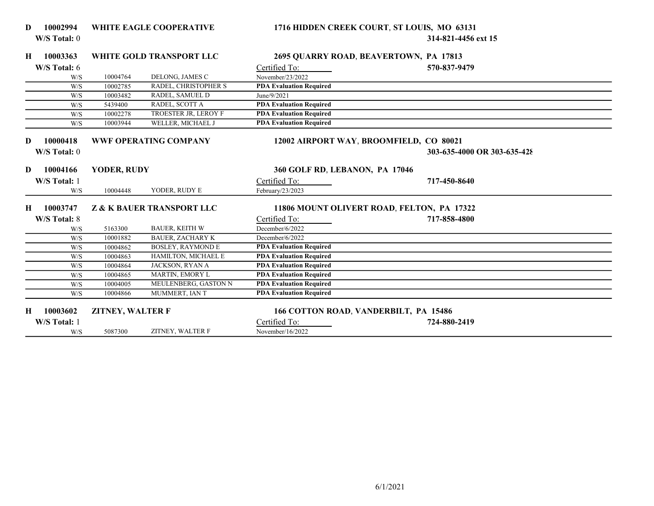| D | 10002994     |                         | <b>WHITE EAGLE COOPERATIVE</b>       | 1716 HIDDEN CREEK COURT, ST LOUIS, MO 63131 |                             |
|---|--------------|-------------------------|--------------------------------------|---------------------------------------------|-----------------------------|
|   | W/S Total: 0 |                         |                                      |                                             | 314-821-4456 ext 15         |
| H | 10003363     |                         | WHITE GOLD TRANSPORT LLC             | 2695 QUARRY ROAD, BEAVERTOWN, PA 17813      |                             |
|   | W/S Total: 6 |                         |                                      | Certified To:                               | 570-837-9479                |
|   | W/S          | 10004764                | DELONG, JAMES C                      | November/23/2022                            |                             |
|   | W/S          | 10002785                | RADEL, CHRISTOPHER S                 | <b>PDA Evaluation Required</b>              |                             |
|   | W/S          | 10003482                | RADEL, SAMUEL D                      | June/9/2021                                 |                             |
|   | W/S          | 5439400                 | RADEL, SCOTT A                       | <b>PDA Evaluation Required</b>              |                             |
|   | W/S          | 10002278                | TROESTER JR, LEROY F                 | <b>PDA Evaluation Required</b>              |                             |
|   | W/S          | 10003944                | WELLER, MICHAEL J                    | <b>PDA Evaluation Required</b>              |                             |
|   |              |                         |                                      |                                             |                             |
| D | 10000418     |                         | <b>WWF OPERATING COMPANY</b>         | 12002 AIRPORT WAY, BROOMFIELD, CO 80021     |                             |
|   | W/S Total: 0 |                         |                                      |                                             | 303-635-4000 OR 303-635-428 |
|   |              |                         |                                      |                                             |                             |
| D | 10004166     | YODER, RUDY             |                                      | 360 GOLF RD, LEBANON, PA 17046              |                             |
|   | W/S Total: 1 |                         |                                      | Certified To:                               | 717-450-8640                |
|   | W/S          | 10004448                | YODER, RUDY E                        | February/23/2023                            |                             |
|   |              |                         |                                      |                                             |                             |
| H | 10003747     |                         | <b>Z &amp; K BAUER TRANSPORT LLC</b> | 11806 MOUNT OLIVERT ROAD, FELTON, PA 17322  |                             |
|   | W/S Total: 8 |                         |                                      | Certified To:                               | 717-858-4800                |
|   | W/S          | 5163300                 | <b>BAUER, KEITH W</b>                | December/6/2022                             |                             |
|   | W/S          | 10001882                | <b>BAUER, ZACHARY K</b>              | December/6/2022                             |                             |
|   | W/S          | 10004862                | <b>BOSLEY, RAYMOND E</b>             | <b>PDA Evaluation Required</b>              |                             |
|   | W/S          | 10004863                | HAMILTON, MICHAEL E                  | <b>PDA Evaluation Required</b>              |                             |
|   | W/S          | 10004864                | JACKSON, RYAN A                      | <b>PDA Evaluation Required</b>              |                             |
|   | W/S          | 10004865                | MARTIN, EMORY L                      | <b>PDA Evaluation Required</b>              |                             |
|   | W/S          | 10004005                | MEULENBERG, GASTON N                 | <b>PDA Evaluation Required</b>              |                             |
|   | W/S          | 10004866                | MUMMERT, IAN T                       | <b>PDA Evaluation Required</b>              |                             |
|   |              |                         |                                      |                                             |                             |
| н | 10003602     | <b>ZITNEY, WALTER F</b> |                                      | 166 COTTON ROAD, VANDERBILT, PA 15486       |                             |
|   | W/S Total: 1 |                         |                                      | Certified To:                               | 724-880-2419                |
|   | W/S          | 5087300                 | ZITNEY, WALTER F                     | November/16/2022                            |                             |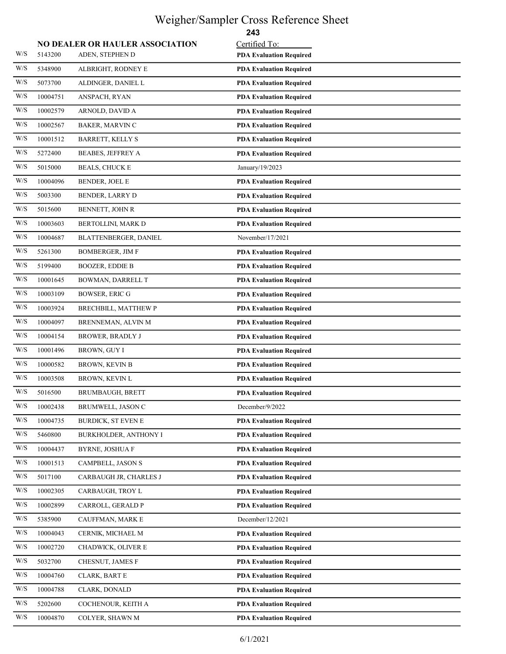### Weigher/Sampler Cross Reference Sheet

|                         |          |                                        | 243                            |
|-------------------------|----------|----------------------------------------|--------------------------------|
|                         |          | <b>NO DEALER OR HAULER ASSOCIATION</b> | Certified To:                  |
| W/S                     | 5143200  | ADEN, STEPHEN D                        | <b>PDA Evaluation Required</b> |
| W/S                     | 5348900  | ALBRIGHT, RODNEY E                     | <b>PDA Evaluation Required</b> |
| $\mathrm{W}/\mathrm{S}$ | 5073700  | ALDINGER, DANIEL L                     | <b>PDA Evaluation Required</b> |
| $\mathrm{W}/\mathrm{S}$ | 10004751 | ANSPACH, RYAN                          | <b>PDA Evaluation Required</b> |
| W/S                     | 10002579 | ARNOLD, DAVID A                        | <b>PDA Evaluation Required</b> |
| $\mathrm{W}/\mathrm{S}$ | 10002567 | <b>BAKER, MARVIN C</b>                 | <b>PDA Evaluation Required</b> |
| W/S                     | 10001512 | <b>BARRETT, KELLY S</b>                | <b>PDA Evaluation Required</b> |
| W/S                     | 5272400  | <b>BEABES, JEFFREY A</b>               | <b>PDA Evaluation Required</b> |
| W/S                     | 5015000  | <b>BEALS, CHUCK E</b>                  | January/19/2023                |
| W/S                     | 10004096 | <b>BENDER, JOEL E</b>                  | <b>PDA Evaluation Required</b> |
| W/S                     | 5003300  | <b>BENDER, LARRY D</b>                 | <b>PDA Evaluation Required</b> |
| W/S                     | 5015600  | BENNETT, JOHN R                        | <b>PDA Evaluation Required</b> |
| W/S                     | 10003603 | BERTOLLINI, MARK D                     | <b>PDA Evaluation Required</b> |
| W/S                     | 10004687 | BLATTENBERGER, DANIEL                  | November/17/2021               |
| $\mathrm{W}/\mathrm{S}$ | 5261300  | <b>BOMBERGER, JIM F</b>                | <b>PDA Evaluation Required</b> |
| $\mathrm{W}/\mathrm{S}$ | 5199400  | <b>BOOZER, EDDIE B</b>                 | <b>PDA Evaluation Required</b> |
| W/S                     | 10001645 | <b>BOWMAN, DARRELL T</b>               | <b>PDA Evaluation Required</b> |
| W/S                     | 10003109 | <b>BOWSER, ERIC G</b>                  | <b>PDA Evaluation Required</b> |
| W/S                     | 10003924 | BRECHBILL, MATTHEW P                   | <b>PDA Evaluation Required</b> |
| W/S                     | 10004097 | BRENNEMAN, ALVIN M                     | <b>PDA Evaluation Required</b> |
| W/S                     | 10004154 | <b>BROWER, BRADLY J</b>                | <b>PDA Evaluation Required</b> |
| $\mathrm{W}/\mathrm{S}$ | 10001496 | BROWN, GUY I                           | <b>PDA Evaluation Required</b> |
| $\mathrm{W}/\mathrm{S}$ | 10000582 | <b>BROWN, KEVIN B</b>                  | <b>PDA Evaluation Required</b> |
| W/S                     | 10003508 | <b>BROWN, KEVIN L</b>                  | <b>PDA Evaluation Required</b> |
| W/S                     | 5016500  | <b>BRUMBAUGH, BRETT</b>                | <b>PDA Evaluation Required</b> |
| W/S                     | 10002438 | BRUMWELL, JASON C                      | December/9/2022                |
| W/S                     | 10004735 | <b>BURDICK, ST EVEN E</b>              | <b>PDA Evaluation Required</b> |
| $\mathrm{W}/\mathrm{S}$ | 5460800  | <b>BURKHOLDER, ANTHONY I</b>           | <b>PDA Evaluation Required</b> |
| W/S                     | 10004437 | <b>BYRNE, JOSHUA F</b>                 | <b>PDA Evaluation Required</b> |
| W/S                     | 10001513 | CAMPBELL, JASON S                      | <b>PDA Evaluation Required</b> |
| W/S                     | 5017100  | CARBAUGH JR, CHARLES J                 | <b>PDA Evaluation Required</b> |
| W/S                     | 10002305 | CARBAUGH, TROY L                       | <b>PDA Evaluation Required</b> |
| W/S                     | 10002899 | CARROLL, GERALD P                      | <b>PDA Evaluation Required</b> |
| W/S                     | 5385900  | CAUFFMAN, MARK E                       | December/12/2021               |
| $\mathrm{W}/\mathrm{S}$ | 10004043 | CERNIK, MICHAEL M                      | <b>PDA Evaluation Required</b> |
| W/S                     | 10002720 | CHADWICK, OLIVER E                     | <b>PDA Evaluation Required</b> |
| W/S                     | 5032700  | CHESNUT, JAMES F                       | <b>PDA Evaluation Required</b> |
| W/S                     | 10004760 | CLARK, BART E                          | <b>PDA Evaluation Required</b> |
| W/S                     | 10004788 | CLARK, DONALD                          | <b>PDA Evaluation Required</b> |
| W/S                     | 5202600  | COCHENOUR, KEITH A                     | <b>PDA Evaluation Required</b> |
| W/S                     | 10004870 | COLYER, SHAWN M                        | <b>PDA Evaluation Required</b> |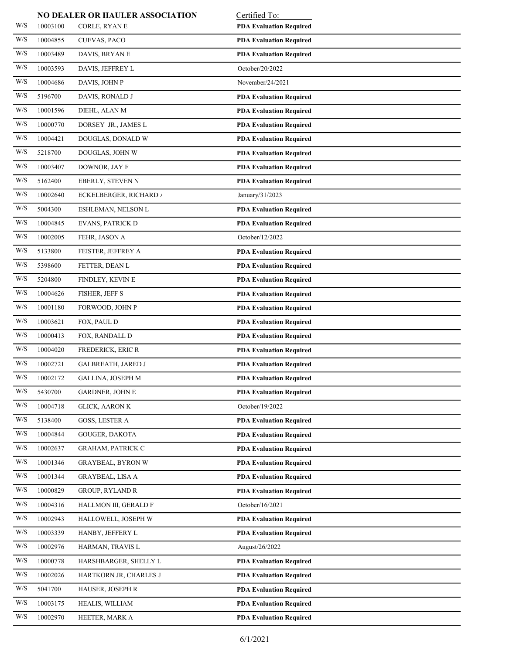|                         |          | NO DEALER OR HAULER ASSOCIATION | Certified To:                  |
|-------------------------|----------|---------------------------------|--------------------------------|
| W/S                     | 10003100 | CORLE, RYAN E                   | <b>PDA Evaluation Required</b> |
| W/S                     | 10004855 | CUEVAS, PACO                    | <b>PDA Evaluation Required</b> |
| W/S                     | 10003489 | DAVIS, BRYAN E                  | <b>PDA Evaluation Required</b> |
| W/S                     | 10003593 | DAVIS, JEFFREY L                | October/20/2022                |
| W/S                     | 10004686 | DAVIS, JOHN P                   | November/24/2021               |
| W/S                     | 5196700  | DAVIS, RONALD J                 | <b>PDA Evaluation Required</b> |
| W/S                     | 10001596 | DIEHL, ALAN M                   | <b>PDA Evaluation Required</b> |
| W/S                     | 10000770 | DORSEY JR., JAMES L             | <b>PDA Evaluation Required</b> |
| W/S                     | 10004421 | DOUGLAS, DONALD W               | <b>PDA Evaluation Required</b> |
| W/S                     | 5218700  | DOUGLAS, JOHN W                 | <b>PDA Evaluation Required</b> |
| W/S                     | 10003407 | DOWNOR, JAY F                   | <b>PDA Evaluation Required</b> |
| W/S                     | 5162400  | EBERLY, STEVEN N                | <b>PDA Evaluation Required</b> |
| W/S                     | 10002640 | <b>ECKELBERGER, RICHARD /</b>   | January/31/2023                |
| W/S                     | 5004300  | <b>ESHLEMAN, NELSON L</b>       | <b>PDA Evaluation Required</b> |
| W/S                     | 10004845 | <b>EVANS, PATRICK D</b>         | <b>PDA Evaluation Required</b> |
| W/S                     | 10002005 | FEHR, JASON A                   | October/12/2022                |
| W/S                     | 5133800  | FEISTER, JEFFREY A              | <b>PDA Evaluation Required</b> |
| W/S                     | 5398600  | FETTER, DEAN L                  | <b>PDA Evaluation Required</b> |
| $\mathrm{W}/\mathrm{S}$ | 5204800  | FINDLEY, KEVIN E                | <b>PDA Evaluation Required</b> |
| W/S                     | 10004626 | FISHER, JEFF S                  | <b>PDA Evaluation Required</b> |
| W/S                     | 10001180 | FORWOOD, JOHN P                 | <b>PDA Evaluation Required</b> |
| W/S                     | 10003621 | FOX, PAUL D                     | <b>PDA Evaluation Required</b> |
| W/S                     | 10000413 | FOX, RANDALL D                  | <b>PDA Evaluation Required</b> |
| W/S                     | 10004020 | FREDERICK, ERIC R               | <b>PDA Evaluation Required</b> |
| W/S                     | 10002721 | GALBREATH, JARED J              | <b>PDA Evaluation Required</b> |
| W/S                     | 10002172 | GALLINA, JOSEPH M               | <b>PDA Evaluation Required</b> |
| W/S                     | 5430700  | <b>GARDNER, JOHN E</b>          | <b>PDA Evaluation Required</b> |
| W/S                     | 10004718 | <b>GLICK, AARON K</b>           | October/19/2022                |
| W/S                     | 5138400  | GOSS, LESTER A                  | <b>PDA Evaluation Required</b> |
| W/S                     | 10004844 | GOUGER, DAKOTA                  | <b>PDA Evaluation Required</b> |
| W/S                     | 10002637 | <b>GRAHAM, PATRICK C</b>        | <b>PDA Evaluation Required</b> |
| W/S                     | 10001346 | <b>GRAYBEAL, BYRON W</b>        | <b>PDA Evaluation Required</b> |
| W/S                     | 10001344 | GRAYBEAL, LISA A                | <b>PDA Evaluation Required</b> |
| W/S                     | 10000829 | <b>GROUP, RYLAND R</b>          | <b>PDA Evaluation Required</b> |
| W/S                     | 10004316 | HALLMON III, GERALD F           | October/16/2021                |
| W/S                     | 10002943 | HALLOWELL, JOSEPH W             | <b>PDA Evaluation Required</b> |
| W/S                     | 10003339 | HANBY, JEFFERY L                | <b>PDA Evaluation Required</b> |
| W/S                     | 10002976 | HARMAN, TRAVIS L                | August/26/2022                 |
| W/S                     | 10000778 | HARSHBARGER, SHELLY L           | <b>PDA Evaluation Required</b> |
| W/S                     | 10002026 | HARTKORN JR, CHARLES J          | <b>PDA Evaluation Required</b> |
| W/S                     | 5041700  | HAUSER, JOSEPH R                | <b>PDA Evaluation Required</b> |
| W/S                     | 10003175 | HEALIS, WILLIAM                 | <b>PDA Evaluation Required</b> |
| W/S                     | 10002970 | HEETER, MARK A                  | <b>PDA Evaluation Required</b> |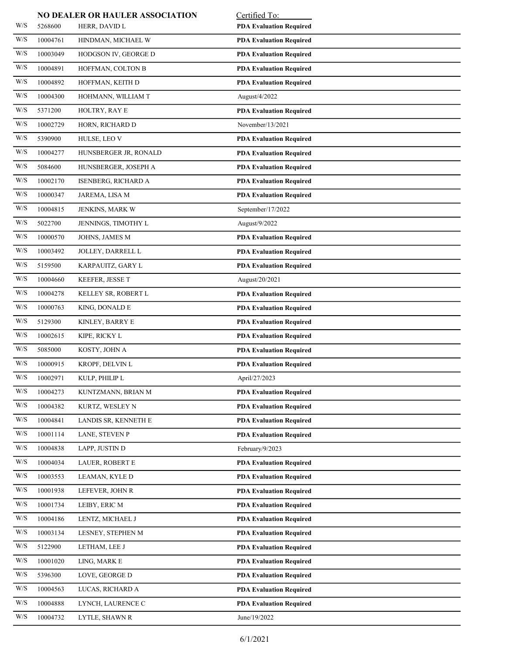|                         |          | NO DEALER OR HAULER ASSOCIATION | Certified To:                  |
|-------------------------|----------|---------------------------------|--------------------------------|
| W/S                     | 5268600  | HERR, DAVID L                   | <b>PDA Evaluation Required</b> |
| W/S                     | 10004761 | HINDMAN, MICHAEL W              | <b>PDA Evaluation Required</b> |
| W/S                     | 10003049 | HODGSON IV, GEORGE D            | <b>PDA Evaluation Required</b> |
| W/S                     | 10004891 | HOFFMAN, COLTON B               | <b>PDA Evaluation Required</b> |
| W/S                     | 10004892 | HOFFMAN, KEITH D                | <b>PDA Evaluation Required</b> |
| W/S                     | 10004300 | HOHMANN, WILLIAM T              | August/4/2022                  |
| W/S                     | 5371200  | HOLTRY, RAY E                   | <b>PDA Evaluation Required</b> |
| W/S                     | 10002729 | HORN, RICHARD D                 | November/13/2021               |
| W/S                     | 5390900  | HULSE, LEO V                    | <b>PDA Evaluation Required</b> |
| W/S                     | 10004277 | HUNSBERGER JR, RONALD           | <b>PDA Evaluation Required</b> |
| W/S                     | 5084600  | HUNSBERGER, JOSEPH A            | <b>PDA Evaluation Required</b> |
| W/S                     | 10002170 | <b>ISENBERG, RICHARD A</b>      | <b>PDA Evaluation Required</b> |
| W/S                     | 10000347 | JAREMA, LISA M                  | <b>PDA Evaluation Required</b> |
| W/S                     | 10004815 | JENKINS, MARK W                 | September/17/2022              |
| W/S                     | 5022700  | JENNINGS, TIMOTHY L             | August/9/2022                  |
| W/S                     | 10000570 | JOHNS, JAMES M                  | <b>PDA Evaluation Required</b> |
| W/S                     | 10003492 | JOLLEY, DARRELL L               | <b>PDA Evaluation Required</b> |
| W/S                     | 5159500  | KARPAUITZ, GARY L               | <b>PDA Evaluation Required</b> |
| W/S                     | 10004660 | KEEFER, JESSE T                 | August/20/2021                 |
| W/S                     | 10004278 | KELLEY SR, ROBERT L             | <b>PDA Evaluation Required</b> |
| W/S                     | 10000763 | KING, DONALD E                  | <b>PDA Evaluation Required</b> |
| W/S                     | 5129300  | KINLEY, BARRY E                 | <b>PDA Evaluation Required</b> |
| W/S                     | 10002615 | KIPE, RICKY L                   | <b>PDA Evaluation Required</b> |
| W/S                     | 5085000  | KOSTY, JOHN A                   | <b>PDA Evaluation Required</b> |
| W/S                     | 10000915 | KROPF, DELVIN L                 | <b>PDA Evaluation Required</b> |
| W/S                     | 10002971 | KULP, PHILIP L                  | April/27/2023                  |
| W/S                     | 10004273 | KUNTZMANN, BRIAN M              | <b>PDA Evaluation Required</b> |
| W/S                     | 10004382 | KURTZ, WESLEY N                 | <b>PDA Evaluation Required</b> |
| W/S                     | 10004841 | LANDIS SR, KENNETH E            | <b>PDA Evaluation Required</b> |
| W/S                     | 10001114 | LANE, STEVEN P                  | <b>PDA Evaluation Required</b> |
| W/S                     | 10004838 | LAPP, JUSTIN D                  | February/9/2023                |
| W/S                     | 10004034 | LAUER, ROBERT E                 | <b>PDA Evaluation Required</b> |
| W/S                     | 10003553 | LEAMAN, KYLE D                  | <b>PDA Evaluation Required</b> |
| W/S                     | 10001938 | LEFEVER, JOHN R                 | <b>PDA Evaluation Required</b> |
| $\mathrm{W}/\mathrm{S}$ | 10001734 | LEIBY, ERIC M                   | <b>PDA Evaluation Required</b> |
| W/S                     | 10004186 | LENTZ, MICHAEL J                | <b>PDA Evaluation Required</b> |
| W/S                     | 10003134 | LESNEY, STEPHEN M               | <b>PDA Evaluation Required</b> |
| W/S                     | 5122900  | LETHAM, LEE J                   | <b>PDA Evaluation Required</b> |
| W/S                     | 10001020 | LING, MARK E                    | <b>PDA Evaluation Required</b> |
| W/S                     | 5396300  | LOVE, GEORGE D                  | <b>PDA Evaluation Required</b> |
| W/S                     | 10004563 | LUCAS, RICHARD A                | <b>PDA Evaluation Required</b> |
| W/S                     | 10004888 | LYNCH, LAURENCE C               | <b>PDA Evaluation Required</b> |
| W/S                     | 10004732 | LYTLE, SHAWN R                  | June/19/2022                   |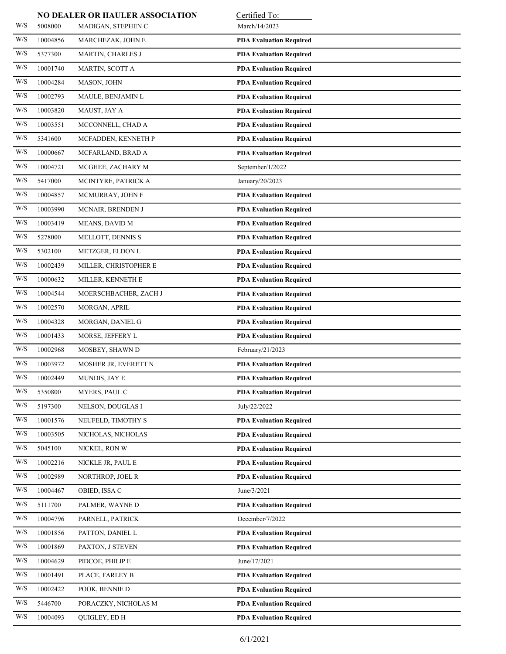|                         |          | NO DEALER OR HAULER ASSOCIATION | Certified To:                  |
|-------------------------|----------|---------------------------------|--------------------------------|
| W/S                     | 5008000  | MADIGAN, STEPHEN C              | March/14/2023                  |
| W/S                     | 10004856 | MARCHEZAK, JOHN E               | <b>PDA Evaluation Required</b> |
| W/S                     | 5377300  | MARTIN, CHARLES J               | <b>PDA Evaluation Required</b> |
| W/S                     | 10001740 | MARTIN, SCOTT A                 | <b>PDA Evaluation Required</b> |
| W/S                     | 10004284 | MASON, JOHN                     | <b>PDA Evaluation Required</b> |
| W/S                     | 10002793 | MAULE, BENJAMIN L               | <b>PDA Evaluation Required</b> |
| W/S                     | 10003820 | MAUST, JAY A                    | <b>PDA Evaluation Required</b> |
| W/S                     | 10003551 | MCCONNELL, CHAD A               | <b>PDA Evaluation Required</b> |
| W/S                     | 5341600  | MCFADDEN, KENNETH P             | <b>PDA Evaluation Required</b> |
| W/S                     | 10000667 | MCFARLAND, BRAD A               | <b>PDA Evaluation Required</b> |
| W/S                     | 10004721 | MCGHEE, ZACHARY M               | September/1/2022               |
| W/S                     | 5417000  | MCINTYRE, PATRICK A             | January/20/2023                |
| W/S                     | 10004857 | MCMURRAY, JOHN F                | <b>PDA Evaluation Required</b> |
| W/S                     | 10003990 | MCNAIR, BRENDEN J               | <b>PDA Evaluation Required</b> |
| W/S                     | 10003419 | MEANS, DAVID M                  | <b>PDA Evaluation Required</b> |
| W/S                     | 5278000  | MELLOTT, DENNIS S               | <b>PDA Evaluation Required</b> |
| W/S                     | 5302100  | METZGER, ELDON L                | <b>PDA Evaluation Required</b> |
| W/S                     | 10002439 | MILLER, CHRISTOPHER E           | <b>PDA Evaluation Required</b> |
| W/S                     | 10000632 | MILLER, KENNETH E               | <b>PDA Evaluation Required</b> |
| W/S                     | 10004544 | MOERSCHBACHER, ZACH J           | <b>PDA Evaluation Required</b> |
| W/S                     | 10002570 | MORGAN, APRIL                   | <b>PDA Evaluation Required</b> |
| W/S                     | 10004328 | MORGAN, DANIEL G                | <b>PDA Evaluation Required</b> |
| W/S                     | 10001433 | MORSE, JEFFERY L                | <b>PDA Evaluation Required</b> |
| W/S                     | 10002968 | MOSBEY, SHAWN D                 | February/21/2023               |
| W/S                     | 10003972 | MOSHER JR, EVERETT N            | <b>PDA Evaluation Required</b> |
| W/S                     | 10002449 | MUNDIS, JAY E                   | <b>PDA Evaluation Required</b> |
| W/S                     | 5350800  | MYERS, PAUL C                   | <b>PDA Evaluation Required</b> |
| W/S                     | 5197300  | NELSON, DOUGLAS I               | July/22/2022                   |
| W/S                     | 10001576 | NEUFELD, TIMOTHY S              | <b>PDA Evaluation Required</b> |
| W/S                     | 10003505 | NICHOLAS, NICHOLAS              | <b>PDA Evaluation Required</b> |
| W/S                     | 5045100  | NICKEL, RON W                   | <b>PDA Evaluation Required</b> |
| W/S                     | 10002216 | NICKLE JR, PAUL E               | <b>PDA Evaluation Required</b> |
| W/S                     | 10002989 | NORTHROP, JOEL R                | <b>PDA Evaluation Required</b> |
| W/S                     | 10004467 | OBIED, ISSA C                   | June/3/2021                    |
| W/S                     | 5111700  | PALMER, WAYNE D                 | <b>PDA Evaluation Required</b> |
| $\mathrm{W}/\mathrm{S}$ | 10004796 | PARNELL, PATRICK                | December/7/2022                |
| W/S                     | 10001856 | PATTON, DANIEL L                | <b>PDA Evaluation Required</b> |
| W/S                     | 10001869 | PAXTON, J STEVEN                | <b>PDA Evaluation Required</b> |
| W/S                     | 10004629 | PIDCOE, PHILIP E                | June/17/2021                   |
| W/S                     | 10001491 | PLACE, FARLEY B                 | <b>PDA Evaluation Required</b> |
| W/S                     | 10002422 | POOK, BENNIE D                  | <b>PDA Evaluation Required</b> |
| W/S                     | 5446700  | PORACZKY, NICHOLAS M            | <b>PDA Evaluation Required</b> |
| W/S                     | 10004093 | QUIGLEY, ED H                   | <b>PDA Evaluation Required</b> |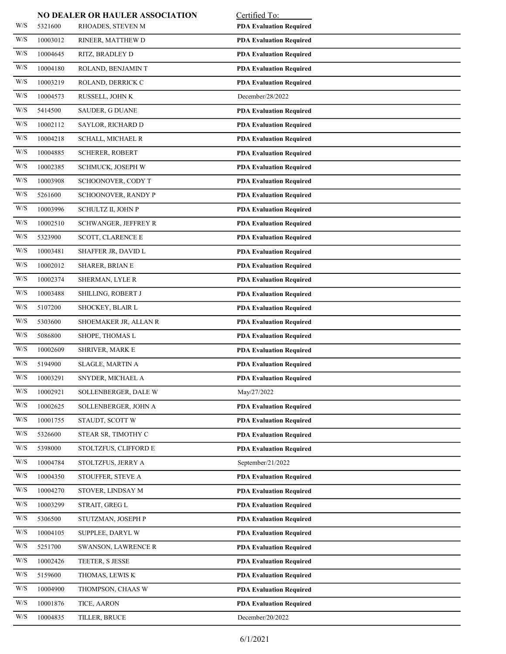|                         |          | NO DEALER OR HAULER ASSOCIATION | Certified To:                  |
|-------------------------|----------|---------------------------------|--------------------------------|
| W/S                     | 5321600  | RHOADES, STEVEN M               | <b>PDA Evaluation Required</b> |
| W/S                     | 10003012 | RINEER, MATTHEW D               | <b>PDA Evaluation Required</b> |
| W/S                     | 10004645 | RITZ, BRADLEY D                 | <b>PDA Evaluation Required</b> |
| W/S                     | 10004180 | ROLAND, BENJAMIN T              | <b>PDA Evaluation Required</b> |
| W/S                     | 10003219 | ROLAND, DERRICK C               | <b>PDA Evaluation Required</b> |
| W/S                     | 10004573 | RUSSELL, JOHN K                 | December/28/2022               |
| W/S                     | 5414500  | SAUDER, G DUANE                 | <b>PDA Evaluation Required</b> |
| W/S                     | 10002112 | SAYLOR, RICHARD D               | <b>PDA Evaluation Required</b> |
| W/S                     | 10004218 | SCHALL, MICHAEL R               | <b>PDA Evaluation Required</b> |
| W/S                     | 10004885 | SCHERER, ROBERT                 | <b>PDA Evaluation Required</b> |
| W/S                     | 10002385 | SCHMUCK, JOSEPH W               | <b>PDA Evaluation Required</b> |
| W/S                     | 10003908 | SCHOONOVER, CODY T              | <b>PDA Evaluation Required</b> |
| W/S                     | 5261600  | SCHOONOVER, RANDY P             | <b>PDA Evaluation Required</b> |
| W/S                     | 10003996 | SCHULTZ II, JOHN P              | <b>PDA Evaluation Required</b> |
| W/S                     | 10002510 | SCHWANGER, JEFFREY R            | <b>PDA Evaluation Required</b> |
| W/S                     | 5323900  | <b>SCOTT, CLARENCE E</b>        | <b>PDA Evaluation Required</b> |
| W/S                     | 10003481 | SHAFFER JR, DAVID L             | <b>PDA Evaluation Required</b> |
| W/S                     | 10002012 | SHARER, BRIAN E                 | <b>PDA Evaluation Required</b> |
| W/S                     | 10002374 | SHERMAN, LYLE R                 | <b>PDA Evaluation Required</b> |
| W/S                     | 10003488 | SHILLING, ROBERT J              | <b>PDA Evaluation Required</b> |
| W/S                     | 5107200  | SHOCKEY, BLAIR L                | <b>PDA Evaluation Required</b> |
| W/S                     | 5303600  | SHOEMAKER JR, ALLAN R           | <b>PDA Evaluation Required</b> |
| W/S                     | 5086800  | SHOPE, THOMAS L                 | <b>PDA Evaluation Required</b> |
| W/S                     | 10002609 | <b>SHRIVER, MARK E</b>          | <b>PDA Evaluation Required</b> |
| W/S                     | 5194900  | <b>SLAGLE, MARTIN A</b>         | <b>PDA Evaluation Required</b> |
| W/S                     | 10003291 | SNYDER, MICHAEL A               | <b>PDA Evaluation Required</b> |
| W/S                     | 10002921 | SOLLENBERGER, DALE W            | May/27/2022                    |
| W/S                     | 10002625 | SOLLENBERGER, JOHN A            | <b>PDA Evaluation Required</b> |
| W/S                     | 10001755 | STAUDT, SCOTT W                 | <b>PDA Evaluation Required</b> |
| W/S                     | 5326600  | STEAR SR, TIMOTHY C             | <b>PDA Evaluation Required</b> |
| W/S                     | 5398000  | STOLTZFUS, CLIFFORD E           | <b>PDA Evaluation Required</b> |
| W/S                     | 10004784 | STOLTZFUS, JERRY A              | September/21/2022              |
| W/S                     | 10004350 | STOUFFER, STEVE A               | <b>PDA Evaluation Required</b> |
| W/S                     | 10004270 | STOVER, LINDSAY M               | <b>PDA Evaluation Required</b> |
| W/S                     | 10003299 | STRAIT, GREG L                  | <b>PDA Evaluation Required</b> |
| W/S                     | 5306500  | STUTZMAN, JOSEPH P              | <b>PDA Evaluation Required</b> |
| W/S                     | 10004105 | SUPPLEE, DARYL W                | <b>PDA Evaluation Required</b> |
| W/S                     | 5251700  | <b>SWANSON, LAWRENCE R</b>      | <b>PDA Evaluation Required</b> |
| W/S                     | 10002426 | TEETER, S JESSE                 | <b>PDA Evaluation Required</b> |
| W/S                     | 5159600  | THOMAS, LEWIS K                 | <b>PDA Evaluation Required</b> |
| W/S                     | 10004900 | THOMPSON, CHAAS W               | <b>PDA Evaluation Required</b> |
| $\mathrm{W}/\mathrm{S}$ | 10001876 | TICE, AARON                     | <b>PDA Evaluation Required</b> |
| W/S                     | 10004835 | TILLER, BRUCE                   | December/20/2022               |